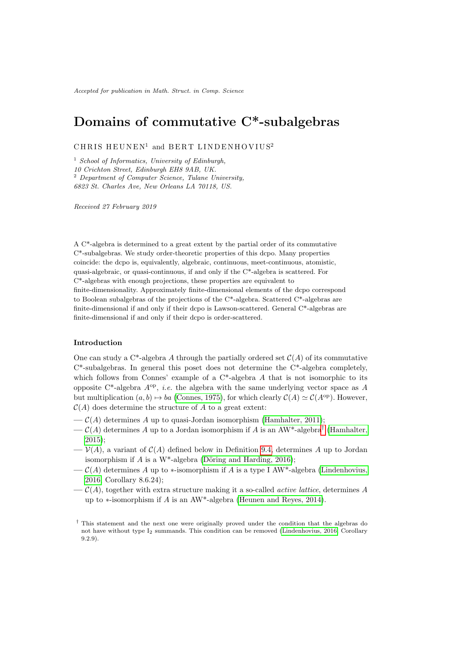Accepted for publication in Math. Struct. in Comp. Science

# Domains of commutative C\*-subalgebras

 $\rm CHRIS \ HEUNEN^{1}$  and  $\rm BERT \ LINDENHOVIUS^{2}$ 

 $1$  School of Informatics, University of Edinburgh, 10 Crichton Street, Edinburgh EH8 9AB, UK.  $2$  Department of Computer Science, Tulane University, 6823 St. Charles Ave, New Orleans LA 70118, US.

Received 27 February 2019

A C\*-algebra is determined to a great extent by the partial order of its commutative C\*-subalgebras. We study order-theoretic properties of this dcpo. Many properties coincide: the dcpo is, equivalently, algebraic, continuous, meet-continuous, atomistic, quasi-algebraic, or quasi-continuous, if and only if the C\*-algebra is scattered. For C\*-algebras with enough projections, these properties are equivalent to finite-dimensionality. Approximately finite-dimensional elements of the dcpo correspond to Boolean subalgebras of the projections of the C\*-algebra. Scattered C\*-algebras are finite-dimensional if and only if their dcpo is Lawson-scattered. General C\*-algebras are finite-dimensional if and only if their dcpo is order-scattered.

# Introduction

One can study a  $C^*$ -algebra A through the partially ordered set  $\mathcal{C}(A)$  of its commutative  $C^*$ -subalgebras. In general this poset does not determine the  $C^*$ -algebra completely, which follows from Connes' example of a  $C^*$ -algebra A that is not isomorphic to its opposite  $C^*$ -algebra  $A^{op}$ , *i.e.* the algebra with the same underlying vector space as A but multiplication  $(a, b) \mapsto ba$  [\(Connes, 1975\)](#page-39-0), for which clearly  $C(A) \simeq C(A^{\text{op}})$ . However,  $\mathcal{C}(A)$  does determine the structure of A to a great extent:

- $-\mathcal{C}(A)$  determines A up to quasi-Jordan isomorphism [\(Hamhalter, 2011\)](#page-40-0);
- $-\mathcal{C}(A)$  determines A up to a Jordan isomorphism if A is an AW<sup>\*</sup>-algebra<sup>[†](#page-0-0)</sup> [\(Hamhalter,](#page-40-1) [2015\)](#page-40-1);
- $-\mathcal{V}(A)$ , a variant of  $\mathcal{C}(A)$  defined below in Definition [9.4,](#page-30-0) determines A up to Jordan isomorphism if A is a W<sup>\*</sup>-algebra (Döring and Harding, 2016):
- $-\mathcal{C}(A)$  determines A up to \*-isomorphism if A is a type I AW\*-algebra [\(Lindenhovius,](#page-41-0) [2016,](#page-41-0) Corollary 8.6.24);
- $-\mathcal{C}(A)$ , together with extra structure making it a so-called *active lattice*, determines A up to ∗-isomorphism if A is an AW\*-algebra [\(Heunen and Reyes, 2014\)](#page-40-3).

<span id="page-0-0"></span><sup>†</sup> This statement and the next one were originally proved under the condition that the algebras do not have without type  $I_2$  summands. This condition can be removed [\(Lindenhovius, 2016,](#page-41-0) Corollary 9.2.9).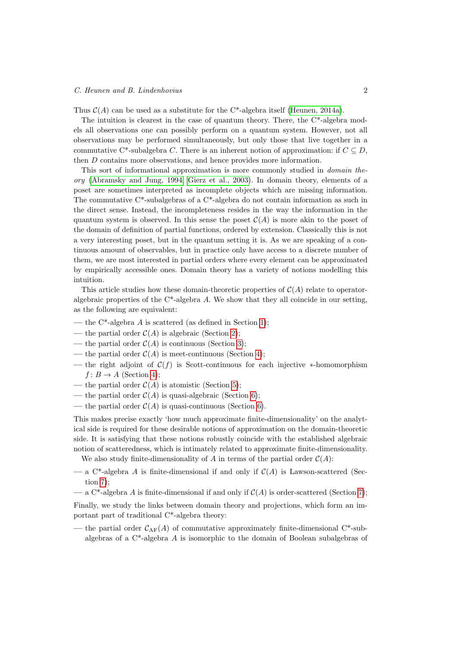Thus  $C(A)$  can be used as a substitute for the C<sup>\*</sup>-algebra itself [\(Heunen, 2014a\)](#page-40-4).

The intuition is clearest in the case of quantum theory. There, the C\*-algebra models all observations one can possibly perform on a quantum system. However, not all observations may be performed simultaneously, but only those that live together in a commutative C<sup>\*</sup>-subalgebra C. There is an inherent notion of approximation: if  $C \subseteq D$ , then D contains more observations, and hence provides more information.

This sort of informational approximation is more commonly studied in domain theory [\(Abramsky and Jung, 1994;](#page-39-1) [Gierz et al., 2003\)](#page-40-5). In domain theory, elements of a poset are sometimes interpreted as incomplete objects which are missing information. The commutative  $C^*$ -subalgebras of a  $C^*$ -algebra do not contain information as such in the direct sense. Instead, the incompleteness resides in the way the information in the quantum system is observed. In this sense the poset  $\mathcal{C}(A)$  is more akin to the poset of the domain of definition of partial functions, ordered by extension. Classically this is not a very interesting poset, but in the quantum setting it is. As we are speaking of a continuous amount of observables, but in practice only have access to a discrete number of them, we are most interested in partial orders where every element can be approximated by empirically accessible ones. Domain theory has a variety of notions modelling this intuition.

This article studies how these domain-theoretic properties of  $C(A)$  relate to operatoralgebraic properties of the  $C^*$ -algebra A. We show that they all coincide in our setting, as the following are equivalent:

- the  $C^*$ -algebra A is scattered (as defined in Section [1\)](#page-2-0);
- the partial order  $C(A)$  is algebraic (Section [2\)](#page-11-0);
- the partial order  $C(A)$  is continuous (Section [3\)](#page-13-0);
- the partial order  $C(A)$  is meet-continuous (Section [4\)](#page-14-0);
- the right adjoint of  $\mathcal{C}(f)$  is Scott-continuous for each injective \*-homomorphism  $f: B \to A$  (Section [4\)](#page-14-0);
- the partial order  $C(A)$  is atomistic (Section [5\)](#page-18-0);
- the partial order  $C(A)$  is quasi-algebraic (Section [6\)](#page-20-0);
- the partial order  $C(A)$  is quasi-continuous (Section [6\)](#page-20-0).

This makes precise exactly 'how much approximate finite-dimensionality' on the analytical side is required for these desirable notions of approximation on the domain-theoretic side. It is satisfying that these notions robustly coincide with the established algebraic notion of scatteredness, which is intimately related to approximate finite-dimensionality.

We also study finite-dimensionality of A in terms of the partial order  $C(A)$ :

- a C<sup>\*</sup>-algebra A is finite-dimensional if and only if  $C(A)$  is Lawson-scattered (Section [7\)](#page-22-0);
- a C<sup>\*</sup>-algebra A is finite-dimensional if and only if  $C(A)$  is order-scattered (Section [7\)](#page-22-0);

Finally, we study the links between domain theory and projections, which form an important part of traditional C\*-algebra theory:

— the partial order  $C_{AF}(A)$  of commutative approximately finite-dimensional C<sup>\*</sup>-subalgebras of a C\*-algebra A is isomorphic to the domain of Boolean subalgebras of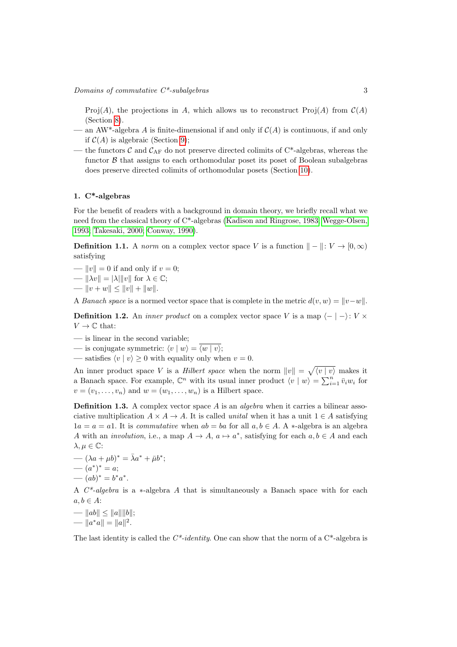Proj(A), the projections in A, which allows us to reconstruct Proj(A) from  $\mathcal{C}(A)$ (Section [8\)](#page-24-0).

- an AW<sup>\*</sup>-algebra A is finite-dimensional if and only if  $C(A)$  is continuous, if and only if  $C(A)$  is algebraic (Section [9\)](#page-30-1);
- the functors  $\mathcal{C}$  and  $\mathcal{C}_{AF}$  do not preserve directed colimits of  $C^*$ -algebras, whereas the functor  $\beta$  that assigns to each orthomodular poset its poset of Boolean subalgebras does preserve directed colimits of orthomodular posets (Section [10\)](#page-33-0).

#### <span id="page-2-0"></span>1. C\*-algebras

For the benefit of readers with a background in domain theory, we briefly recall what we need from the classical theory of C\*-algebras [\(Kadison and Ringrose, 1983;](#page-40-6) [Wegge-Olsen,](#page-41-1) [1993;](#page-41-1) [Takesaki, 2000;](#page-41-2) [Conway, 1990\)](#page-39-2).

**Definition 1.1.** A norm on a complex vector space V is a function  $\| - \| : V \to [0, \infty)$ satisfying

- $||v|| = 0$  if and only if  $v = 0$ ;
- $\|\lambda v\| = |\lambda| \|v\|$  for  $\lambda \in \mathbb{C}$ ;
- $||v + w|| \le ||v|| + ||w||.$

A Banach space is a normed vector space that is complete in the metric  $d(v, w) = ||v - w||$ .

**Definition 1.2.** An *inner product* on a complex vector space V is a map  $\langle - | - \rangle : V \times$  $V \to \mathbb{C}$  that:

- is linear in the second variable;
- is conjugate symmetric:  $\langle v | w \rangle = \overline{\langle w | v \rangle};$
- satisfies  $\langle v | v \rangle \ge 0$  with equality only when  $v = 0$ .

An inner product space V is a *Hilbert space* when the norm  $||v|| = \sqrt{\langle v | v \rangle}$  makes it a Banach space. For example,  $\mathbb{C}^n$  with its usual inner product  $\langle v | w \rangle = \sum_{i=1}^n \bar{v}_i w_i$  for  $v = (v_1, \ldots, v_n)$  and  $w = (w_1, \ldots, w_n)$  is a Hilbert space.

**Definition 1.3.** A complex vector space A is an *algebra* when it carries a bilinear associative multiplication  $A \times A \to A$ . It is called *unital* when it has a unit  $1 \in A$  satisfying  $1a = a = a1$ . It is commutative when  $ab = ba$  for all  $a, b \in A$ . A \*-algebra is an algebra A with an *involution*, i.e., a map  $A \to A$ ,  $a \mapsto a^*$ , satisfying for each  $a, b \in A$  and each  $\lambda, \mu \in \mathbb{C}$ :

- $\overline{\lambda}a + \overline{\mu}b^* = \overline{\lambda}a^* + \overline{\mu}b^*;$
- $(a^*)^* = a;$
- $(ab)^* = b^*a^*.$

A C\*-algebra is a ∗-algebra A that is simultaneously a Banach space with for each  $a, b \in A$ :

—  $||ab|| \le ||a|| ||b||;$ —  $||a^*a|| = ||a||^2$ .

The last identity is called the  $C^*$ -identity. One can show that the norm of a  $C^*$ -algebra is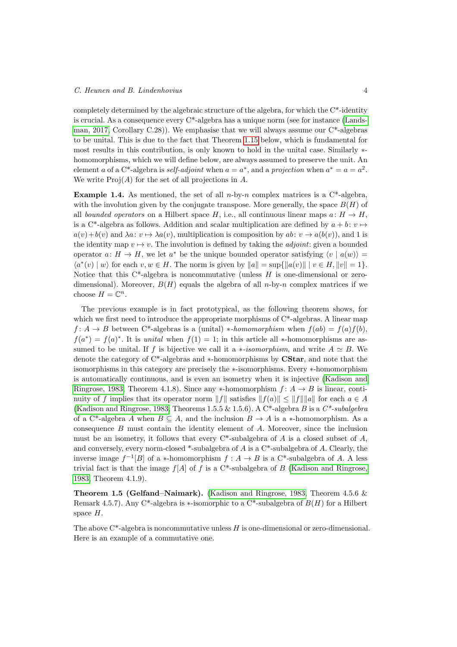#### C. Heunen and B. Lindenhovius 4

completely determined by the algebraic structure of the algebra, for which the C\*-identity is crucial. As a consequence every C\*-algebra has a unique norm (see for instance [\(Lands](#page-40-7)[man, 2017,](#page-40-7) Corollary C.28)). We emphasise that we will always assume our  $C^*$ -algebras to be unital. This is due to the fact that Theorem [1.15](#page-7-0) below, which is fundamental for most results in this contribution, is only known to hold in the unital case. Similarly ∗ homomorphisms, which we will define below, are always assumed to preserve the unit. An element a of a C<sup>\*</sup>-algebra is *self-adjoint* when  $a = a^*$ , and a projection when  $a^* = a = a^2$ . We write  $\text{Proj}(A)$  for the set of all projections in A.

<span id="page-3-1"></span>**Example 1.4.** As mentioned, the set of all n-by-n complex matrices is a  $C^*$ -algebra, with the involution given by the conjugate transpose. More generally, the space  $B(H)$  of all bounded operators on a Hilbert space H, i.e., all continuous linear maps  $a: H \to H$ , is a C<sup>\*</sup>-algebra as follows. Addition and scalar multiplication are defined by  $a + b$ ;  $v \mapsto$  $a(v)+b(v)$  and  $\lambda a: v \mapsto \lambda a(v)$ , multiplication is composition by  $ab: v \to a(b(v))$ , and 1 is the identity map  $v \mapsto v$ . The involution is defined by taking the *adjoint*: given a bounded operator  $a: H \to H$ , we let  $a^*$  be the unique bounded operator satisfying  $\langle v | a(w) \rangle =$  $\langle a^*(v) | w \rangle$  for each  $v, w \in H$ . The norm is given by  $||a|| = \sup{||a(v)|| | v \in H, ||v|| = 1}$ . Notice that this  $C^*$ -algebra is noncommutative (unless H is one-dimensional or zerodimensional). Moreover,  $B(H)$  equals the algebra of all n-by-n complex matrices if we choose  $H = \mathbb{C}^n$ .

The previous example is in fact prototypical, as the following theorem shows, for which we first need to introduce the appropriate morphisms of  $C^*$ -algebras. A linear map  $f: A \to B$  between C\*-algebras is a (unital) \*-homomorphism when  $f(ab) = f(a)f(b)$ ,  $f(a^*) = f(a)^*$ . It is unital when  $f(1) = 1$ ; in this article all \*-homomorphisms are assumed to be unital. If f is bijective we call it a \*-isomorphism, and write  $A \simeq B$ . We denote the category of C\*-algebras and ∗-homomorphisms by CStar, and note that the isomorphisms in this category are precisely the ∗-isomorphisms. Every ∗-homomorphism is automatically continuous, and is even an isometry when it is injective [\(Kadison and](#page-40-6) [Ringrose, 1983,](#page-40-6) Theorem 4.1.8). Since any  $*$ -homomorphism  $f: A \rightarrow B$  is linear, continuity of f implies that its operator norm  $||f||$  satisfies  $||f(a)|| \le ||f|| ||a||$  for each  $a \in A$ [\(Kadison and Ringrose, 1983,](#page-40-6) Theorems 1.5.5 & 1.5.6). A C<sup>\*</sup>-algebra B is a  $C^*$ -subalgebra of a C<sup>\*</sup>-algebra A when  $B \subseteq A$ , and the inclusion  $B \to A$  is a ∗-homomorphism. As a consequence B must contain the identity element of A. Moreover, since the inclusion must be an isometry, it follows that every  $C^*$ -subalgebra of A is a closed subset of A, and conversely, every norm-closed \*-subalgebra of  $A$  is a  $C^*$ -subalgebra of  $A$ . Clearly, the inverse image  $f^{-1}[B]$  of a \*-homomorphism  $f : A \to B$  is a C<sup>\*</sup>-subalgebra of A. A less trivial fact is that the image  $f[A]$  of f is a C\*-subalgebra of B [\(Kadison and Ringrose,](#page-40-6) [1983,](#page-40-6) Theorem 4.1.9).

<span id="page-3-0"></span>Theorem 1.5 (Gelfand–Naimark). [\(Kadison and Ringrose, 1983,](#page-40-6) Theorem 4.5.6 & Remark 4.5.7). Any C<sup>\*</sup>-algebra is \*-isomorphic to a C<sup>\*</sup>-subalgebra of  $B(H)$  for a Hilbert space  $H$ .

The above  $C^*$ -algebra is noncommutative unless H is one-dimensional or zero-dimensional. Here is an example of a commutative one.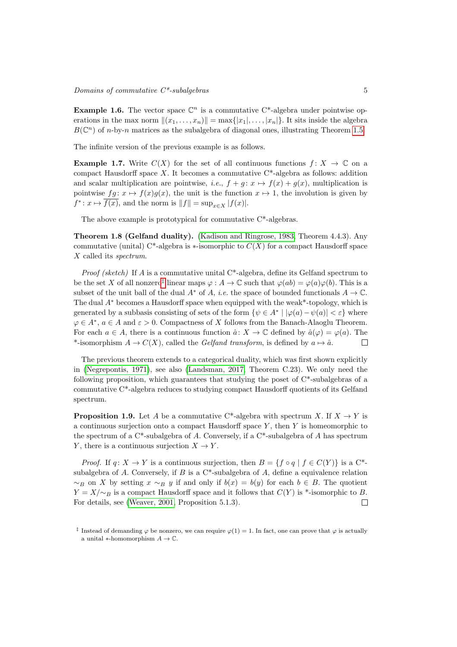# $\noindent\hskip.05cm Domains\hskip.03cm of\hskip.03cm commutative\hskip.03cm C^{*-}subalgebras\nonumber\ 5$

**Example 1.6.** The vector space  $\mathbb{C}^n$  is a commutative C<sup>\*</sup>-algebra under pointwise operations in the max norm  $||(x_1, \ldots, x_n)|| = \max\{|x_1|, \ldots, |x_n|\}.$  It sits inside the algebra  $B(\mathbb{C}^n)$  of n-by-n matrices as the subalgebra of diagonal ones, illustrating Theorem [1.5.](#page-3-0)

The infinite version of the previous example is as follows.

**Example 1.7.** Write  $C(X)$  for the set of all continuous functions  $f: X \to \mathbb{C}$  on a compact Hausdorff space X. It becomes a commutative  $C^*$ -algebra as follows: addition and scalar multiplication are pointwise, i.e.,  $f + q : x \mapsto f(x) + q(x)$ , multiplication is pointwise  $fg: x \mapsto f(x)g(x)$ , the unit is the function  $x \mapsto 1$ , the involution is given by  $f^* \colon x \mapsto \overline{f(x)}$ , and the norm is  $||f|| = \sup_{x \in X} |f(x)|$ .

The above example is prototypical for commutative C\*-algebras.

<span id="page-4-2"></span>Theorem 1.8 (Gelfand duality). [\(Kadison and Ringrose, 1983,](#page-40-6) Theorem 4.4.3). Any commutative (unital) C<sup>\*</sup>-algebra is  $\ast$ -isomorphic to  $C(X)$  for a compact Hausdorff space X called its *spectrum*.

*Proof (sketch)* If A is a commutative unital  $C^*$ -algebra, define its Gelfand spectrum to be the set X of all nonzero<sup>[‡](#page-4-0)</sup> linear maps  $\varphi : A \to \mathbb{C}$  such that  $\varphi(ab) = \varphi(a)\varphi(b)$ . This is a subset of the unit ball of the dual  $A^*$  of A, *i.e.* the space of bounded functionals  $A \to \mathbb{C}$ . The dual  $A^*$  becomes a Hausdorff space when equipped with the weak\*-topology, which is generated by a subbasis consisting of sets of the form  $\{\psi \in A^* \mid |\varphi(a) - \psi(a)| < \varepsilon\}$  where  $\varphi \in A^*, a \in A$  and  $\varepsilon > 0$ . Compactness of X follows from the Banach-Alaoglu Theorem. For each  $a \in A$ , there is a continuous function  $\hat{a}: X \to \mathbb{C}$  defined by  $\hat{a}(\varphi) = \varphi(a)$ . The \*-isomorphism  $A \to C(X)$ , called the *Gelfand transform*, is defined by  $a \mapsto \hat{a}$ .  $\Box$ 

The previous theorem extends to a categorical duality, which was first shown explicitly in [\(Negrepontis, 1971\)](#page-41-3), see also [\(Landsman, 2017,](#page-40-7) Theorem C.23). We only need the following proposition, which guarantees that studying the poset of  $C^*$ -subalgebras of a commutative C\*-algebra reduces to studying compact Hausdorff quotients of its Gelfand spectrum.

<span id="page-4-1"></span>**Proposition 1.9.** Let A be a commutative C\*-algebra with spectrum X. If  $X \to Y$  is a continuous surjection onto a compact Hausdorff space  $Y$ , then  $Y$  is homeomorphic to the spectrum of a  $C^*$ -subalgebra of A. Conversely, if a  $C^*$ -subalgebra of A has spectrum Y, there is a continuous surjection  $X \to Y$ .

*Proof.* If  $q: X \to Y$  is a continuous surjection, then  $B = \{f \circ q \mid f \in C(Y)\}\$ is a C<sup>\*</sup>subalgebra of A. Conversely, if  $B$  is a C\*-subalgebra of  $A$ , define a equivalence relation  $~\sim_B$  on X by setting  $x \sim_B y$  if and only if  $b(x) = b(y)$  for each  $b \in B$ . The quotient  $Y = X/\sim_B$  is a compact Hausdorff space and it follows that  $C(Y)$  is \*-isomorphic to B. For details, see [\(Weaver, 2001,](#page-41-4) Proposition 5.1.3).  $\Box$ 

<span id="page-4-0"></span><sup>&</sup>lt;sup>‡</sup> Instead of demanding  $\varphi$  be nonzero, we can require  $\varphi(1) = 1$ . In fact, one can prove that  $\varphi$  is actually a unital  $*$ -homomorphism  $A \to \mathbb{C}$ .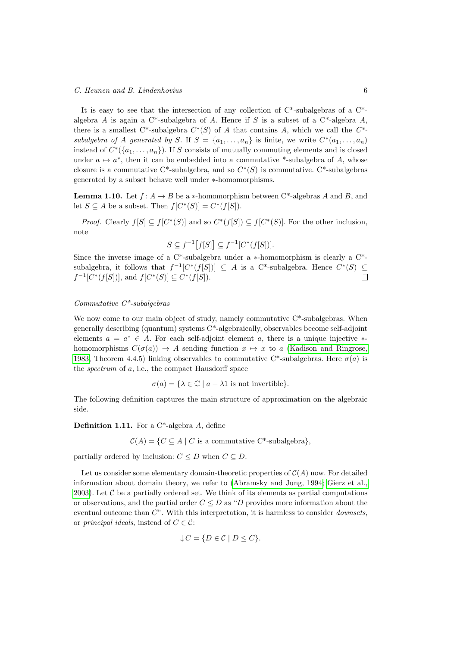It is easy to see that the intersection of any collection of  $C^*$ -subalgebras of a  $C^*$ algebra A is again a C<sup>\*</sup>-subalgebra of A. Hence if S is a subset of a C<sup>\*</sup>-algebra A, there is a smallest C\*-subalgebra  $C^*(S)$  of A that contains A, which we call the  $C^*$ subalgebra of A generated by S. If  $S = \{a_1, \ldots, a_n\}$  is finite, we write  $C^*(a_1, \ldots, a_n)$ instead of  $C^*(\{a_1,\ldots,a_n\})$ . If S consists of mutually commuting elements and is closed under  $a \mapsto a^*$ , then it can be embedded into a commutative \*-subalgebra of A, whose closure is a commutative C<sup>\*</sup>-subalgebra, and so  $C^*(S)$  is commutative. C<sup>\*</sup>-subalgebras generated by a subset behave well under ∗-homomorphisms.

**Lemma 1.10.** Let  $f: A \to B$  be a \*-homomorphism between C<sup>\*</sup>-algebras A and B, and let  $S \subseteq A$  be a subset. Then  $f[C^*(S)] = C^*(f[S]).$ 

*Proof.* Clearly  $f[S] \subseteq f[C^*(S)]$  and so  $C^*(f[S]) \subseteq f[C^*(S)]$ . For the other inclusion, note

<span id="page-5-0"></span>
$$
S \subseteq f^{-1}[f[S]] \subseteq f^{-1}[C^*(f[S])].
$$

Since the inverse image of a C\*-subalgebra under a ∗-homomorphism is clearly a C\* subalgebra, it follows that  $f^{-1}[C^*(f[S])] \subseteq A$  is a C<sup>\*</sup>-subalgebra. Hence  $C^*(S) \subseteq$  $f^{-1}[C^*(f[S])]$ , and  $f[C^*(S)] \subseteq C^*(f[S])$ .  $\Box$ 

#### Commutative  $C^*$ -subalgebras

We now come to our main object of study, namely commutative  $C^*$ -subalgebras. When generally describing (quantum) systems C\*-algebraically, observables become self-adjoint elements  $a = a^* \in A$ . For each self-adjoint element a, there is a unique injective  $*$ homomorphisms  $C(\sigma(a)) \to A$  sending function  $x \mapsto x$  to a [\(Kadison and Ringrose,](#page-40-6) [1983,](#page-40-6) Theorem 4.4.5) linking observables to commutative C\*-subalgebras. Here  $\sigma(a)$  is the spectrum of a, i.e., the compact Hausdorff space

$$
\sigma(a) = \{ \lambda \in \mathbb{C} \mid a - \lambda 1 \text{ is not invertible} \}.
$$

The following definition captures the main structure of approximation on the algebraic side.

Definition 1.11. For a C\*-algebra A, define

 $C(A) = \{C \subseteq A \mid C \text{ is a commutative } C^* \text{-subalgebra}\},\$ 

partially ordered by inclusion:  $C \leq D$  when  $C \subseteq D$ .

Let us consider some elementary domain-theoretic properties of  $\mathcal{C}(A)$  now. For detailed information about domain theory, we refer to [\(Abramsky and Jung, 1994;](#page-39-1) [Gierz et al.,](#page-40-5) [2003\)](#page-40-5). Let  $\mathcal C$  be a partially ordered set. We think of its elements as partial computations or observations, and the partial order  $C \leq D$  as "D provides more information about the eventual outcome than  $C$ ". With this interpretation, it is harmless to consider *downsets*, or *principal ideals*, instead of  $C \in \mathcal{C}$ :

$$
\downarrow C = \{ D \in \mathcal{C} \mid D \le C \}.
$$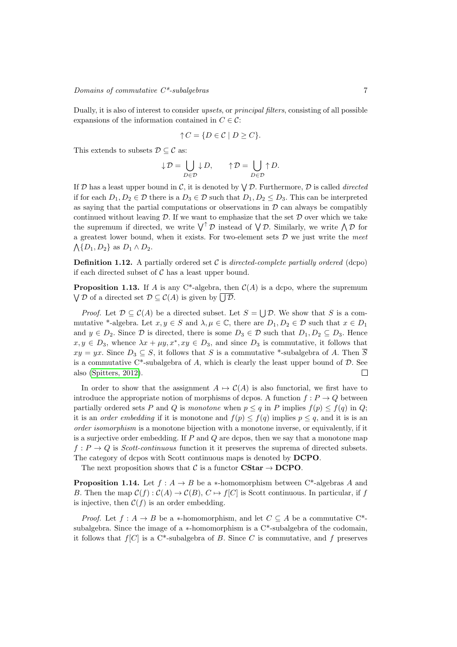Dually, it is also of interest to consider upsets, or principal filters, consisting of all possible expansions of the information contained in  $C \in \mathcal{C}$ :

$$
\uparrow C = \{ D \in \mathcal{C} \mid D \ge C \}.
$$

This extends to subsets  $\mathcal{D} \subseteq \mathcal{C}$  as:

$$
{\downarrow\cal D}=\bigcup_{D\in{\cal D}}{\downarrow\cal D},\qquad{\uparrow\cal D}=\bigcup_{D\in{\cal D}}{\uparrow\cal D}.
$$

If D has a least upper bound in C, it is denoted by  $\bigvee \mathcal{D}$ . Furthermore, D is called *directed* if for each  $D_1, D_2 \in \mathcal{D}$  there is a  $D_3 \in \mathcal{D}$  such that  $D_1, D_2 \leq D_3$ . This can be interpreted as saying that the partial computations or observations in  $D$  can always be compatibly continued without leaving  $\mathcal{D}$ . If we want to emphasize that the set  $\mathcal D$  over which we take the supremum if directed, we write  $\bigvee^{\uparrow} \mathcal{D}$  instead of  $\bigvee \mathcal{D}$ . Similarly, we write  $\bigwedge \mathcal{D}$  for a greatest lower bound, when it exists. For two-element sets  $D$  we just write the meet  $\bigwedge \{D_1, D_2\}$  as  $D_1 \wedge D_2$ .

**Definition 1.12.** A partially ordered set C is directed-complete partially ordered (dcpo) if each directed subset of  $C$  has a least upper bound.

<span id="page-6-0"></span>**Proposition 1.13.** If A is any C<sup>\*</sup>-algebra, then  $C(A)$  is a dcpo, where the supremum  $\bigvee \mathcal{D}$  of a directed set  $\mathcal{D} \subseteq \mathcal{C}(A)$  is given by  $\bigcup \mathcal{D}$ .

*Proof.* Let  $\mathcal{D} \subseteq \mathcal{C}(A)$  be a directed subset. Let  $S = \bigcup \mathcal{D}$ . We show that S is a commutative \*-algebra. Let  $x, y \in S$  and  $\lambda, \mu \in \mathbb{C}$ , there are  $D_1, D_2 \in \mathcal{D}$  such that  $x \in D_1$ and  $y \in D_2$ . Since  $D$  is directed, there is some  $D_3 \in \mathcal{D}$  such that  $D_1, D_2 \subseteq D_3$ . Hence  $x, y \in D_3$ , whence  $\lambda x + \mu y, x^*, xy \in D_3$ , and since  $D_3$  is commutative, it follows that  $xy = yx$ . Since  $D_3 \subseteq S$ , it follows that S is a commutative \*-subalgebra of A. Then  $\overline{S}$ is a commutative  $C^*$ -subalgebra of A, which is clearly the least upper bound of  $D$ . See also [\(Spitters, 2012\)](#page-41-5).  $\Box$ 

In order to show that the assignment  $A \mapsto C(A)$  is also functorial, we first have to introduce the appropriate notion of morphisms of dcpos. A function  $f: P \to Q$  between partially ordered sets P and Q is monotone when  $p \leq q$  in P implies  $f(p) \leq f(q)$  in Q; it is an *order embedding* if it is monotone and  $f(p) \leq f(q)$  implies  $p \leq q$ , and it is is an order isomorphism is a monotone bijection with a monotone inverse, or equivalently, if it is a surjective order embedding. If  $P$  and  $Q$  are dcpos, then we say that a monotone map  $f: P \to Q$  is *Scott-continuous* function it it preserves the suprema of directed subsets. The category of dcpos with Scott continuous maps is denoted by DCPO.

<span id="page-6-1"></span>The next proposition shows that C is a functor  $\text{CStar} \to \text{DCPO}$ .

**Proposition 1.14.** Let  $f : A \rightarrow B$  be a \*-homomorphism between C\*-algebras A and B. Then the map  $\mathcal{C}(f) : \mathcal{C}(A) \to \mathcal{C}(B)$ ,  $C \mapsto f[C]$  is Scott continuous. In particular, if f is injective, then  $C(f)$  is an order embedding.

*Proof.* Let  $f : A \to B$  be a \*-homomorphism, and let  $C \subseteq A$  be a commutative C<sup>\*</sup>subalgebra. Since the image of a  $*$ -homomorphism is a  $C*$ -subalgebra of the codomain, it follows that  $f[C]$  is a  $C^*$ -subalgebra of B. Since C is commutative, and f preserves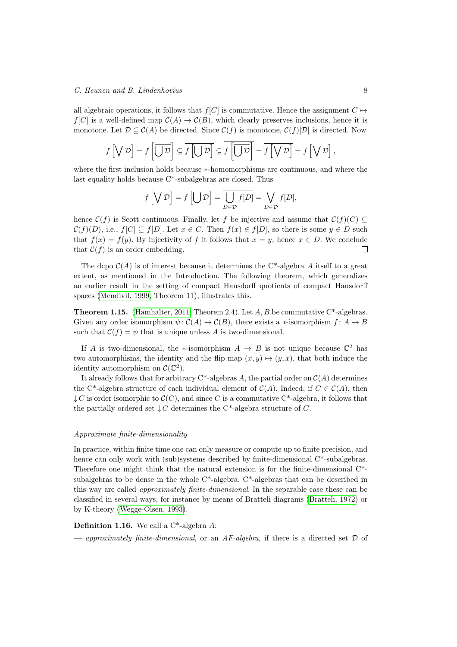all algebraic operations, it follows that  $f[C]$  is commutative. Hence the assignment  $C \mapsto$  $f[C]$  is a well-defined map  $\mathcal{C}(A) \to \mathcal{C}(B)$ , which clearly preserves inclusions, hence it is monotone. Let  $\mathcal{D} \subseteq \mathcal{C}(A)$  be directed. Since  $\mathcal{C}(f)$  is monotone,  $\mathcal{C}(f)[\mathcal{D}]$  is directed. Now

$$
f\left[\bigvee \mathcal{D}\right] = f\left[\overline{\bigcup \mathcal{D}}\right] \subseteq \overline{f\left[\bigcup \mathcal{D}\right]} \subseteq \overline{f\left[\overline{\bigcup \mathcal{D}}\right]} = \overline{f\left[\bigvee \mathcal{D}\right]} = f\left[\bigvee \mathcal{D}\right],
$$

where the first inclusion holds because ∗-homomorphisms are continuous, and where the last equality holds because C\*-subalgebras are closed. Thus

$$
f\left[\bigvee \mathcal{D}\right] = \overline{f\left[\bigcup \mathcal{D}\right]} = \overline{\bigcup_{D \in \mathcal{D}} f[D]} = \bigvee_{D \in \mathcal{D}} f[D],
$$

hence  $\mathcal{C}(f)$  is Scott continuous. Finally, let f be injective and assume that  $\mathcal{C}(f)(C) \subset$  $\mathcal{C}(f)(D)$ , i.e.,  $f[C] \subseteq f[D]$ . Let  $x \in C$ . Then  $f(x) \in f[D]$ , so there is some  $y \in D$  such that  $f(x) = f(y)$ . By injectivity of f it follows that  $x = y$ , hence  $x \in D$ . We conclude that  $C(f)$  is an order embedding. П

The dcpo  $\mathcal{C}(A)$  is of interest because it determines the C<sup>\*</sup>-algebra A itself to a great extent, as mentioned in the Introduction. The following theorem, which generalizes an earlier result in the setting of compact Hausdorff quotients of compact Hausdorff spaces [\(Mendivil, 1999,](#page-41-6) Theorem 11), illustrates this.

<span id="page-7-0"></span>**Theorem 1.15.** [\(Hamhalter, 2011,](#page-40-0) Theorem 2.4). Let  $A, B$  be commutative C\*-algebras. Given any order isomorphism  $\psi: \mathcal{C}(A) \to \mathcal{C}(B)$ , there exists a ∗-isomorphism  $f: A \to B$ such that  $C(f) = \psi$  that is unique unless A is two-dimensional.

If A is two-dimensional, the \*-isomorphism  $A \to B$  is not unique because  $\mathbb{C}^2$  has two automorphisms, the identity and the flip map  $(x, y) \mapsto (y, x)$ , that both induce the identity automorphism on  $\mathcal{C}(\mathbb{C}^2)$ .

It already follows that for arbitrary  $C^*$ -algebras A, the partial order on  $\mathcal{C}(A)$  determines the C<sup>\*</sup>-algebra structure of each individual element of  $C(A)$ . Indeed, if  $C \in C(A)$ , then  $\downarrow C$  is order isomorphic to  $\mathcal{C}(C)$ , and since C is a commutative C\*-algebra, it follows that the partially ordered set  $\downarrow$  C determines the C<sup>\*</sup>-algebra structure of C.

#### Approximate finite-dimensionality

In practice, within finite time one can only measure or compute up to finite precision, and hence can only work with (sub)systems described by finite-dimensional  $C^*$ -subalgebras. Therefore one might think that the natural extension is for the finite-dimensional C\* subalgebras to be dense in the whole C\*-algebra. C\*-algebras that can be described in this way are called approximately finite-dimensional. In the separable case these can be classified in several ways, for instance by means of Bratteli diagrams [\(Bratteli, 1972\)](#page-39-3) or by K-theory [\(Wegge-Olsen, 1993\)](#page-41-1).

# Definition 1.16. We call a C\*-algebra A:

— approximately finite-dimensional, or an AF-algebra, if there is a directed set  $\mathcal D$  of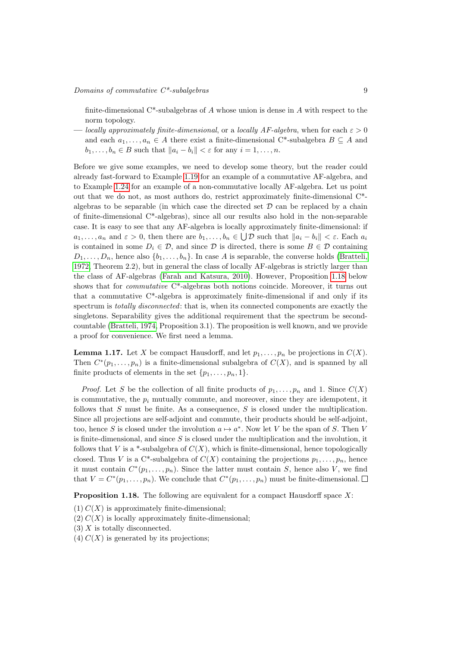finite-dimensional  $C^*$ -subalgebras of A whose union is dense in A with respect to the norm topology.

— locally approximately finite-dimensional, or a locally AF-algebra, when for each  $\varepsilon > 0$ and each  $a_1, \ldots, a_n \in A$  there exist a finite-dimensional C<sup>\*</sup>-subalgebra  $B \subseteq A$  and  $b_1, \ldots, b_n \in B$  such that  $||a_i - b_i|| < \varepsilon$  for any  $i = 1, \ldots, n$ .

Before we give some examples, we need to develop some theory, but the reader could already fast-forward to Example [1.19](#page-9-0) for an example of a commutative AF-algebra, and to Example [1.24](#page-10-0) for an example of a non-commutative locally AF-algebra. Let us point out that we do not, as most authors do, restrict approximately finite-dimensional C\* algebras to be separable (in which case the directed set  $\mathcal D$  can be replaced by a chain of finite-dimensional C\*-algebras), since all our results also hold in the non-separable case. It is easy to see that any AF-algebra is locally approximately finite-dimensional: if  $a_1, \ldots, a_n$  and  $\varepsilon > 0$ , then there are  $b_1, \ldots, b_n \in \bigcup \mathcal{D}$  such that  $||a_i - b_i|| < \varepsilon$ . Each  $a_i$ is contained in some  $D_i \in \mathcal{D}$ , and since  $\mathcal{D}$  is directed, there is some  $B \in \mathcal{D}$  containing  $D_1, \ldots, D_n$ , hence also  $\{b_1, \ldots, b_n\}$ . In case A is separable, the converse holds [\(Bratteli,](#page-39-3) [1972,](#page-39-3) Theorem 2.2), but in general the class of locally AF-algebras is strictly larger than the class of AF-algebras [\(Farah and Katsura, 2010\)](#page-40-8). However, Proposition [1.18](#page-8-0) below shows that for commutative C\*-algebras both notions coincide. Moreover, it turns out that a commutative C\*-algebra is approximately finite-dimensional if and only if its spectrum is *totally disconnected*: that is, when its connected components are exactly the singletons. Separability gives the additional requirement that the spectrum be secondcountable [\(Bratteli, 1974,](#page-39-4) Proposition 3.1). The proposition is well known, and we provide a proof for convenience. We first need a lemma.

<span id="page-8-1"></span>**Lemma 1.17.** Let X be compact Hausdorff, and let  $p_1, \ldots, p_n$  be projections in  $C(X)$ . Then  $C^*(p_1,\ldots,p_n)$  is a finite-dimensional subalgebra of  $C(X)$ , and is spanned by all finite products of elements in the set  $\{p_1, \ldots, p_n, 1\}.$ 

*Proof.* Let S be the collection of all finite products of  $p_1, \ldots, p_n$  and 1. Since  $C(X)$ is commutative, the  $p_i$  mutually commute, and moreover, since they are idempotent, it follows that S must be finite. As a consequence, S is closed under the multiplication. Since all projections are self-adjoint and commute, their products should be self-adjoint, too, hence S is closed under the involution  $a \mapsto a^*$ . Now let V be the span of S. Then V is finite-dimensional, and since S is closed under the multiplication and the involution, it follows that V is a \*-subalgebra of  $C(X)$ , which is finite-dimensional, hence topologically closed. Thus V is a C<sup>\*</sup>-subalgebra of  $C(X)$  containing the projections  $p_1, \ldots, p_n$ , hence it must contain  $C^*(p_1,\ldots,p_n)$ . Since the latter must contain S, hence also V, we find that  $V = C^*(p_1, \ldots, p_n)$ . We conclude that  $C^*(p_1, \ldots, p_n)$  must be finite-dimensional.

<span id="page-8-0"></span>**Proposition 1.18.** The following are equivalent for a compact Hausdorff space  $X$ :

- $(1) C(X)$  is approximately finite-dimensional;
- $(2) C(X)$  is locally approximately finite-dimensional;
- $(3)$  X is totally disconnected.
- (4)  $C(X)$  is generated by its projections;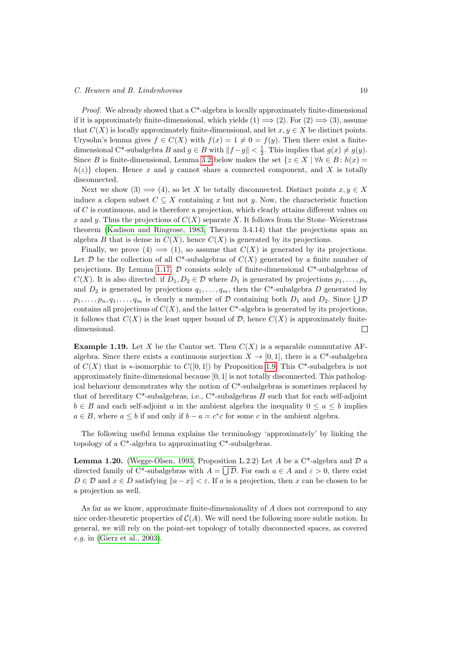#### C. Heunen and B. Lindenhovius 10

Proof. We already showed that a C\*-algebra is locally approximately finite-dimensional if it is approximately finite-dimensional, which yields  $(1) \implies (2)$ . For  $(2) \implies (3)$ , assume that  $C(X)$  is locally approximately finite-dimensional, and let  $x, y \in X$  be distinct points. Urysohn's lemma gives  $f \in C(X)$  with  $f(x) = 1 \neq 0 = f(y)$ . Then there exist a finitedimensional C<sup>\*</sup>-subalgebra B and  $g \in B$  with  $||f - g|| < \frac{1}{2}$ . This implies that  $g(x) \neq g(y)$ . Since B is finite-dimensional, Lemma [3.2](#page-13-1) below makes the set  $\{z \in X \mid \forall h \in B : h(x) =$  $h(z)$  clopen. Hence x and y cannot share a connected component, and X is totally disconnected.

Next we show (3)  $\implies$  (4), so let X be totally disconnected. Distinct points  $x, y \in X$ induce a clopen subset  $C \subseteq X$  containing x but not y. Now, the characteristic function of  $C$  is continuous, and is therefore a projection, which clearly attains different values on x and y. Thus the projections of  $C(X)$  separate X. It follows from the Stone–Weierstrass theorem [\(Kadison and Ringrose, 1983,](#page-40-6) Theorem 3.4.14) that the projections span an algebra B that is dense in  $C(X)$ , hence  $C(X)$  is generated by its projections.

Finally, we prove  $(4) \implies (1)$ , so assume that  $C(X)$  is generated by its projections. Let  $\mathcal D$  be the collection of all C<sup>\*</sup>-subalgebras of  $C(X)$  generated by a finite number of projections. By Lemma [1.17,](#page-8-1)  $\mathcal D$  consists solely of finite-dimensional C\*-subalgebras of  $C(X)$ . It is also directed: if  $D_1, D_2 \in \mathcal{D}$  where  $D_1$  is generated by projections  $p_1, \ldots, p_n$ and  $D_2$  is generated by projections  $q_1, \ldots, q_m$ , then the C<sup>\*</sup>-subalgebra D generated by  $p_1, \ldots, p_n, q_1, \ldots, q_m$  is clearly a member of  $D$  containing both  $D_1$  and  $D_2$ . Since  $\bigcup \mathcal{D}$ contains all projections of  $C(X)$ , and the latter  $C^*$ -algebra is generated by its projections, it follows that  $C(X)$  is the least upper bound of  $D$ , hence  $C(X)$  is approximately finitedimensional.  $\Box$ 

<span id="page-9-0"></span>**Example 1.19.** Let X be the Cantor set. Then  $C(X)$  is a separable commutative AFalgebra. Since there exists a continuous surjection  $X \to [0,1]$ , there is a C<sup>\*</sup>-subalgebra of  $C(X)$  that is \*-isomorphic to  $C([0,1])$  by Proposition [1.9.](#page-4-1) This C<sup>\*</sup>-subalgebra is not approximately finite-dimensional because  $[0, 1]$  is not totally disconnected. This pathological behaviour demonstrates why the notion of C\*-subalgebras is sometimes replaced by that of hereditary  $C^*$ -subalgebras, i.e.,  $C^*$ -subalgebras B such that for each self-adjoint  $b \in B$  and each self-adjoint a in the ambient algebra the inequality  $0 \le a \le b$  implies  $a \in B$ , where  $a \leq b$  if and only if  $b - a = c^*c$  for some c in the ambient algebra.

The following useful lemma explains the terminology 'approximately' by linking the topology of a C\*-algebra to approximating C\*-subalgebras.

<span id="page-9-1"></span>**Lemma 1.20.** [\(Wegge-Olsen, 1993,](#page-41-1) Proposition L.2.2) Let A be a  $C^*$ -algebra and D a directed family of C<sup>\*</sup>-subalgebras with  $A = \bigcup \mathcal{D}$ . For each  $a \in A$  and  $\varepsilon > 0$ , there exist  $D \in \mathcal{D}$  and  $x \in D$  satisfying  $||a-x|| < \varepsilon$ . If a is a projection, then x can be chosen to be a projection as well.

<span id="page-9-2"></span>As far as we know, approximate finite-dimensionality of A does not correspond to any nice order-theoretic properties of  $C(A)$ . We will need the following more subtle notion. In general, we will rely on the point-set topology of totally disconnected spaces, as covered e.g. in [\(Gierz et al., 2003\)](#page-40-5).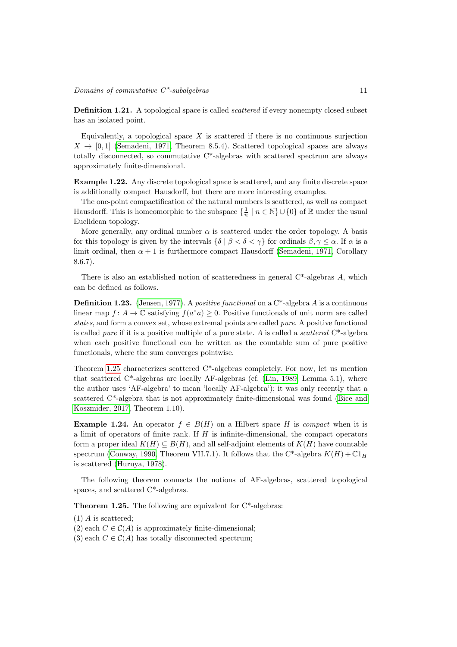#### $\noindent \textit{Domain} \space of \space commutative \space C*-subalgebras \space 11$

**Definition 1.21.** A topological space is called *scattered* if every nonempty closed subset has an isolated point.

Equivalently, a topological space  $X$  is scattered if there is no continuous surjection  $X \rightarrow [0, 1]$  [\(Semadeni, 1971,](#page-41-7) Theorem 8.5.4). Scattered topological spaces are always totally disconnected, so commutative C\*-algebras with scattered spectrum are always approximately finite-dimensional.

<span id="page-10-2"></span>Example 1.22. Any discrete topological space is scattered, and any finite discrete space is additionally compact Hausdorff, but there are more interesting examples.

The one-point compactification of the natural numbers is scattered, as well as compact Hausdorff. This is homeomorphic to the subspace  $\{\frac{1}{n} \mid n \in \mathbb{N}\} \cup \{0\}$  of  $\mathbb R$  under the usual Euclidean topology.

More generally, any ordinal number  $\alpha$  is scattered under the order topology. A basis for this topology is given by the intervals  $\{\delta \mid \beta < \delta < \gamma\}$  for ordinals  $\beta, \gamma \leq \alpha$ . If  $\alpha$  is a limit ordinal, then  $\alpha + 1$  is furthermore compact Hausdorff [\(Semadeni, 1971,](#page-41-7) Corollary 8.6.7).

There is also an established notion of scatteredness in general  $C^*$ -algebras A, which can be defined as follows.

**Definition 1.23.** [\(Jensen, 1977\)](#page-40-9). A *positive functional* on a  $C^*$ -algebra A is a continuous linear map  $f: A \to \mathbb{C}$  satisfying  $f(a^*a) \geq 0$ . Positive functionals of unit norm are called states, and form a convex set, whose extremal points are called *pure*. A positive functional is called *pure* if it is a positive multiple of a pure state. A is called a *scattered*  $C^*$ -algebra when each positive functional can be written as the countable sum of pure positive functionals, where the sum converges pointwise.

Theorem [1.25](#page-10-1) characterizes scattered C\*-algebras completely. For now, let us mention that scattered C\*-algebras are locally AF-algebras (cf. [\(Lin, 1989,](#page-40-10) Lemma 5.1), where the author uses 'AF-algebra' to mean 'locally AF-algebra'); it was only recently that a scattered C\*-algebra that is not approximately finite-dimensional was found [\(Bice and](#page-39-5) [Koszmider, 2017,](#page-39-5) Theorem 1.10).

<span id="page-10-0"></span>**Example 1.24.** An operator  $f \in B(H)$  on a Hilbert space H is *compact* when it is a limit of operators of finite rank. If  $H$  is infinite-dimensional, the compact operators form a proper ideal  $K(H) \subseteq B(H)$ , and all self-adjoint elements of  $K(H)$  have countable spectrum [\(Conway, 1990,](#page-39-2) Theorem VII.7.1). It follows that the C\*-algebra  $K(H) + \mathbb{C}1_H$ is scattered [\(Huruya, 1978\)](#page-40-11).

The following theorem connects the notions of AF-algebras, scattered topological spaces, and scattered C\*-algebras.

<span id="page-10-1"></span>**Theorem 1.25.** The following are equivalent for  $C^*$ -algebras:

(1) A is scattered;

- (2) each  $C \in \mathcal{C}(A)$  is approximately finite-dimensional;
- (3) each  $C \in \mathcal{C}(A)$  has totally disconnected spectrum;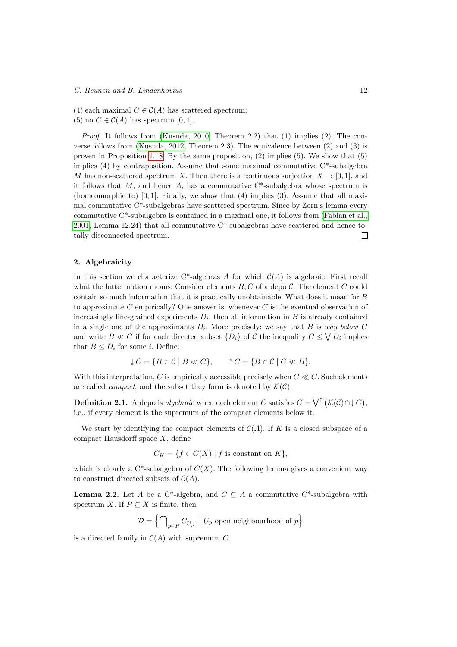- (4) each maximal  $C \in \mathcal{C}(A)$  has scattered spectrum;
- (5) no  $C \in \mathcal{C}(A)$  has spectrum [0, 1].

*Proof.* It follows from [\(Kusuda, 2010,](#page-40-12) Theorem 2.2) that  $(1)$  implies  $(2)$ . The converse follows from [\(Kusuda, 2012,](#page-40-13) Theorem 2.3). The equivalence between (2) and (3) is proven in Proposition [1.18.](#page-8-0) By the same proposition, (2) implies (5). We show that (5) implies  $(4)$  by contraposition. Assume that some maximal commutative  $C^*$ -subalgebra M has non-scattered spectrum X. Then there is a continuous surjection  $X \to [0,1]$ , and it follows that M, and hence A, has a commutative  $C^*$ -subalgebra whose spectrum is (homeomorphic to)  $[0, 1]$ . Finally, we show that  $(4)$  implies  $(3)$ . Assume that all maximal commutative C\*-subalgebras have scattered spectrum. Since by Zorn's lemma every commutative C\*-subalgebra is contained in a maximal one, it follows from [\(Fabian et al.,](#page-40-14) [2001,](#page-40-14) Lemma 12.24) that all commutative  $C^*$ -subalgebras have scattered and hence totally disconnected spectrum.  $\Box$ 

# <span id="page-11-0"></span>2. Algebraicity

In this section we characterize C\*-algebras A for which  $C(A)$  is algebraic. First recall what the latter notion means. Consider elements  $B, C$  of a dcpo  $C$ . The element C could contain so much information that it is practically unobtainable. What does it mean for B to approximate C empirically? One answer is: whenever  $C$  is the eventual observation of increasingly fine-grained experiments  $D_i$ , then all information in  $B$  is already contained in a single one of the approximants  $D_i$ . More precisely: we say that B is way below C and write  $B \ll C$  if for each directed subset  $\{D_i\}$  of C the inequality  $C \leq \bigvee D_i$  implies that  $B \leq D_i$  for some *i*. Define:

$$
\downarrow C = \{ B \in \mathcal{C} \mid B \ll C \}, \qquad \uparrow C = \{ B \in \mathcal{C} \mid C \ll B \}.
$$

With this interpretation, C is empirically accessible precisely when  $C \ll C$ . Such elements are called *compact*, and the subset they form is denoted by  $\mathcal{K}(\mathcal{C})$ .

**Definition 2.1.** A dcpo is *algebraic* when each element C satisfies  $C = \bigvee^{\uparrow} (K(C) \cap \downarrow C)$ , i.e., if every element is the supremum of the compact elements below it.

We start by identifying the compact elements of  $C(A)$ . If K is a closed subspace of a compact Hausdorff space  $X$ , define

 $C_K = \{f \in C(X) \mid f \text{ is constant on } K\},\$ 

which is clearly a  $C^*$ -subalgebra of  $C(X)$ . The following lemma gives a convenient way to construct directed subsets of  $\mathcal{C}(A)$ .

<span id="page-11-1"></span>**Lemma 2.2.** Let A be a C\*-algebra, and  $C \subseteq A$  a commutative C\*-subalgebra with spectrum X. If  $P \subseteq X$  is finite, then

$$
\mathcal{D} = \left\{ \bigcap_{p \in P} C_{\overline{U_p}} \mid U_p \text{ open neighbourhood of } p \right\}
$$

is a directed family in  $\mathcal{C}(A)$  with supremum C.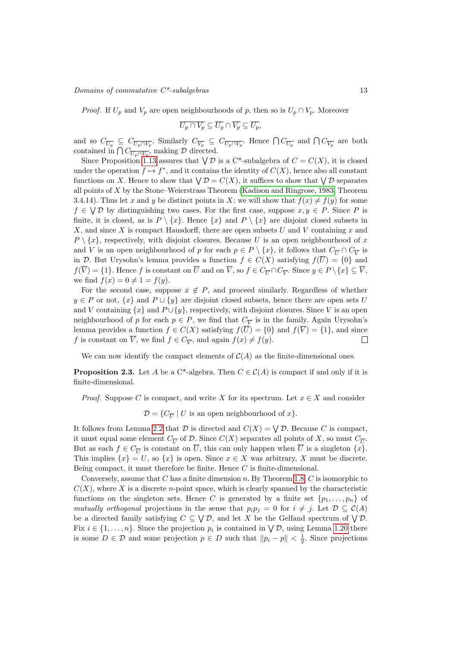$\noindent \textit{Domain} \space$  of commutative  $C^*$ -subalgebras 13

*Proof.* If  $U_p$  and  $V_p$  are open neighbourhoods of p, then so is  $U_p \cap V_p$ . Moreover

$$
\overline{U_p\cap V_p}\subseteq \overline{U_p}\cap \overline{V_p}\subseteq \overline{U_p},
$$

and so  $C_{\overline{U_p}} \subseteq C_{\overline{U_p \cap V_p}}$ . Similarly  $C_{\overline{V_p}} \subseteq C_{\overline{U_p \cap V_p}}$ . Hence  $\bigcap C_{\overline{U_p}}$  and  $\bigcap C_{\overline{V_p}}$  are both contained in  $\bigcap C_{\overline{U_p \cap V_p}}$ , making  $\mathcal D$  directed.

Since Proposition [1.13](#page-6-0) assures that  $\bigvee \mathcal{D}$  is a C\*-subalgebra of  $C = C(X)$ , it is closed under the operation  $f \mapsto f^*$ , and it contains the identity of  $C(X)$ , hence also all constant functions on X. Hence to show that  $\bigvee \mathcal{D} = C(X)$ , it suffices to show that  $\bigvee \mathcal{D}$  separates all points of X by the Stone–Weierstrass Theorem [\(Kadison and Ringrose, 1983,](#page-40-6) Theorem 3.4.14). Thus let x and y be distinct points in X; we will show that  $f(x) \neq f(y)$  for some  $f \in \bigvee \mathcal{D}$  by distinguishing two cases. For the first case, suppose  $x, y \in P$ . Since P is finite, it is closed, as is  $P \setminus \{x\}$ . Hence  $\{x\}$  and  $P \setminus \{x\}$  are disjoint closed subsets in X, and since X is compact Hausdorff, there are open subsets  $U$  and  $V$  containing  $x$  and  $P \setminus \{x\}$ , respectively, with disjoint closures. Because U is an open neighbourhood of x and V is an open neighbourhood of p for each  $p \in P \setminus \{x\}$ , it follows that  $C_{\overline{U}} \cap C_{\overline{V}}$  is in D. But Urysohn's lemma provides a function  $f \in C(X)$  satisfying  $f(\overline{U}) = \{0\}$  and  $f(V) = \{1\}$ . Hence f is constant on U and on V, so  $f \in C_{\overline{U}} \cap C_{\overline{V}}$ . Since  $y \in P \setminus \{x\} \subseteq V$ , we find  $f(x) = 0 \neq 1 = f(y)$ .

For the second case, suppose  $x \notin P$ , and proceed similarly. Regardless of whether  $y \in P$  or not,  $\{x\}$  and  $P \cup \{y\}$  are disjoint closed subsets, hence there are open sets U and V containing  $\{x\}$  and  $P \cup \{y\}$ , respectively, with disjoint closures. Since V is an open neighbourhood of p for each  $p \in P$ , we find that  $C_{\overline{V}}$  is in the family. Again Urysohn's lemma provides a function  $f \in C(X)$  satisfying  $f(\overline{U}) = \{0\}$  and  $f(\overline{V}) = \{1\}$ , and since f is constant on V, we find  $f \in C_{\overline{V}}$ , and again  $f(x) \neq f(y)$ .  $\Box$ 

We can now identify the compact elements of  $C(A)$  as the finite-dimensional ones.

<span id="page-12-0"></span>**Proposition 2.3.** Let A be a C<sup>\*</sup>-algebra. Then  $C \in C(A)$  is compact if and only if it is finite-dimensional.

*Proof.* Suppose C is compact, and write X for its spectrum. Let  $x \in X$  and consider

 $\mathcal{D} = \{C_{\overline{U}} | U \text{ is an open neighborhood of } x\}.$ 

It follows from Lemma [2.2](#page-11-1) that  $D$  is directed and  $C(X) = \bigvee D$ . Because C is compact, it must equal some element  $C_{\overline{U}}$  of  $D$ . Since  $C(X)$  separates all points of X, so must  $C_{\overline{U}}$ . But as each  $f \in C_{\overline{U}}$  is constant on  $\overline{U}$ , this can only happen when  $\overline{U}$  is a singleton  $\{x\}$ . This implies  $\{x\} = U$ , so  $\{x\}$  is open. Since  $x \in X$  was arbitrary, X must be discrete. Being compact, it must therefore be finite. Hence  $C$  is finite-dimensional.

Conversely, assume that C has a finite dimension n. By Theorem [1.8,](#page-4-2) C is isomorphic to  $C(X)$ , where X is a discrete *n*-point space, which is clearly spanned by the characteristic functions on the singleton sets. Hence C is generated by a finite set  $\{p_1, \ldots, p_n\}$  of mutually orthogonal projections in the sense that  $p_i p_j = 0$  for  $i \neq j$ . Let  $\mathcal{D} \subseteq \mathcal{C}(A)$ be a directed family satisfying  $C \subseteq \bigvee \mathcal{D}$ , and let X be the Gelfand spectrum of  $\bigvee \mathcal{D}$ . Fix  $i \in \{1, \ldots, n\}$ . Since the projection  $p_i$  is contained in  $\bigvee \mathcal{D}$ , using Lemma [1.20](#page-9-1) there is some  $D \in \mathcal{D}$  and some projection  $p \in D$  such that  $||p_i - p|| < \frac{1}{2}$ . Since projections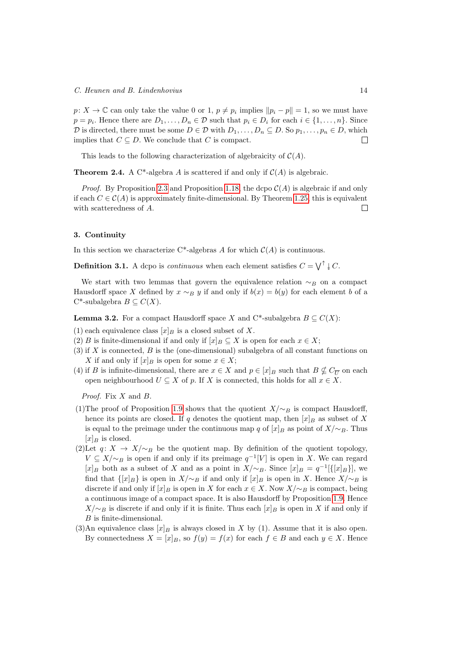$p: X \to \mathbb{C}$  can only take the value 0 or 1,  $p \neq p_i$  implies  $||p_i - p|| = 1$ , so we must have  $p = p_i$ . Hence there are  $D_1, \ldots, D_n \in \mathcal{D}$  such that  $p_i \in D_i$  for each  $i \in \{1, \ldots, n\}$ . Since D is directed, there must be some  $D \in \mathcal{D}$  with  $D_1, \ldots, D_n \subseteq D$ . So  $p_1, \ldots, p_n \in D$ , which implies that  $C \subseteq D$ . We conclude that C is compact.  $\Box$ 

This leads to the following characterization of algebraicity of  $C(A)$ .

<span id="page-13-2"></span>**Theorem 2.4.** A C<sup>\*</sup>-algebra A is scattered if and only if  $C(A)$  is algebraic.

*Proof.* By Proposition [2.3](#page-12-0) and Proposition [1.18,](#page-8-0) the dcpo  $C(A)$  is algebraic if and only if each  $C \in \mathcal{C}(A)$  is approximately finite-dimensional. By Theorem [1.25,](#page-10-1) this is equivalent with scatteredness of A.  $\Box$ 

#### <span id="page-13-0"></span>3. Continuity

In this section we characterize  $C^*$ -algebras A for which  $\mathcal{C}(A)$  is continuous.

**Definition 3.1.** A dcpo is *continuous* when each element satisfies  $C = \bigvee^{\uparrow} \downarrow C$ .

We start with two lemmas that govern the equivalence relation  $~\sim_B~$  on a compact Hausdorff space X defined by  $x \sim_B y$  if and only if  $b(x) = b(y)$  for each element b of a C<sup>\*</sup>-subalgebra  $B \subseteq C(X)$ .

<span id="page-13-1"></span>**Lemma 3.2.** For a compact Hausdorff space X and C<sup>\*</sup>-subalgebra  $B \subseteq C(X)$ :

- (1) each equivalence class  $[x]_B$  is a closed subset of X.
- (2) B is finite-dimensional if and only if  $[x]_B \subseteq X$  is open for each  $x \in X$ ;
- $(3)$  if X is connected, B is the (one-dimensional) subalgebra of all constant functions on X if and only if  $[x]_B$  is open for some  $x \in X$ ;
- (4) if B is infinite-dimensional, there are  $x \in X$  and  $p \in [x]_B$  such that  $B \nsubseteq C_{\overline{U}}$  on each open neighbourhood  $U \subseteq X$  of p. If X is connected, this holds for all  $x \in X$ .

Proof. Fix X and B.

- (1)The proof of Proposition [1.9](#page-4-1) shows that the quotient  $X/\sim_B$  is compact Hausdorff, hence its points are closed. If q denotes the quotient map, then  $[x]_B$  as subset of X is equal to the preimage under the continuous map q of  $[x]_B$  as point of  $X/\sim_B$ . Thus  $[x]_B$  is closed.
- (2)Let  $q: X \to X/\sim_B$  be the quotient map. By definition of the quotient topology,  $V \subseteq X/\sim_B$  is open if and only if its preimage  $q^{-1}[V]$  is open in X. We can regard [x]<sub>B</sub> both as a subset of X and as a point in  $X/\sim_B$ . Since [x]<sub>B</sub> = q<sup>-1</sup>[{[x]<sub>B</sub>}], we find that  $\{[x]_B\}$  is open in  $X/\sim_B$  if and only if  $[x]_B$  is open in X. Hence  $X/\sim_B$  is discrete if and only if  $[x]_B$  is open in X for each  $x \in X$ . Now  $X/\sim_B$  is compact, being a continuous image of a compact space. It is also Hausdorff by Proposition [1.9.](#page-4-1) Hence  $X/\sim_B$  is discrete if and only if it is finite. Thus each  $[x]_B$  is open in X if and only if B is finite-dimensional.
- (3)An equivalence class  $[x]_B$  is always closed in X by (1). Assume that it is also open. By connectedness  $X = [x]_B$ , so  $f(y) = f(x)$  for each  $f \in B$  and each  $y \in X$ . Hence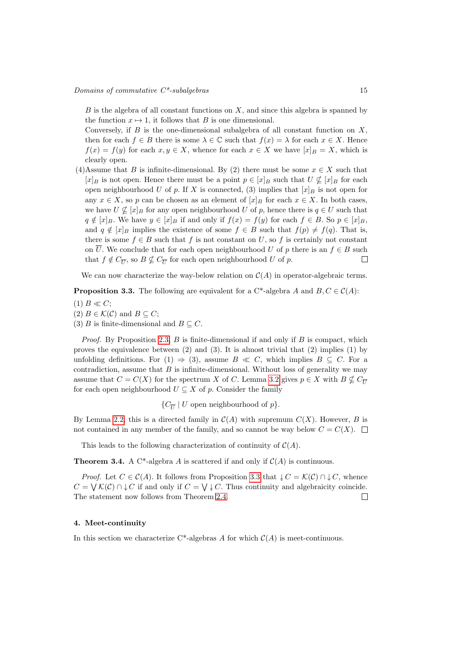$B$  is the algebra of all constant functions on  $X$ , and since this algebra is spanned by the function  $x \mapsto 1$ , it follows that B is one dimensional.

Conversely, if  $B$  is the one-dimensional subalgebra of all constant function on  $X$ , then for each  $f \in B$  there is some  $\lambda \in \mathbb{C}$  such that  $f(x) = \lambda$  for each  $x \in X$ . Hence  $f(x) = f(y)$  for each  $x, y \in X$ , whence for each  $x \in X$  we have  $[x]_B = X$ , which is clearly open.

(4)Assume that B is infinite-dimensional. By (2) there must be some  $x \in X$  such that  $[x]_B$  is not open. Hence there must be a point  $p \in [x]_B$  such that  $U \nsubseteq [x]_B$  for each open neighbourhood U of p. If X is connected, (3) implies that  $[x]_B$  is not open for any  $x \in X$ , so p can be chosen as an element of  $[x]_B$  for each  $x \in X$ . In both cases, we have  $U \nsubseteq [x]_B$  for any open neighbourhood U of p, hence there is  $q \in U$  such that  $q \notin [x]_B$ . We have  $y \in [x]_B$  if and only if  $f(x) = f(y)$  for each  $f \in B$ . So  $p \in [x]_B$ , and  $q \notin [x]_B$  implies the existence of some  $f \in B$  such that  $f(p) \neq f(q)$ . That is, there is some  $f \in B$  such that f is not constant on U, so f is certainly not constant on  $\overline{U}$ . We conclude that for each open neighbourhood U of p there is an  $f \in B$  such that  $f \notin C_{\overline{U}}$ , so  $B \nsubseteq C_{\overline{U}}$  for each open neighbourhood U of p.  $\Box$ 

We can now characterize the way-below relation on  $\mathcal{C}(A)$  in operator-algebraic terms.

<span id="page-14-1"></span>**Proposition 3.3.** The following are equivalent for a C<sup>\*</sup>-algebra A and  $B, C \in \mathcal{C}(A)$ :

- $(1)$   $B \ll C$ ;
- (2)  $B \in \mathcal{K}(\mathcal{C})$  and  $B \subseteq C$ ;
- (3) B is finite-dimensional and  $B \subseteq C$ .

*Proof.* By Proposition [2.3,](#page-12-0)  $B$  is finite-dimensional if and only if  $B$  is compact, which proves the equivalence between  $(2)$  and  $(3)$ . It is almost trivial that  $(2)$  implies  $(1)$  by unfolding definitions. For (1)  $\Rightarrow$  (3), assume  $B \ll C$ , which implies  $B \subset C$ . For a contradiction, assume that  $B$  is infinite-dimensional. Without loss of generality we may assume that  $C = C(X)$  for the spectrum X of C. Lemma [3.2](#page-13-1) gives  $p \in X$  with  $B \nsubseteq C_{\overline{U}}$ for each open neighbourhood  $U \subseteq X$  of p. Consider the family

 $\{C_{\overline{U}} | U \text{ open neighbourhood of } p\}.$ 

By Lemma [2.2,](#page-11-1) this is a directed family in  $\mathcal{C}(A)$  with supremum  $C(X)$ . However, B is not contained in any member of the family, and so cannot be way below  $C = C(X)$ .

This leads to the following characterization of continuity of  $\mathcal{C}(A)$ .

<span id="page-14-2"></span>**Theorem 3.4.** A C<sup>\*</sup>-algebra A is scattered if and only if  $C(A)$  is continuous.

*Proof.* Let  $C \in \mathcal{C}(A)$ . It follows from Proposition [3.3](#page-14-1) that  $\downarrow C = \mathcal{K}(C) \cap \downarrow C$ , whence  $C = \bigvee \mathcal{K}(\mathcal{C}) \cap \mathcal{L}(\mathcal{C})$  if and only if  $C = \bigvee \mathcal{L}(\mathcal{C})$ . Thus continuity and algebraicity coincide. The statement now follows from Theorem [2.4.](#page-13-2)  $\Box$ 

#### <span id="page-14-0"></span>4. Meet-continuity

In this section we characterize  $C^*$ -algebras A for which  $\mathcal{C}(A)$  is meet-continuous.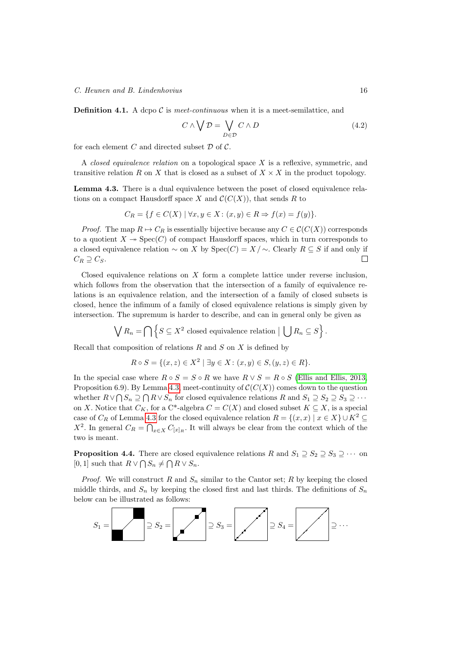C. Heunen and B. Lindenhovius 16

**Definition 4.1.** A dcpo  $\mathcal C$  is meet-continuous when it is a meet-semilattice, and

$$
C \wedge \bigvee \mathcal{D} = \bigvee_{D \in \mathcal{D}} C \wedge D \tag{4.2}
$$

for each element  $C$  and directed subset  $D$  of  $C$ .

A *closed equivalence relation* on a topological space  $X$  is a reflexive, symmetric, and transitive relation R on X that is closed as a subset of  $X \times X$  in the product topology.

<span id="page-15-0"></span>Lemma 4.3. There is a dual equivalence between the poset of closed equivalence relations on a compact Hausdorff space X and  $\mathcal{C}(C(X))$ , that sends R to

$$
C_R = \{ f \in C(X) \mid \forall x, y \in X : (x, y) \in R \Rightarrow f(x) = f(y) \}.
$$

*Proof.* The map  $R \mapsto C_R$  is essentially bijective because any  $C \in \mathcal{C}(C(X))$  corresponds to a quotient  $X \to \text{Spec}(C)$  of compact Hausdorff spaces, which in turn corresponds to a closed equivalence relation  $\sim$  on X by Spec $(C) = X/\sim$ . Clearly  $R \subseteq S$  if and only if  $C_R \supseteq C_S$ .  $\Box$ 

Closed equivalence relations on X form a complete lattice under reverse inclusion, which follows from the observation that the intersection of a family of equivalence relations is an equivalence relation, and the intersection of a family of closed subsets is closed, hence the infimum of a family of closed equivalence relations is simply given by intersection. The supremum is harder to describe, and can in general only be given as

$$
\bigvee R_n = \bigcap \left\{ S \subseteq X^2 \text{ closed equivalence relation } | \bigcup R_n \subseteq S \right\}.
$$

Recall that composition of relations  $R$  and  $S$  on  $X$  is defined by

$$
R \circ S = \{ (x, z) \in X^2 \mid \exists y \in X : (x, y) \in S, (y, z) \in R \}.
$$

In the special case where  $R \circ S = S \circ R$  we have  $R \vee S = R \circ S$  [\(Ellis and Ellis, 2013,](#page-40-15) Proposition 6.9). By Lemma [4.3,](#page-15-0) meet-continuity of  $\mathcal{C}(C(X))$  comes down to the question whether  $R \vee \bigcap S_n \supseteq \bigcap R \vee S_n$  for closed equivalence relations  $R$  and  $S_1 \supseteq S_2 \supseteq S_3 \supseteq \cdots$ on X. Notice that  $C_K$ , for a C<sup>\*</sup>-algebra  $C = C(X)$  and closed subset  $K \subseteq X$ , is a special case of  $C_R$  of Lemma [4.3](#page-15-0) for the closed equivalence relation  $R = \{(x, x) | x \in X\} \cup K^2 \subseteq$  $X^2$ . In general  $C_R = \bigcap_{x \in X} C_{[x]_R}$ . It will always be clear from the context which of the two is meant.

<span id="page-15-1"></span>**Proposition 4.4.** There are closed equivalence relations R and  $S_1 \supseteq S_2 \supseteq S_3 \supseteq \cdots$  on [0, 1] such that  $R \vee \bigcap S_n \neq \bigcap R \vee S_n$ .

*Proof.* We will construct R and  $S_n$  similar to the Cantor set; R by keeping the closed middle thirds, and  $S_n$  by keeping the closed first and last thirds. The definitions of  $S_n$ below can be illustrated as follows:

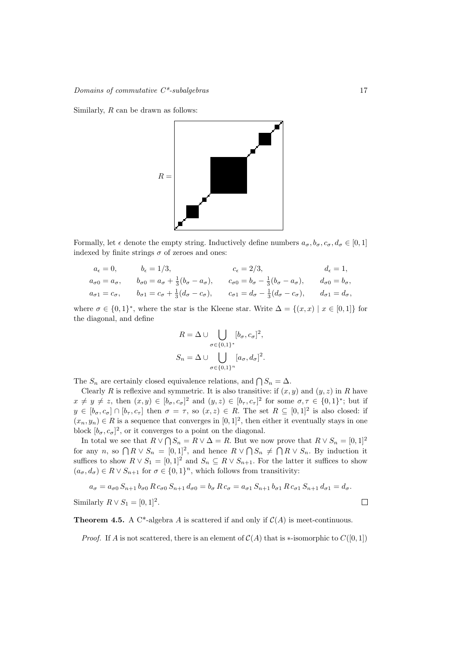Similarly, R can be drawn as follows:



Formally, let  $\epsilon$  denote the empty string. Inductively define numbers  $a_{\sigma}, b_{\sigma}, c_{\sigma}, d_{\sigma} \in [0, 1]$ indexed by finite strings  $\sigma$  of zeroes and ones:

$$
a_{\epsilon} = 0,
$$
  $b_{\epsilon} = 1/3,$   $c_{\epsilon} = 2/3,$   $d_{\epsilon} = 1,$   
\n $a_{\sigma 0} = a_{\sigma},$   $b_{\sigma 0} = a_{\sigma} + \frac{1}{3}(b_{\sigma} - a_{\sigma}),$   $c_{\sigma 0} = b_{\sigma} - \frac{1}{3}(b_{\sigma} - a_{\sigma}),$   $d_{\sigma 0} = b_{\sigma},$   
\n $a_{\sigma 1} = c_{\sigma},$   $b_{\sigma 1} = c_{\sigma} + \frac{1}{3}(d_{\sigma} - c_{\sigma}),$   $c_{\sigma 1} = d_{\sigma} - \frac{1}{3}(d_{\sigma} - c_{\sigma}),$   $d_{\sigma 1} = d_{\sigma},$ 

where  $\sigma \in \{0,1\}^*$ , where the star is the Kleene star. Write  $\Delta = \{(x,x) \mid x \in [0,1]\}$  for the diagonal, and define

$$
R = \Delta \cup \bigcup_{\sigma \in \{0,1\}^*} [b_{\sigma}, c_{\sigma}]^2,
$$
  

$$
S_n = \Delta \cup \bigcup_{\sigma \in \{0,1\}^n} [a_{\sigma}, d_{\sigma}]^2.
$$

The  $S_n$  are certainly closed equivalence relations, and  $\bigcap S_n = \Delta$ .

Clearly R is reflexive and symmetric. It is also transitive: if  $(x, y)$  and  $(y, z)$  in R have  $x \neq y \neq z$ , then  $(x, y) \in [b_\sigma, c_\sigma]^2$  and  $(y, z) \in [b_\tau, c_\tau]^2$  for some  $\sigma, \tau \in \{0, 1\}^*$ ; but if  $y \in [b_{\sigma}, c_{\sigma}] \cap [b_{\tau}, c_{\tau}]$  then  $\sigma = \tau$ , so  $(x, z) \in R$ . The set  $R \subseteq [0, 1]^2$  is also closed: if  $(x_n, y_n) \in R$  is a sequence that converges in  $[0, 1]^2$ , then either it eventually stays in one block  $[b_{\sigma}, c_{\sigma}]^2$ , or it converges to a point on the diagonal.

In total we see that  $R \vee \bigcap S_n = R \vee \Delta = R$ . But we now prove that  $R \vee S_n = [0,1]^2$ for any n, so  $\bigcap R \vee S_n = [0,1]^2$ , and hence  $R \vee \bigcap S_n \neq \bigcap R \vee S_n$ . By induction it suffices to show  $R \vee S_1 = [0,1]^2$  and  $S_n \subseteq R \vee S_{n+1}$ . For the latter it suffices to show  $(a_{\sigma}, d_{\sigma}) \in R \vee S_{n+1}$  for  $\sigma \in \{0, 1\}^n$ , which follows from transitivity:

$$
a_{\sigma} = a_{\sigma 0} S_{n+1} b_{\sigma 0} R c_{\sigma 0} S_{n+1} d_{\sigma 0} = b_{\sigma} R c_{\sigma} = a_{\sigma 1} S_{n+1} b_{\sigma 1} R c_{\sigma 1} S_{n+1} d_{\sigma 1} = d_{\sigma}.
$$
  
Similarly  $R \vee S_1 = [0, 1]^2$ .

**Theorem 4.5.** A C\*-algebra A is scattered if and only if  $C(A)$  is meet-continuous.

*Proof.* If A is not scattered, there is an element of  $C(A)$  that is  $\ast$ -isomorphic to  $C([0, 1])$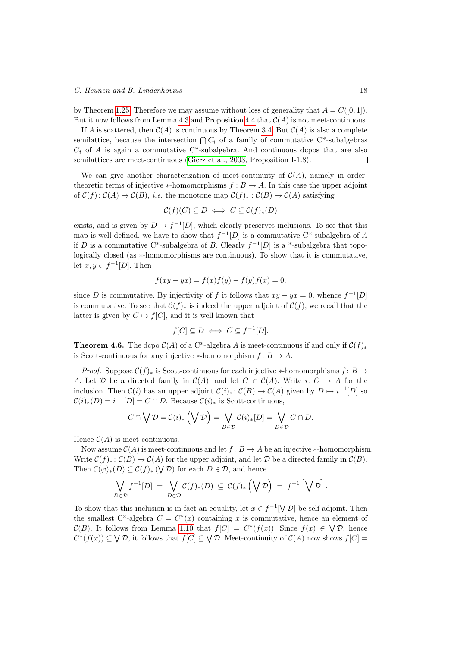#### C. Heunen and B. Lindenhovius 18

by Theorem [1.25.](#page-10-1) Therefore we may assume without loss of generality that  $A = C([0, 1]).$ But it now follows from Lemma [4.3](#page-15-0) and Proposition [4.4](#page-15-1) that  $\mathcal{C}(A)$  is not meet-continuous.

If A is scattered, then  $C(A)$  is continuous by Theorem [3.4.](#page-14-2) But  $C(A)$  is also a complete semilattice, because the intersection  $\bigcap C_i$  of a family of commutative C<sup>\*</sup>-subalgebras  $C_i$  of A is again a commutative C<sup>\*</sup>-subalgebra. And continuous dcpos that are also semilattices are meet-continuous [\(Gierz et al., 2003,](#page-40-5) Proposition I-1.8).  $\Box$ 

We can give another characterization of meet-continuity of  $\mathcal{C}(A)$ , namely in ordertheoretic terms of injective  $*$ -homomorphisms  $f : B \to A$ . In this case the upper adjoint of  $C(f): C(A) \to C(B)$ , *i.e.* the monotone map  $C(f)_*: C(B) \to C(A)$  satisfying

$$
\mathcal{C}(f)(C) \subseteq D \iff C \subseteq \mathcal{C}(f)_*(D)
$$

exists, and is given by  $D \mapsto f^{-1}[D]$ , which clearly preserves inclusions. To see that this map is well defined, we have to show that  $f^{-1}[D]$  is a commutative C<sup>\*</sup>-subalgebra of A if D is a commutative C<sup>\*</sup>-subalgebra of B. Clearly  $f^{-1}[D]$  is a <sup>\*</sup>-subalgebra that topologically closed (as ∗-homomorphisms are continuous). To show that it is commutative, let  $x, y \in f^{-1}[D]$ . Then

$$
f(xy - yx) = f(x)f(y) - f(y)f(x) = 0,
$$

since D is commutative. By injectivity of f it follows that  $xy - yx = 0$ , whence  $f^{-1}[D]$ is commutative. To see that  $\mathcal{C}(f)_*$  is indeed the upper adjoint of  $\mathcal{C}(f)$ , we recall that the latter is given by  $C \mapsto f[C]$ , and it is well known that

$$
f[C] \subseteq D \iff C \subseteq f^{-1}[D].
$$

**Theorem 4.6.** The dcpo  $C(A)$  of a C\*-algebra A is meet-continuous if and only if  $C(f)_*$ is Scott-continuous for any injective  $\ast$ -homomorphism  $f: B \to A$ .

*Proof.* Suppose  $C(f)_*$  is Scott-continuous for each injective \*-homomorphisms f: B  $\rightarrow$ A. Let D be a directed family in  $C(A)$ , and let  $C \in C(A)$ . Write  $i: C \rightarrow A$  for the inclusion. Then  $\mathcal{C}(i)$  has an upper adjoint  $\mathcal{C}(i)_* : \mathcal{C}(B) \to \mathcal{C}(A)$  given by  $D \mapsto i^{-1}[D]$  so  $\mathcal{C}(i)_*(D) = i^{-1}[D] = C \cap D$ . Because  $\mathcal{C}(i)_*$  is Scott-continuous,

$$
C \cap \bigvee \mathcal{D} = \mathcal{C}(i)_* \left(\bigvee \mathcal{D}\right) = \bigvee_{D \in \mathcal{D}} \mathcal{C}(i)_*[D] = \bigvee_{D \in \mathcal{D}} C \cap D.
$$

Hence  $\mathcal{C}(A)$  is meet-continuous.

Now assume  $C(A)$  is meet-continuous and let  $f: B \to A$  be an injective  $\ast$ -homomorphism. Write  $\mathcal{C}(f)_* : \mathcal{C}(B) \to \mathcal{C}(A)$  for the upper adjoint, and let  $\mathcal{D}$  be a directed family in  $\mathcal{C}(B)$ . Then  $\mathcal{C}(\varphi)_*(D) \subseteq \mathcal{C}(f)_*(V \mathcal{D})$  for each  $D \in \mathcal{D}$ , and hence

$$
\bigvee_{D \in \mathcal{D}} f^{-1}[D] = \bigvee_{D \in \mathcal{D}} \mathcal{C}(f)_*(D) \subseteq \mathcal{C}(f)_*\left(\bigvee \mathcal{D}\right) = f^{-1}\left[\bigvee \mathcal{D}\right].
$$

To show that this inclusion is in fact an equality, let  $x \in f^{-1}[\nabla \mathcal{D}]$  be self-adjoint. Then the smallest C<sup>\*</sup>-algebra  $C = C^*(x)$  containing x is commutative, hence an element of  $\mathcal{C}(B)$ . It follows from Lemma [1.10](#page-5-0) that  $f[C] = C^*(f(x))$ . Since  $f(x) \in \bigvee \mathcal{D}$ , hence  $C^*(f(x)) \subseteq \bigvee \mathcal{D}$ , it follows that  $f[C] \subseteq \bigvee \mathcal{D}$ . Meet-continuity of  $\mathcal{C}(A)$  now shows  $f[C] =$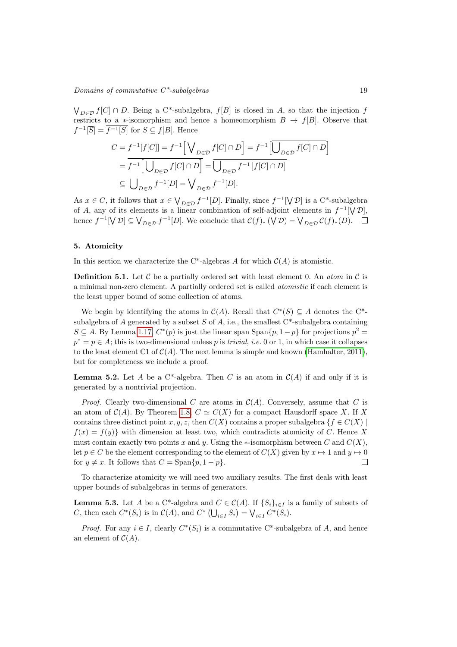$\bigvee_{D \in \mathcal{D}} f[C] \cap D$ . Being a C<sup>\*</sup>-subalgebra,  $f[B]$  is closed in A, so that the injection f restricts to a ∗-isomorphism and hence a homeomorphism  $B \to f[B]$ . Observe that  $f^{-1}[\overline{S}] = \overline{f^{-1}[S]}$  for  $S \subseteq f[B]$ . Hence

$$
C = f^{-1}[f[C]] = f^{-1}\Big[\bigvee_{D \in \mathcal{D}} f[C] \cap D\Big] = f^{-1}\Big[\overline{\bigcup_{D \in \mathcal{D}} f[C] \cap D}\Big]
$$
  
= 
$$
\overline{f^{-1}\Big[\bigcup_{D \in \mathcal{D}} f[C] \cap D\Big]} = \overline{\bigcup_{D \in \mathcal{D}} f^{-1}[f[C] \cap D]}
$$
  

$$
\subseteq \overline{\bigcup_{D \in \mathcal{D}} f^{-1}[D]} = \bigvee_{D \in \mathcal{D}} f^{-1}[D].
$$

As  $x \in C$ , it follows that  $x \in V_{D \in \mathcal{D}} f^{-1}[D]$ . Finally, since  $f^{-1}[V \mathcal{D}]$  is a C\*-subalgebra of A, any of its elements is a linear combination of self-adjoint elements in  $f^{-1}[\nabla \mathcal{D}]$ , hence  $f^{-1}[\nabla \mathcal{D}] \subseteq \bigvee_{D \in \mathcal{D}} f^{-1}[D]$ . We conclude that  $\mathcal{C}(f)_*(\nabla \mathcal{D}) = \bigvee_{D \in \mathcal{D}} \mathcal{C}(f)_*(D)$ .

# <span id="page-18-0"></span>5. Atomicity

In this section we characterize the C\*-algebras A for which  $C(A)$  is atomistic.

**Definition 5.1.** Let  $\mathcal C$  be a partially ordered set with least element 0. An *atom* in  $\mathcal C$  is a minimal non-zero element. A partially ordered set is called atomistic if each element is the least upper bound of some collection of atoms.

We begin by identifying the atoms in  $\mathcal{C}(A)$ . Recall that  $C^*(S) \subseteq A$  denotes the  $C^*$ subalgebra of A generated by a subset  $S$  of  $A$ , i.e., the smallest  $C^*$ -subalgebra containing  $S \subseteq A$ . By Lemma [1.17,](#page-8-1)  $C^*(p)$  is just the linear span  $\text{Span}\{p, 1-p\}$  for projections  $p^2 =$  $p^* = p \in A$ ; this is two-dimensional unless p is *trivial*, *i.e.* 0 or 1, in which case it collapses to the least element  $\mathbb{C}1$  of  $\mathcal{C}(A)$ . The next lemma is simple and known [\(Hamhalter, 2011\)](#page-40-0), but for completeness we include a proof.

<span id="page-18-2"></span>**Lemma 5.2.** Let A be a C<sup>\*</sup>-algebra. Then C is an atom in  $C(A)$  if and only if it is generated by a nontrivial projection.

*Proof.* Clearly two-dimensional C are atoms in  $C(A)$ . Conversely, assume that C is an atom of  $C(A)$ . By Theorem [1.8,](#page-4-2)  $C \simeq C(X)$  for a compact Hausdorff space X. If X contains three distinct point x, y, z, then  $C(X)$  contains a proper subalgebra  $\{f \in C(X) \mid$  $f(x) = f(y)$  with dimension at least two, which contradicts atomicity of C. Hence X must contain exactly two points x and y. Using the ∗-isomorphism between C and  $C(X)$ , let  $p \in C$  be the element corresponding to the element of  $C(X)$  given by  $x \mapsto 1$  and  $y \mapsto 0$ for  $y \neq x$ . It follows that  $C = \text{Span}\{p, 1 - p\}.$  $\Box$ 

To characterize atomicity we will need two auxiliary results. The first deals with least upper bounds of subalgebras in terms of generators.

<span id="page-18-1"></span>**Lemma 5.3.** Let A be a C<sup>\*</sup>-algebra and  $C \in \mathcal{C}(A)$ . If  $\{S_i\}_{i \in I}$  is a family of subsets of C, then each  $C^*(S_i)$  is in  $C(A)$ , and  $C^*\left(\bigcup_{i\in I} S_i\right) = \bigvee_{i\in I} C^*(S_i)$ .

*Proof.* For any  $i \in I$ , clearly  $C^*(S_i)$  is a commutative C<sup>\*</sup>-subalgebra of A, and hence an element of  $C(A)$ .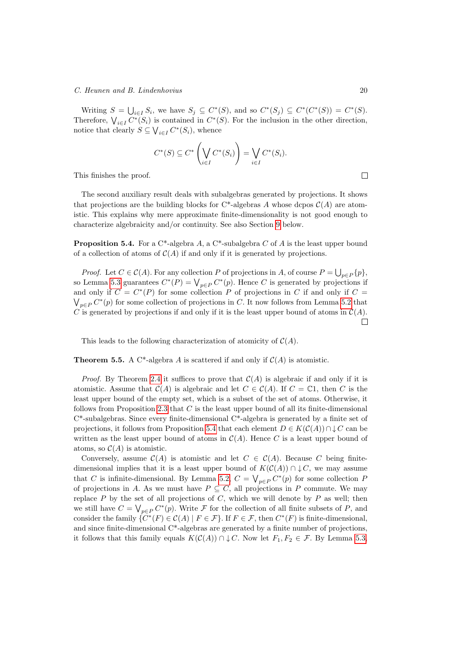Writing  $S = \bigcup_{i \in I} S_i$ , we have  $S_j \subseteq C^*(S)$ , and so  $C^*(S_j) \subseteq C^*(C^*(S)) = C^*(S)$ . Therefore,  $\bigvee_{i\in I} C^*(S_i)$  is contained in  $C^*(S)$ . For the inclusion in the other direction, notice that clearly  $S \subseteq \bigvee_{i \in I} C^*(S_i)$ , whence

$$
C^*(S) \subseteq C^* \left( \bigvee_{i \in I} C^*(S_i) \right) = \bigvee_{i \in I} C^*(S_i).
$$

This finishes the proof.

The second auxiliary result deals with subalgebras generated by projections. It shows that projections are the building blocks for  $C^*$ -algebras A whose dcpos  $C(A)$  are atomistic. This explains why mere approximate finite-dimensionality is not good enough to characterize algebraicity and/or continuity. See also Section [9](#page-30-1) below.

<span id="page-19-0"></span>**Proposition 5.4.** For a  $C^*$ -algebra A, a  $C^*$ -subalgebra C of A is the least upper bound of a collection of atoms of  $C(A)$  if and only if it is generated by projections.

*Proof.* Let  $C \in \mathcal{C}(A)$ . For any collection P of projections in A, of course  $P = \bigcup_{p \in P} \{p\}$ , so Lemma [5.3](#page-18-1) guarantees  $C^*(P) = \bigvee_{p \in P} C^*(p)$ . Hence C is generated by projections if and only if  $C = C^*(P)$  for some collection P of projections in C if and only if  $C =$  $\bigvee_{p\in P} C^*(p)$  for some collection of projections in C. It now follows from Lemma [5.2](#page-18-2) that C is generated by projections if and only if it is the least upper bound of atoms in  $C(A)$ .  $\Box$ 

<span id="page-19-1"></span>This leads to the following characterization of atomicity of  $C(A)$ .

**Theorem 5.5.** A C<sup>\*</sup>-algebra A is scattered if and only if  $C(A)$  is atomistic.

*Proof.* By Theorem [2.4](#page-13-2) it suffices to prove that  $C(A)$  is algebraic if and only if it is atomistic. Assume that  $C(A)$  is algebraic and let  $C \in C(A)$ . If  $C = \mathbb{C}1$ , then C is the least upper bound of the empty set, which is a subset of the set of atoms. Otherwise, it follows from Proposition [2.3](#page-12-0) that  $C$  is the least upper bound of all its finite-dimensional C\*-subalgebras. Since every finite-dimensional C\*-algebra is generated by a finite set of projections, it follows from Proposition [5.4](#page-19-0) that each element  $D \in K(C(A)) \cap \downarrow C$  can be written as the least upper bound of atoms in  $\mathcal{C}(A)$ . Hence C is a least upper bound of atoms, so  $\mathcal{C}(A)$  is atomistic.

Conversely, assume  $C(A)$  is atomistic and let  $C \in C(A)$ . Because C being finitedimensional implies that it is a least upper bound of  $K(\mathcal{C}(A)) \cap \downarrow C$ , we may assume that C is infinite-dimensional. By Lemma [5.2,](#page-18-2)  $C = \bigvee_{p \in P} C^*(p)$  for some collection P of projections in A. As we must have  $P \subseteq C$ , all projections in P commute. We may replace  $P$  by the set of all projections of  $C$ , which we will denote by  $P$  as well; then we still have  $C = \bigvee_{p \in P} C^*(p)$ . Write F for the collection of all finite subsets of P, and consider the family  $\{C^*(F) \in \mathcal{C}(A) \mid F \in \mathcal{F}\}\.$  If  $F \in \mathcal{F}$ , then  $C^*(F)$  is finite-dimensional, and since finite-dimensional C\*-algebras are generated by a finite number of projections, it follows that this family equals  $K(\mathcal{C}(A)) \cap \downarrow C$ . Now let  $F_1, F_2 \in \mathcal{F}$ . By Lemma [5.3,](#page-18-1)

 $\Box$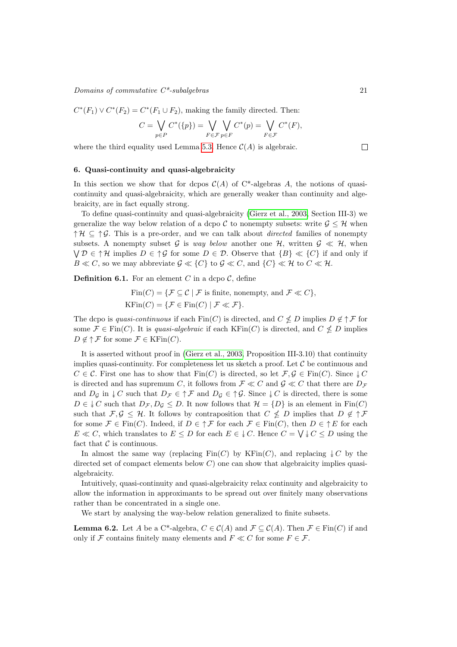#### $\noindent \textit{Domain} \space$  of commutative  $C^*$ -subalgebras 21

$$
C^*(F_1) \vee C^*(F_2) = C^*(F_1 \cup F_2)
$$
, making the family directed. Then:

$$
C = \bigvee_{p \in P} C^*(\{p\}) = \bigvee_{F \in \mathcal{F}} \bigvee_{p \in F} C^*(p) = \bigvee_{F \in \mathcal{F}} C^*(F),
$$

where the third equality used Lemma [5.3.](#page-18-1) Hence  $\mathcal{C}(A)$  is algebraic.

#### <span id="page-20-0"></span>6. Quasi-continuity and quasi-algebraicity

In this section we show that for dcpos  $\mathcal{C}(A)$  of C<sup>\*</sup>-algebras A, the notions of quasicontinuity and quasi-algebraicity, which are generally weaker than continuity and algebraicity, are in fact equally strong.

To define quasi-continuity and quasi-algebraicity [\(Gierz et al., 2003,](#page-40-5) Section III-3) we generalize the way below relation of a dcpo C to nonempty subsets: write  $\mathcal{G} \leq \mathcal{H}$  when  $\uparrow \mathcal{H} \subseteq \uparrow \mathcal{G}$ . This is a pre-order, and we can talk about *directed* families of nonempty subsets. A nonempty subset G is way below another one H, written  $\mathcal{G} \ll \mathcal{H}$ , when  $\bigvee \mathcal{D} \in \uparrow \mathcal{H}$  implies  $D \in \uparrow \mathcal{G}$  for some  $D \in \mathcal{D}$ . Observe that  $\{B\} \ll \{C\}$  if and only if  $B \ll C$ , so we may abbreviate  $\mathcal{G} \ll \{C\}$  to  $\mathcal{G} \ll C$ , and  $\{C\} \ll \mathcal{H}$  to  $C \ll \mathcal{H}$ .

<span id="page-20-2"></span>**Definition 6.1.** For an element C in a dcpo  $\mathcal{C}$ , define

$$
Fin(C) = \{ \mathcal{F} \subseteq \mathcal{C} \mid \mathcal{F} \text{ is finite, nonempty, and } \mathcal{F} \ll C \},
$$
  

$$
KFin(C) = \{ \mathcal{F} \in Fin(C) \mid \mathcal{F} \ll \mathcal{F} \}.
$$

The dcpo is quasi-continuous if each  $\text{Fin}(C)$  is directed, and  $C \nleq D$  implies  $D \notin \uparrow \mathcal{F}$  for some  $\mathcal{F} \in \text{Fin}(C)$ . It is quasi-algebraic if each  $\text{KFin}(C)$  is directed, and  $C \nleq D$  implies  $D \notin \uparrow \mathcal{F}$  for some  $\mathcal{F} \in \mathrm{KFin}(C)$ .

It is asserted without proof in [\(Gierz et al., 2003,](#page-40-5) Proposition III-3.10) that continuity implies quasi-continuity. For completeness let us sketch a proof. Let  $\mathcal C$  be continuous and  $C \in \mathcal{C}$ . First one has to show that  $\text{Fin}(C)$  is directed, so let  $\mathcal{F}, \mathcal{G} \in \text{Fin}(C)$ . Since  $\downarrow C$ is directed and has supremum C, it follows from  $\mathcal{F} \ll C$  and  $\mathcal{G} \ll C$  that there are  $D_{\mathcal{F}}$ and  $D_{\mathcal{G}}$  in  $\downarrow$  C such that  $D_{\mathcal{F}} \in \uparrow \mathcal{F}$  and  $D_{\mathcal{G}} \in \uparrow \mathcal{G}$ . Since  $\downarrow$  C is directed, there is some  $D \in \downarrow C$  such that  $D_{\mathcal{F}}$ ,  $D_{\mathcal{G}} \leq D$ . It now follows that  $\mathcal{H} = \{D\}$  is an element in Fin(C) such that  $\mathcal{F}, \mathcal{G} \leq \mathcal{H}$ . It follows by contraposition that  $C \nleq D$  implies that  $D \notin \uparrow \mathcal{F}$ for some  $\mathcal{F} \in \text{Fin}(C)$ . Indeed, if  $D \in \uparrow \mathcal{F}$  for each  $\mathcal{F} \in \text{Fin}(C)$ , then  $D \in \uparrow E$  for each  $E \ll C$ , which translates to  $E \leq D$  for each  $E \in \mathcal{F}$ . Hence  $C = \bigvee \mathcal{F} \subset D$  using the fact that  $\mathcal C$  is continuous.

In almost the same way (replacing  $\text{Fin}(C)$  by  $\text{KFin}(C)$ , and replacing  $\downarrow C$  by the directed set of compact elements below  $C$ ) one can show that algebraicity implies quasialgebraicity.

Intuitively, quasi-continuity and quasi-algebraicity relax continuity and algebraicity to allow the information in approximants to be spread out over finitely many observations rather than be concentrated in a single one.

We start by analysing the way-below relation generalized to finite subsets.

<span id="page-20-1"></span>**Lemma 6.2.** Let A be a C<sup>\*</sup>-algebra,  $C \in C(A)$  and  $\mathcal{F} \subset C(A)$ . Then  $\mathcal{F} \in \text{Fin}(C)$  if and only if F contains finitely many elements and  $F \ll C$  for some  $F \in \mathcal{F}$ .

 $\Box$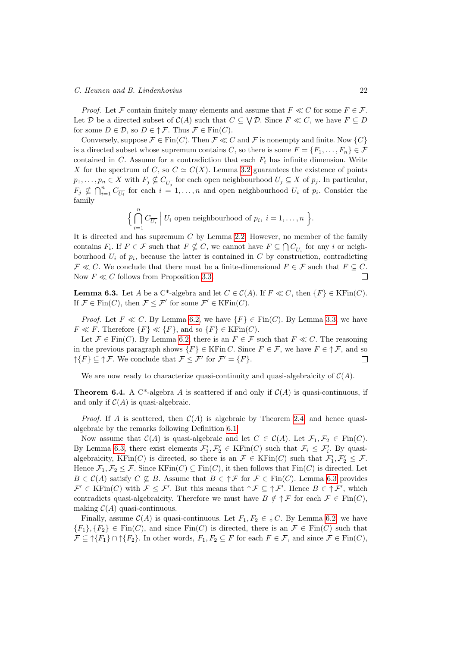#### C. Heunen and B. Lindenhovius 22

*Proof.* Let F contain finitely many elements and assume that  $F \ll C$  for some  $F \in \mathcal{F}$ . Let D be a directed subset of  $\mathcal{C}(A)$  such that  $C \subseteq \bigvee \mathcal{D}$ . Since  $F \ll C$ , we have  $F \subseteq D$ for some  $D \in \mathcal{D}$ , so  $D \in \uparrow \mathcal{F}$ . Thus  $\mathcal{F} \in \text{Fin}(C)$ .

Conversely, suppose  $\mathcal{F} \in \text{Fin}(C)$ . Then  $\mathcal{F} \ll C$  and  $\mathcal{F}$  is nonempty and finite. Now  $\{C\}$ is a directed subset whose supremum contains C, so there is some  $F = \{F_1, \ldots, F_n\} \in \mathcal{F}$ contained in  $C$ . Assume for a contradiction that each  $F_i$  has infinite dimension. Write X for the spectrum of C, so  $C \simeq C(X)$ . Lemma [3.2](#page-13-1) guarantees the existence of points  $p_1, \ldots, p_n \in X$  with  $F_j \nsubseteq C_{\overline{U_j}}$  for each open neighbourhood  $U_j \subseteq X$  of  $p_j$ . In particular,  $F_j \nsubseteq \bigcap_{i=1}^n C_{\overline{U_i}}$  for each  $i = 1, \ldots, n$  and open neighbourhood  $U_i$  of  $p_i$ . Consider the family

$$
\Big\{\bigcap_{i=1}^n C_{\overline{U_i}}\Big| U_i \text{ open neighbourhood of } p_i, i = 1,\ldots,n\Big\}.
$$

It is directed and has supremum C by Lemma [2.2.](#page-11-1) However, no member of the family contains  $F_i$ . If  $F \in \mathcal{F}$  such that  $F \nsubseteq C$ , we cannot have  $F \subseteq \bigcap C_{\overline{U_i}}$  for any i or neighbourhood  $U_i$  of  $p_i$ , because the latter is contained in C by construction, contradicting  $\mathcal{F} \ll C$ . We conclude that there must be a finite-dimensional  $F \in \mathcal{F}$  such that  $F \subseteq C$ . Now  $F \ll C$  follows from Proposition [3.3.](#page-14-1)  $\Box$ 

<span id="page-21-0"></span>**Lemma 6.3.** Let A be a C<sup>\*</sup>-algebra and let  $C \in \mathcal{C}(A)$ . If  $F \ll C$ , then  $\{F\} \in \text{KFin}(C)$ . If  $\mathcal{F} \in \text{Fin}(C)$ , then  $\mathcal{F} \leq \mathcal{F}'$  for some  $\mathcal{F}' \in \text{KFin}(C)$ .

*Proof.* Let  $F \ll C$ . By Lemma [6.2,](#page-20-1) we have  $\{F\} \in \text{Fin}(C)$ . By Lemma [3.3,](#page-14-1) we have  $F \ll F$ . Therefore  $\{F\} \ll \{F\}$ , and so  $\{F\} \in \text{KFin}(C)$ .

Let  $\mathcal{F} \in \text{Fin}(C)$ . By Lemma [6.2,](#page-20-1) there is an  $F \in \mathcal{F}$  such that  $F \ll C$ . The reasoning in the previous paragraph shows  $\{F\} \in \text{KFin } C$ . Since  $F \in \mathcal{F}$ , we have  $F \in \uparrow \mathcal{F}$ , and so  $\uparrow \{F\} \subseteq \uparrow \mathcal{F}$ . We conclude that  $\mathcal{F} \leq \mathcal{F}'$  for  $\mathcal{F}' = \{F\}$ .  $\Box$ 

We are now ready to characterize quasi-continuity and quasi-algebraicity of  $C(A)$ .

**Theorem 6.4.** A C<sup>\*</sup>-algebra A is scattered if and only if  $C(A)$  is quasi-continuous, if and only if  $C(A)$  is quasi-algebraic.

*Proof.* If A is scattered, then  $C(A)$  is algebraic by Theorem [2.4,](#page-13-2) and hence quasialgebraic by the remarks following Definition [6.1.](#page-20-2)

Now assume that  $C(A)$  is quasi-algebraic and let  $C \in C(A)$ . Let  $\mathcal{F}_1, \mathcal{F}_2 \in \text{Fin}(C)$ . By Lemma [6.3,](#page-21-0) there exist elements  $\mathcal{F}'_1, \mathcal{F}'_2 \in \mathrm{KFin}(C)$  such that  $\mathcal{F}_i \leq \mathcal{F}'_i$ . By quasialgebraicity, KFin(C) is directed, so there is an  $\mathcal{F} \in \mathrm{KFin}(C)$  such that  $\mathcal{F}'_1, \mathcal{F}'_2 \leq \mathcal{F}$ . Hence  $\mathcal{F}_1, \mathcal{F}_2 \leq \mathcal{F}$ . Since KFin(C)  $\subseteq$  Fin(C), it then follows that Fin(C) is directed. Let  $B \in \mathcal{C}(A)$  satisfy  $C \nsubseteq B$ . Assume that  $B \in \uparrow \mathcal{F}$  for  $\mathcal{F} \in \text{Fin}(C)$ . Lemma [6.3](#page-21-0) provides  $\mathcal{F}' \in \mathrm{KFin}(C)$  with  $\mathcal{F} \leq \mathcal{F}'$ . But this means that  $\uparrow \mathcal{F} \subseteq \uparrow \mathcal{F}'$ . Hence  $B \in \uparrow \mathcal{F}'$ , which contradicts quasi-algebraicity. Therefore we must have  $B \notin \uparrow \mathcal{F}$  for each  $\mathcal{F} \in \text{Fin}(C)$ , making  $\mathcal{C}(A)$  quasi-continuous.

Finally, assume  $C(A)$  is quasi-continuous. Let  $F_1, F_2 \in \downarrow C$ . By Lemma [6.2,](#page-20-1) we have  ${F_1}, {F_2} \in Fin(C)$ , and since  $Fin(C)$  is directed, there is an  $\mathcal{F} \in Fin(C)$  such that  $\mathcal{F} \subseteq \uparrow \{F_1\} \cap \uparrow \{F_2\}$ . In other words,  $F_1, F_2 \subseteq F$  for each  $F \in \mathcal{F}$ , and since  $\mathcal{F} \in \text{Fin}(C)$ ,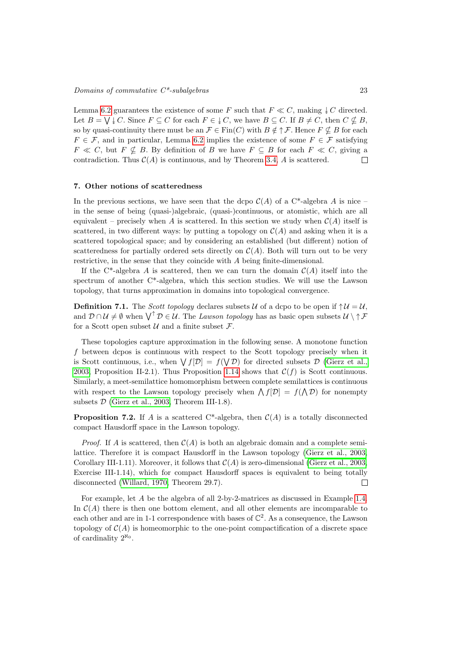Lemma [6.2](#page-20-1) guarantees the existence of some F such that  $F \ll C$ , making  $\downarrow C$  directed. Let  $B = \bigvee U \in C$ . Since  $F \subseteq C$  for each  $F \in \bigcup C$ , we have  $B \subseteq C$ . If  $B \neq C$ , then  $C \nsubseteq B$ , so by quasi-continuity there must be an  $\mathcal{F} \in \text{Fin}(C)$  with  $B \notin \uparrow \mathcal{F}$ . Hence  $F \nsubseteq B$  for each  $F \in \mathcal{F}$ , and in particular, Lemma [6.2](#page-20-1) implies the existence of some  $F \in \mathcal{F}$  satisfying  $F \ll C$ , but  $F \nsubseteq B$ . By definition of B we have  $F \subseteq B$  for each  $F \ll C$ , giving a contradiction. Thus  $C(A)$  is continuous, and by Theorem [3.4,](#page-14-2) A is scattered.  $\Box$ 

#### <span id="page-22-0"></span>7. Other notions of scatteredness

In the previous sections, we have seen that the dcpo  $C(A)$  of a C<sup>\*</sup>-algebra A is nice – in the sense of being (quasi-)algebraic, (quasi-)continuous, or atomistic, which are all equivalent – precisely when A is scattered. In this section we study when  $\mathcal{C}(A)$  itself is scattered, in two different ways: by putting a topology on  $\mathcal{C}(A)$  and asking when it is a scattered topological space; and by considering an established (but different) notion of scatteredness for partially ordered sets directly on  $\mathcal{C}(A)$ . Both will turn out to be very restrictive, in the sense that they coincide with A being finite-dimensional.

If the C<sup>\*</sup>-algebra A is scattered, then we can turn the domain  $\mathcal{C}(A)$  itself into the spectrum of another C\*-algebra, which this section studies. We will use the Lawson topology, that turns approximation in domains into topological convergence.

**Definition 7.1.** The Scott topology declares subsets U of a dcpo to be open if  $\uparrow U = U$ , and  $\mathcal{D} \cap \mathcal{U} \neq \emptyset$  when  $\bigvee^{\uparrow} \mathcal{D} \in \mathcal{U}$ . The Lawson topology has as basic open subsets  $\mathcal{U} \setminus \uparrow \mathcal{F}$ for a Scott open subset  $U$  and a finite subset  $\mathcal{F}$ .

These topologies capture approximation in the following sense. A monotone function f between dcpos is continuous with respect to the Scott topology precisely when it is Scott continuous, i.e., when  $\bigvee f[\mathcal{D}] = f(\bigvee \mathcal{D})$  for directed subsets  $\mathcal{D}$  [\(Gierz et al.,](#page-40-5) [2003,](#page-40-5) Proposition II-2.1). Thus Proposition [1.14](#page-6-1) shows that  $\mathcal{C}(f)$  is Scott continuous. Similarly, a meet-semilattice homomorphism between complete semilattices is continuous with respect to the Lawson topology precisely when  $\Lambda f[D] = f(\Lambda D)$  for nonempty subsets  $D$  [\(Gierz et al., 2003,](#page-40-5) Theorem III-1.8).

**Proposition 7.2.** If A is a scattered C\*-algebra, then  $C(A)$  is a totally disconnected compact Hausdorff space in the Lawson topology.

*Proof.* If A is scattered, then  $C(A)$  is both an algebraic domain and a complete semilattice. Therefore it is compact Hausdorff in the Lawson topology [\(Gierz et al., 2003,](#page-40-5) Corollary III-1.11). Moreover, it follows that  $C(A)$  is zero-dimensional [\(Gierz et al., 2003,](#page-40-5) Exercise III-1.14), which for compact Hausdorff spaces is equivalent to being totally disconnected [\(Willard, 1970,](#page-41-8) Theorem 29.7).  $\Box$ 

For example, let A be the algebra of all 2-by-2-matrices as discussed in Example [1.4.](#page-3-1) In  $\mathcal{C}(A)$  there is then one bottom element, and all other elements are incomparable to each other and are in 1-1 correspondence with bases of  $\mathbb{C}^2$ . As a consequence, the Lawson topology of  $C(A)$  is homeomorphic to the one-point compactification of a discrete space of cardinality  $2^{\aleph_0}$ .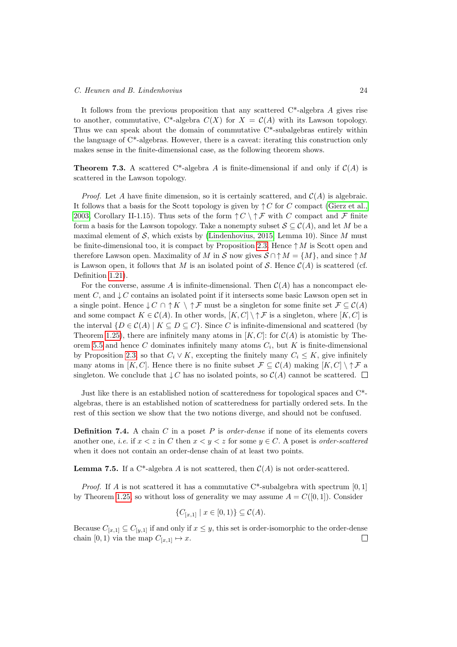It follows from the previous proposition that any scattered C\*-algebra A gives rise to another, commutative, C\*-algebra  $C(X)$  for  $X = C(A)$  with its Lawson topology. Thus we can speak about the domain of commutative C\*-subalgebras entirely within the language of C\*-algebras. However, there is a caveat: iterating this construction only makes sense in the finite-dimensional case, as the following theorem shows.

**Theorem 7.3.** A scattered C<sup>\*</sup>-algebra A is finite-dimensional if and only if  $C(A)$  is scattered in the Lawson topology.

*Proof.* Let A have finite dimension, so it is certainly scattered, and  $\mathcal{C}(A)$  is algebraic. It follows that a basis for the Scott topology is given by  $\uparrow C$  for C compact [\(Gierz et al.,](#page-40-5) [2003,](#page-40-5) Corollary II-1.15). Thus sets of the form  $\uparrow C \setminus \uparrow \mathcal{F}$  with C compact and F finite form a basis for the Lawson topology. Take a nonempty subset  $S \subseteq C(A)$ , and let M be a maximal element of  $S$ , which exists by [\(Lindenhovius, 2015,](#page-40-16) Lemma 10). Since  $M$  must be finite-dimensional too, it is compact by Proposition [2.3.](#page-12-0) Hence  $\uparrow M$  is Scott open and therefore Lawson open. Maximality of M in S now gives  $S \cap \uparrow M = \{M\}$ , and since  $\uparrow M$ is Lawson open, it follows that M is an isolated point of S. Hence  $\mathcal{C}(A)$  is scattered (cf. Definition [1.21\)](#page-9-2).

For the converse, assume A is infinite-dimensional. Then  $\mathcal{C}(A)$  has a noncompact element C, and  $\downarrow$  C contains an isolated point if it intersects some basic Lawson open set in a single point. Hence  $\downarrow$  C ∩  $\uparrow$  K  $\setminus \uparrow$  F must be a singleton for some finite set  $\mathcal{F} \subseteq \mathcal{C}(A)$ and some compact  $K \in \mathcal{C}(A)$ . In other words,  $[K, C] \setminus \uparrow \mathcal{F}$  is a singleton, where  $[K, C]$  is the interval  $\{D \in C(A) \mid K \subseteq D \subseteq C\}$ . Since C is infinite-dimensional and scattered (by Theorem [1.25\)](#page-10-1), there are infinitely many atoms in  $[K, C]$ : for  $C(A)$  is atomistic by The-orem [5.5](#page-19-1) and hence C dominates infinitely many atoms  $C_i$ , but K is finite-dimensional by Proposition [2.3,](#page-12-0) so that  $C_i \vee K$ , excepting the finitely many  $C_i \leq K$ , give infinitely many atoms in [K, C]. Hence there is no finite subset  $\mathcal{F} \subseteq \mathcal{C}(A)$  making  $[K, C] \setminus \uparrow \mathcal{F}$  a singleton. We conclude that  $\downarrow C$  has no isolated points, so  $\mathcal{C}(A)$  cannot be scattered.  $\square$ 

Just like there is an established notion of scatteredness for topological spaces and C\* algebras, there is an established notion of scatteredness for partially ordered sets. In the rest of this section we show that the two notions diverge, and should not be confused.

**Definition 7.4.** A chain C in a poset P is *order-dense* if none of its elements covers another one, *i.e.* if  $x < z$  in C then  $x < y < z$  for some  $y \in C$ . A poset is *order-scattered* when it does not contain an order-dense chain of at least two points.

<span id="page-23-0"></span>**Lemma 7.5.** If a C<sup>\*</sup>-algebra A is not scattered, then  $C(A)$  is not order-scattered.

*Proof.* If A is not scattered it has a commutative  $C^*$ -subalgebra with spectrum [0, 1] by Theorem [1.25,](#page-10-1) so without loss of generality we may assume  $A = C([0, 1])$ . Consider

$$
\{C_{[x,1]} \mid x \in [0,1)\} \subseteq \mathcal{C}(A).
$$

<span id="page-23-1"></span>Because  $C_{[x,1]} \subseteq C_{[y,1]}$  if and only if  $x \leq y$ , this set is order-isomorphic to the order-dense chain [0, 1) via the map  $C_{[x,1]} \mapsto x$ .  $\Box$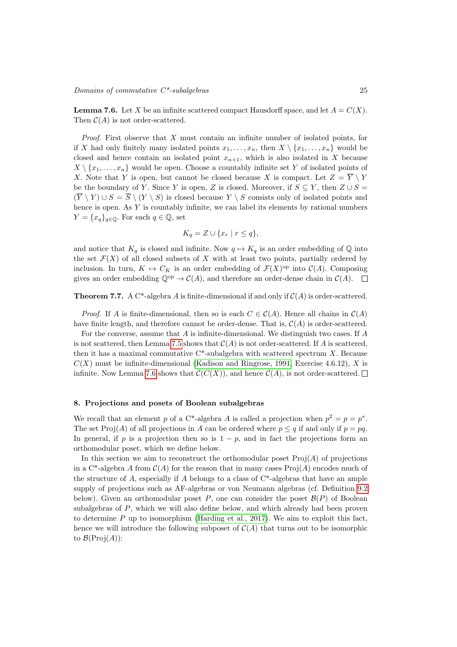**Lemma 7.6.** Let X be an infinite scattered compact Hausdorff space, and let  $A = C(X)$ . Then  $C(A)$  is not order-scattered.

Proof. First observe that X must contain an infinite number of isolated points, for if X had only finitely many isolated points  $x_1, \ldots, x_n$ , then  $X \setminus \{x_1, \ldots, x_n\}$  would be closed and hence contain an isolated point  $x_{n+1}$ , which is also isolated in X because  $X \setminus \{x_1, \ldots, x_n\}$  would be open. Choose a countably infinite set Y of isolated points of X. Note that Y is open, but cannot be closed because X is compact. Let  $Z = \overline{Y} \setminus Y$ be the boundary of Y. Since Y is open, Z is closed. Moreover, if  $S \subseteq Y$ , then  $Z \cup S =$  $(\overline{Y} \setminus Y) \cup S = \overline{S} \setminus (Y \setminus S)$  is closed because  $Y \setminus S$  consists only of isolated points and hence is open. As  $Y$  is countably infinite, we can label its elements by rational numbers  $Y = \{x_q\}_{q \in \mathbb{Q}}$ . For each  $q \in \mathbb{Q}$ , set

$$
K_q = Z \cup \{x_r \mid r \leq q\},\
$$

and notice that  $K_q$  is closed and infinite. Now  $q \mapsto K_q$  is an order embedding of  $\mathbb Q$  into the set  $\mathcal{F}(X)$  of all closed subsets of X with at least two points, partially ordered by inclusion. In turn,  $K \mapsto C_K$  is an order embedding of  $\mathcal{F}(X)$ <sup>op</sup> into  $\mathcal{C}(A)$ . Composing gives an order embedding  $\mathbb{Q}^{op} \to \mathcal{C}(A)$ , and therefore an order-dense chain in  $\mathcal{C}(A)$ .  $\Box$ 

**Theorem 7.7.** A C<sup>\*</sup>-algebra A is finite-dimensional if and only if  $C(A)$  is order-scattered.

*Proof.* If A is finite-dimensional, then so is each  $C \in \mathcal{C}(A)$ . Hence all chains in  $\mathcal{C}(A)$ have finite length, and therefore cannot be order-dense. That is,  $\mathcal{C}(A)$  is order-scattered.

For the converse, assume that A is infinite-dimensional. We distinguish two cases. If A is not scattered, then Lemma [7.5](#page-23-0) shows that  $\mathcal{C}(A)$  is not order-scattered. If A is scattered, then it has a maximal commutative  $C^*$ -subalgebra with scattered spectrum X. Because  $C(X)$  must be infinite-dimensional [\(Kadison and Ringrose, 1991,](#page-40-17) Exercise 4.6.12), X is infinite. Now Lemma [7.6](#page-23-1) shows that  $\mathcal{C}(C(X))$ , and hence  $\mathcal{C}(A)$ , is not order-scattered.  $\square$ 

#### <span id="page-24-0"></span>8. Projections and posets of Boolean subalgebras

We recall that an element p of a C<sup>\*</sup>-algebra A is called a projection when  $p^2 = p = p^*$ . The set Proj(A) of all projections in A can be ordered where  $p \leq q$  if and only if  $p = pq$ . In general, if p is a projection then so is  $1 - p$ , and in fact the projections form an orthomodular poset, which we define below.

In this section we aim to reconstruct the orthomodular poset  $\text{Proj}(A)$  of projections in a C<sup>\*</sup>-algebra A from  $\mathcal{C}(A)$  for the reason that in many cases Proj $(A)$  encodes much of the structure of A, especially if A belongs to a class of  $C^*$ -algebras that have an ample supply of projections such as AF-algebras or von Neumann algebras (cf. Definition [9.2](#page-30-2) below). Given an orthomodular poset P, one can consider the poset  $\mathcal{B}(P)$  of Boolean subalgebras of P, which we will also define below, and which already had been proven to determine  $P$  up to isomorphism [\(Harding et al., 2017\)](#page-40-18). We aim to exploit this fact, hence we will introduce the following subposet of  $C(A)$  that turns out to be isomorphic to  $\mathcal{B}(\mathrm{Proj}(A))$ :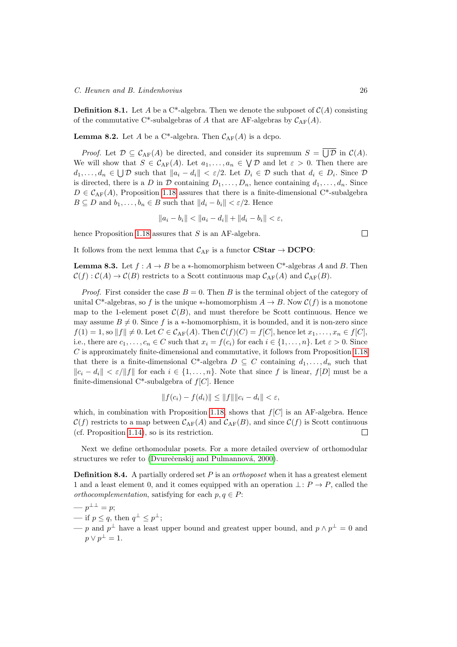**Definition 8.1.** Let A be a C<sup>\*</sup>-algebra. Then we denote the subposet of  $C(A)$  consisting of the commutative C\*-subalgebras of A that are AF-algebras by  $C_{AF}(A)$ .

**Lemma 8.2.** Let A be a C\*-algebra. Then  $C_{AF}(A)$  is a dcpo.

*Proof.* Let  $\mathcal{D} \subseteq \mathcal{C}_{AF}(A)$  be directed, and consider its supremum  $S = \bigcup \mathcal{D}$  in  $\mathcal{C}(A)$ . We will show that  $S \in \mathcal{C}_{AF}(A)$ . Let  $a_1, \ldots, a_n \in \bigvee \mathcal{D}$  and let  $\varepsilon > 0$ . Then there are  $d_1,\ldots,d_n\in\bigcup\mathcal{D}$  such that  $||a_i-d_i|| < \varepsilon/2$ . Let  $D_i\in\mathcal{D}$  such that  $d_i\in D_i$ . Since  $\mathcal{D}$ is directed, there is a D in D containing  $D_1, \ldots, D_n$ , hence containing  $d_1, \ldots, d_n$ . Since  $D \in \mathcal{C}_{AF}(A)$ , Proposition [1.18](#page-8-0) assures that there is a finite-dimensional C<sup>\*</sup>-subalgebra  $B \subseteq D$  and  $b_1, \ldots, b_n \in B$  such that  $||d_i - b_i|| < \varepsilon/2$ . Hence

$$
||a_i - b_i|| < ||a_i - d_i|| + ||d_i - b_i|| < \varepsilon,
$$

hence Proposition [1.18](#page-8-0) assures that  $S$  is an AF-algebra.

It follows from the next lemma that  $\mathcal{C}_{AF}$  is a functor  $\text{CStar} \to \text{DCPO}$ :

**Lemma 8.3.** Let  $f : A \rightarrow B$  be a  $*$ -homomorphism between C<sup>\*</sup>-algebras A and B. Then  $\mathcal{C}(f): \mathcal{C}(A) \to \mathcal{C}(B)$  restricts to a Scott continuous map  $\mathcal{C}_{AF}(A)$  and  $\mathcal{C}_{AF}(B)$ .

*Proof.* First consider the case  $B = 0$ . Then B is the terminal object of the category of unital C<sup>\*</sup>-algebras, so f is the unique \*-homomorphism  $A \to B$ . Now  $\mathcal{C}(f)$  is a monotone map to the 1-element poset  $\mathcal{C}(B)$ , and must therefore be Scott continuous. Hence we may assume  $B \neq 0$ . Since f is a ∗-homomorphism, it is bounded, and it is non-zero since  $f(1) = 1$ , so  $||f|| \neq 0$ . Let  $C \in \mathcal{C}_{AF}(A)$ . Then  $\mathcal{C}(f)(C) = f[C]$ , hence let  $x_1, \ldots, x_n \in f[C]$ , i.e., there are  $c_1, \ldots, c_n \in C$  such that  $x_i = f(c_i)$  for each  $i \in \{1, \ldots, n\}$ . Let  $\varepsilon > 0$ . Since  $C$  is approximately finite-dimensional and commutative, it follows from Proposition [1.18](#page-8-0) that there is a finite-dimensional C<sup>\*</sup>-algebra  $D \subseteq C$  containing  $d_1, \ldots, d_n$  such that  $||c_i - d_i|| < \varepsilon / ||f||$  for each  $i \in \{1, ..., n\}$ . Note that since f is linear, f[D] must be a finite-dimensional C\*-subalgebra of  $f[C]$ . Hence

$$
||f(c_i) - f(d_i)|| \le ||f|| ||c_i - d_i|| < \varepsilon,
$$

which, in combination with Proposition [1.18,](#page-8-0) shows that  $f[C]$  is an AF-algebra. Hence  $\mathcal{C}(f)$  restricts to a map between  $\mathcal{C}_{AF}(A)$  and  $\mathcal{C}_{AF}(B)$ , and since  $\mathcal{C}(f)$  is Scott continuous (cf. Proposition [1.14\)](#page-6-1), so is its restriction.  $\Box$ 

Next we define orthomodular posets. For a more detailed overview of orthomodular structures we refer to (Dvurečenskij and Pulmannová, 2000).

**Definition 8.4.** A partially ordered set  $P$  is an *orthoposet* when it has a greatest element 1 and a least element 0, and it comes equipped with an operation  $\bot: P \to P$ , called the *orthocomplementation*, satisfying for each  $p, q \in P$ :

$$
\qquad -p^{\perp\perp}=p;
$$

— if  $p \leq q$ , then  $q^{\perp} \leq p^{\perp}$ ;

— p and  $p^{\perp}$  have a least upper bound and greatest upper bound, and  $p \wedge p^{\perp} = 0$  and  $p \vee p^{\perp} = 1.$ 

 $\Box$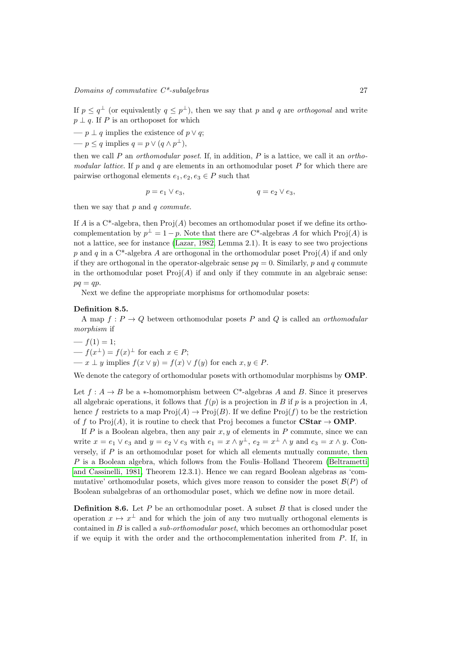If  $p \leq q^{\perp}$  (or equivalently  $q \leq p^{\perp}$ ), then we say that p and q are *orthogonal* and write  $p \perp q$ . If P is an orthoposet for which

— 
$$
p \perp q
$$
 implies the existence of  $p \vee q$ ;

 $-p \leq q$  implies  $q = p \vee (q \wedge p^{\perp}),$ 

then we call  $P$  an *orthomodular poset*. If, in addition,  $P$  is a lattice, we call it an *ortho*modular lattice. If p and q are elements in an orthomodular poset  $P$  for which there are pairwise orthogonal elements  $e_1, e_2, e_3 \in P$  such that

$$
p=e_1\vee e_3, \hspace{2cm} q=e_2\vee e_3, \hspace{2cm}
$$

then we say that  $p$  and  $q$  commute.

If A is a C<sup>\*</sup>-algebra, then  $\text{Proj}(A)$  becomes an orthomodular poset if we define its orthocomplementation by  $p^{\perp} = 1 - p$ . Note that there are C\*-algebras A for which Proj(A) is not a lattice, see for instance [\(Lazar, 1982,](#page-40-20) Lemma 2.1). It is easy to see two projections p and q in a C<sup>\*</sup>-algebra A are orthogonal in the orthomodular poset  $\text{Proj}(A)$  if and only if they are orthogonal in the operator-algebraic sense  $pq = 0$ . Similarly, p and q commute in the orthomodular poset  $\text{Proj}(A)$  if and only if they commute in an algebraic sense:  $pq = qp$ .

Next we define the appropriate morphisms for orthomodular posets:

#### Definition 8.5.

A map  $f: P \to Q$  between orthomodular posets P and Q is called an *orthomodular* morphism if

$$
- f(1) = 1;
$$
  
\n
$$
- f(x^{\perp}) = f(x)^{\perp} \text{ for each } x \in P;
$$
  
\n
$$
- x \perp y \text{ implies } f(x \vee y) = f(x) \vee f(y) \text{ for each } x, y \in P.
$$

We denote the category of orthomodular posets with orthomodular morphisms by **OMP**.

Let  $f : A \to B$  be a \*-homomorphism between C\*-algebras A and B. Since it preserves all algebraic operations, it follows that  $f(p)$  is a projection in B if p is a projection in A, hence f restricts to a map  $\text{Proj}(A) \to \text{Proj}(B)$ . If we define  $\text{Proj}(f)$  to be the restriction of f to Proj $(A)$ , it is routine to check that Proj becomes a functor  $\text{CStar} \to \text{OMP}$ .

If  $P$  is a Boolean algebra, then any pair  $x, y$  of elements in  $P$  commute, since we can write  $x = e_1 \vee e_3$  and  $y = e_2 \vee e_3$  with  $e_1 = x \wedge y^{\perp}$ ,  $e_2 = x^{\perp} \wedge y$  and  $e_3 = x \wedge y$ . Conversely, if  $P$  is an orthomodular poset for which all elements mutually commute, then P is a Boolean algebra, which follows from the Foulis–Holland Theorem [\(Beltrametti](#page-39-6) [and Cassinelli, 1981,](#page-39-6) Theorem 12.3.1). Hence we can regard Boolean algebras as 'commutative' orthomodular posets, which gives more reason to consider the poset  $\mathcal{B}(P)$  of Boolean subalgebras of an orthomodular poset, which we define now in more detail.

**Definition 8.6.** Let  $P$  be an orthomodular poset. A subset  $B$  that is closed under the operation  $x \mapsto x^{\perp}$  and for which the join of any two mutually orthogonal elements is contained in B is called a sub-orthomodular poset, which becomes an orthomodular poset if we equip it with the order and the orthocomplementation inherited from P. If, in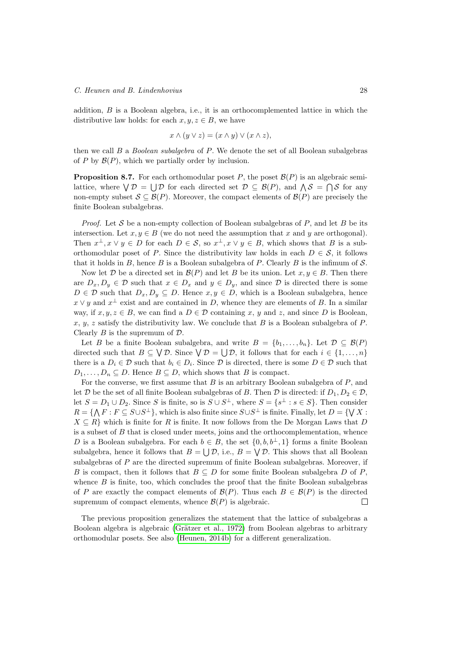addition,  $B$  is a Boolean algebra, i.e., it is an orthocomplemented lattice in which the distributive law holds: for each  $x, y, z \in B$ , we have

$$
x \wedge (y \vee z) = (x \wedge y) \vee (x \wedge z),
$$

then we call B a Boolean subalgebra of P. We denote the set of all Boolean subalgebras of P by  $\mathcal{B}(P)$ , which we partially order by inclusion.

<span id="page-27-0"></span>**Proposition 8.7.** For each orthomodular poset  $P$ , the poset  $\mathcal{B}(P)$  is an algebraic semilattice, where  $\bigvee \mathcal{D} = \bigcup \mathcal{D}$  for each directed set  $\mathcal{D} \subseteq \mathcal{B}(P)$ , and  $\bigwedge \mathcal{S} = \bigcap \mathcal{S}$  for any non-empty subset  $S \subseteq \mathcal{B}(P)$ . Moreover, the compact elements of  $\mathcal{B}(P)$  are precisely the finite Boolean subalgebras.

*Proof.* Let S be a non-empty collection of Boolean subalgebras of P, and let B be its intersection. Let  $x, y \in B$  (we do not need the assumption that x and y are orthogonal). Then  $x^{\perp}, x \vee y \in D$  for each  $D \in \mathcal{S}$ , so  $x^{\perp}, x \vee y \in B$ , which shows that B is a suborthomodular poset of P. Since the distributivity law holds in each  $D \in \mathcal{S}$ , it follows that it holds in B, hence B is a Boolean subalgebra of P. Clearly B is the infimum of  $\mathcal{S}$ .

Now let D be a directed set in  $\mathcal{B}(P)$  and let B be its union. Let  $x, y \in B$ . Then there are  $D_x, D_y \in \mathcal{D}$  such that  $x \in D_x$  and  $y \in D_y$ , and since  $\mathcal{D}$  is directed there is some  $D \in \mathcal{D}$  such that  $D_x, D_y \subseteq D$ . Hence  $x, y \in D$ , which is a Boolean subalgebra, hence  $x \vee y$  and  $x^{\perp}$  exist and are contained in D, whence they are elements of B. In a similar way, if  $x, y, z \in B$ , we can find a  $D \in \mathcal{D}$  containing x, y and z, and since D is Boolean, x, y, z satisfy the distributivity law. We conclude that B is a Boolean subalgebra of P. Clearly  $B$  is the supremum of  $D$ .

Let B be a finite Boolean subalgebra, and write  $B = \{b_1, \ldots, b_n\}$ . Let  $\mathcal{D} \subseteq \mathcal{B}(P)$ directed such that  $B \subseteq \bigvee \mathcal{D}$ . Since  $\bigvee \mathcal{D} = \bigcup \mathcal{D}$ , it follows that for each  $i \in \{1, ..., n\}$ there is a  $D_i \in \mathcal{D}$  such that  $b_i \in D_i$ . Since  $\mathcal{D}$  is directed, there is some  $D \in \mathcal{D}$  such that  $D_1, \ldots, D_n \subseteq D$ . Hence  $B \subseteq D$ , which shows that B is compact.

For the converse, we first assume that  $B$  is an arbitrary Boolean subalgebra of  $P$ , and let D be the set of all finite Boolean subalgebras of B. Then D is directed: if  $D_1, D_2 \in \mathcal{D}$ . let  $S = D_1 \cup D_2$ . Since S is finite, so is  $S \cup S^{\perp}$ , where  $S = \{s^{\perp} : s \in S\}$ . Then consider  $R = \{ \bigwedge F : F \subseteq S \cup S^{\perp} \},\$  which is also finite since  $S \cup S^{\perp}$  is finite. Finally, let  $D = \{ \bigvee X :$  $X \subseteq R$  which is finite for R is finite. It now follows from the De Morgan Laws that D is a subset of  $B$  that is closed under meets, joins and the orthocomplementation, whence D is a Boolean subalgebra. For each  $b \in B$ , the set  $\{0, b, b^{\perp}, 1\}$  forms a finite Boolean subalgebra, hence it follows that  $B = \bigcup \mathcal{D}$ , i.e.,  $B = \bigvee \mathcal{D}$ . This shows that all Boolean subalgebras of P are the directed supremum of finite Boolean subalgebras. Moreover, if B is compact, then it follows that  $B \subseteq D$  for some finite Boolean subalgebra D of P, whence  $B$  is finite, too, which concludes the proof that the finite Boolean subalgebras of P are exactly the compact elements of  $\mathcal{B}(P)$ . Thus each  $B \in \mathcal{B}(P)$  is the directed supremum of compact elements, whence  $\mathcal{B}(P)$  is algebraic.  $\Box$ 

The previous proposition generalizes the statement that the lattice of subalgebras a Boolean algebra is algebraic (Grätzer et al., 1972) from Boolean algebras to arbitrary orthomodular posets. See also [\(Heunen, 2014b\)](#page-40-22) for a different generalization.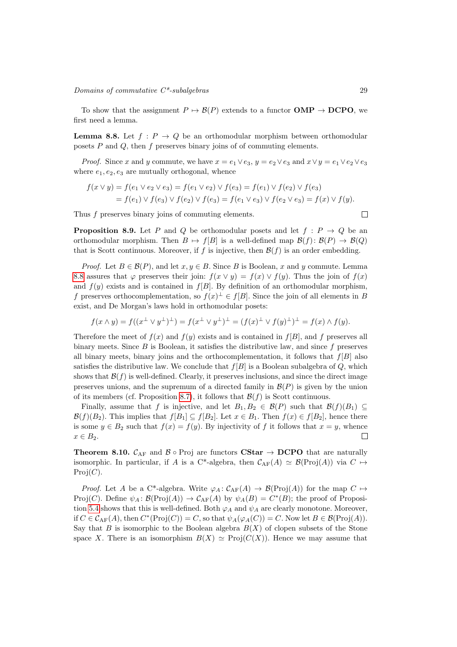<span id="page-28-0"></span>To show that the assignment  $P \mapsto \mathcal{B}(P)$  extends to a functor **OMP**  $\rightarrow$  **DCPO**, we first need a lemma.

**Lemma 8.8.** Let  $f : P \to Q$  be an orthomodular morphism between orthomodular posets  $P$  and  $Q$ , then  $f$  preserves binary joins of of commuting elements.

*Proof.* Since x and y commute, we have  $x = e_1 \vee e_3$ ,  $y = e_2 \vee e_3$  and  $x \vee y = e_1 \vee e_2 \vee e_3$ where  $e_1, e_2, e_3$  are mutually orthogonal, whence

$$
f(x \vee y) = f(e_1 \vee e_2 \vee e_3) = f(e_1 \vee e_2) \vee f(e_3) = f(e_1) \vee f(e_2) \vee f(e_3)
$$
  
=  $f(e_1) \vee f(e_3) \vee f(e_2) \vee f(e_3) = f(e_1 \vee e_3) \vee f(e_2 \vee e_3) = f(x) \vee f(y).$ 

Thus f preserves binary joins of commuting elements.

<span id="page-28-1"></span>**Proposition 8.9.** Let P and Q be orthomodular posets and let  $f : P \to Q$  be an orthomodular morphism. Then  $B \mapsto f[B]$  is a well-defined map  $\mathcal{B}(f) : \mathcal{B}(P) \to \mathcal{B}(Q)$ that is Scott continuous. Moreover, if f is injective, then  $\mathcal{B}(f)$  is an order embedding.

*Proof.* Let  $B \in \mathcal{B}(P)$ , and let  $x, y \in B$ . Since B is Boolean, x and y commute. Lemma [8.8](#page-28-0) assures that  $\varphi$  preserves their join:  $f(x \vee y) = f(x) \vee f(y)$ . Thus the join of  $f(x)$ and  $f(y)$  exists and is contained in  $f[B]$ . By definition of an orthomodular morphism, f preserves orthocomplementation, so  $f(x)^{\perp} \in f[B]$ . Since the join of all elements in B exist, and De Morgan's laws hold in orthomodular posets:

$$
f(x \wedge y) = f((x^{\perp} \vee y^{\perp})^{\perp}) = f(x^{\perp} \vee y^{\perp})^{\perp} = (f(x)^{\perp} \vee f(y)^{\perp})^{\perp} = f(x) \wedge f(y).
$$

Therefore the meet of  $f(x)$  and  $f(y)$  exists and is contained in  $f(B)$ , and f preserves all binary meets. Since  $B$  is Boolean, it satisfies the distributive law, and since  $f$  preserves all binary meets, binary joins and the orthocomplementation, it follows that  $f[B]$  also satisfies the distributive law. We conclude that  $f[B]$  is a Boolean subalgebra of  $Q$ , which shows that  $\mathcal{B}(f)$  is well-defined. Clearly, it preserves inclusions, and since the direct image preserves unions, and the supremum of a directed family in  $\mathcal{B}(P)$  is given by the union of its members (cf. Proposition [8.7\)](#page-27-0), it follows that  $\mathcal{B}(f)$  is Scott continuous.

Finally, assume that f is injective, and let  $B_1, B_2 \in \mathcal{B}(P)$  such that  $\mathcal{B}(f)(B_1) \subseteq$  $\mathcal{B}(f)(B_2)$ . This implies that  $f[B_1] \subseteq f[B_2]$ . Let  $x \in B_1$ . Then  $f(x) \in f[B_2]$ , hence there is some  $y \in B_2$  such that  $f(x) = f(y)$ . By injectivity of f it follows that  $x = y$ , whence  $x \in B_2$ .  $\Box$ 

<span id="page-28-2"></span>**Theorem 8.10.**  $C_{AF}$  and  $B \circ Proj$  are functors **CStar**  $\rightarrow$  **DCPO** that are naturally isomorphic. In particular, if A is a C\*-algebra, then  $C_{AF}(A) \simeq \mathcal{B}(\text{Proj}(A))$  via  $C \mapsto$  $Proj(C).$ 

*Proof.* Let A be a C<sup>\*</sup>-algebra. Write  $\varphi_A : C_{AF}(A) \to \mathcal{B}(Proj(A))$  for the map  $C \mapsto$ Proj(C). Define  $\psi_A : \mathcal{B}(\text{Proj}(A)) \to \mathcal{C}_{AF}(A)$  by  $\psi_A(B) = C^*(B)$ ; the proof of Proposi-tion [5.4](#page-19-0) shows that this is well-defined. Both  $\varphi_A$  and  $\psi_A$  are clearly monotone. Moreover, if  $C \in \mathcal{C}_{AF}(A)$ , then  $C^*(Proj(C)) = C$ , so that  $\psi_A(\varphi_A(C)) = C$ . Now let  $B \in \mathcal{B}(Proj(A))$ . Say that B is isomorphic to the Boolean algebra  $B(X)$  of clopen subsets of the Stone space X. There is an isomorphism  $B(X) \simeq \text{Proj}(C(X))$ . Hence we may assume that

 $\Box$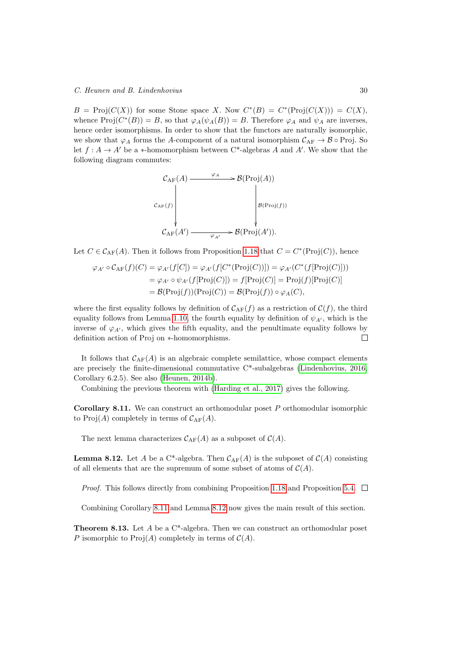$B = \text{Proj}(C(X))$  for some Stone space X. Now  $C^*(B) = C^*(\text{Proj}(C(X))) = C(X)$ , whence  $\text{Proj}(C^*(B)) = B$ , so that  $\varphi_A(\psi_A(B)) = B$ . Therefore  $\varphi_A$  and  $\psi_A$  are inverses, hence order isomorphisms. In order to show that the functors are naturally isomorphic, we show that  $\varphi_A$  forms the A-component of a natural isomorphism  $\mathcal{C}_{AF} \to \mathcal{B} \circ \text{Proj}$ . So let  $f : A \to A'$  be a \*-homomorphism between C<sup>\*</sup>-algebras A and A'. We show that the following diagram commutes:

$$
\mathcal{C}_{AF}(A) \xrightarrow{\varphi_A} \mathcal{B}(\text{Proj}(A))
$$
\n
$$
\mathcal{C}_{AF}(f) \downarrow \qquad \qquad \downarrow \mathcal{B}(\text{Proj}(f))
$$
\n
$$
\mathcal{C}_{AF}(A') \xrightarrow{\varphi_{A'}} \mathcal{B}(\text{Proj}(A')).
$$

Let  $C \in \mathcal{C}_{AF}(A)$ . Then it follows from Proposition [1.18](#page-8-0) that  $C = C^*(Proj(C))$ , hence

$$
\varphi_{A'} \circ \mathcal{C}_{\text{AF}}(f)(C) = \varphi_{A'}(f[C]) = \varphi_{A'}(f[C^*(\text{Proj}(C))]) = \varphi_{A'}(C^*(f[\text{Proj}(C)]))
$$
  
=  $\varphi_{A'} \circ \psi_{A'}(f[\text{Proj}(C)]) = f[\text{Proj}(C)] = \text{Proj}(f)[\text{Proj}(C)]$   
=  $\mathcal{B}(\text{Proj}(f))(\text{Proj}(C)) = \mathcal{B}(\text{Proj}(f)) \circ \varphi_A(C),$ 

where the first equality follows by definition of  $C_{AF}(f)$  as a restriction of  $C(f)$ , the third equality follows from Lemma [1.10,](#page-5-0) the fourth equality by definition of  $\psi_{A}$ , which is the inverse of  $\varphi_{A'}$ , which gives the fifth equality, and the penultimate equality follows by definition action of Proj on ∗-homomorphisms.  $\Box$ 

It follows that  $C_{AF}(A)$  is an algebraic complete semilattice, whose compact elements are precisely the finite-dimensional commutative C\*-subalgebras [\(Lindenhovius, 2016,](#page-41-0) Corollary 6.2.5). See also [\(Heunen, 2014b\)](#page-40-22).

<span id="page-29-0"></span>Combining the previous theorem with [\(Harding et al., 2017\)](#page-40-18) gives the following.

**Corollary 8.11.** We can construct an orthomodular poset  $P$  orthomodular isomorphic to Proj(A) completely in terms of  $C_{AF}(A)$ .

<span id="page-29-1"></span>The next lemma characterizes  $\mathcal{C}_{AF}(A)$  as a subposet of  $\mathcal{C}(A)$ .

**Lemma 8.12.** Let A be a C<sup>\*</sup>-algebra. Then  $C_{AF}(A)$  is the subposet of  $C(A)$  consisting of all elements that are the supremum of some subset of atoms of  $\mathcal{C}(A)$ .

*Proof.* This follows directly from combining Proposition [1.18](#page-8-0) and Proposition [5.4.](#page-19-0)  $\Box$ 

Combining Corollary [8.11](#page-29-0) and Lemma [8.12](#page-29-1) now gives the main result of this section.

**Theorem 8.13.** Let A be a  $C^*$ -algebra. Then we can construct an orthomodular poset P isomorphic to  $\text{Proj}(A)$  completely in terms of  $\mathcal{C}(A)$ .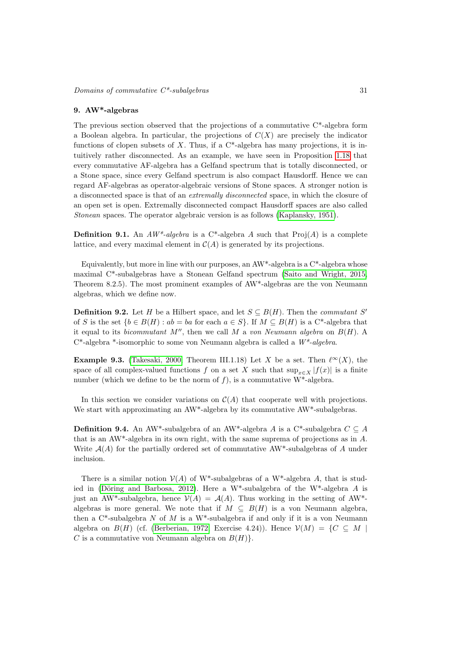#### <span id="page-30-1"></span>9. AW\*-algebras

The previous section observed that the projections of a commutative C\*-algebra form a Boolean algebra. In particular, the projections of  $C(X)$  are precisely the indicator functions of clopen subsets of  $X$ . Thus, if a  $C^*$ -algebra has many projections, it is intuitively rather disconnected. As an example, we have seen in Proposition [1.18](#page-8-0) that every commutative AF-algebra has a Gelfand spectrum that is totally disconnected, or a Stone space, since every Gelfand spectrum is also compact Hausdorff. Hence we can regard AF-algebras as operator-algebraic versions of Stone spaces. A stronger notion is a disconnected space is that of an extremally disconnected space, in which the closure of an open set is open. Extremally disconnected compact Hausdorff spaces are also called Stonean spaces. The operator algebraic version is as follows [\(Kaplansky, 1951\)](#page-40-23).

**Definition 9.1.** An  $AW^*$ -algebra is a C<sup>\*</sup>-algebra A such that  $Proj(A)$  is a complete lattice, and every maximal element in  $\mathcal{C}(A)$  is generated by its projections.

Equivalently, but more in line with our purposes, an AW\*-algebra is a C\*-algebra whose maximal C\*-subalgebras have a Stonean Gelfand spectrum [\(Saito and Wright, 2015,](#page-41-9) Theorem 8.2.5). The most prominent examples of AW\*-algebras are the von Neumann algebras, which we define now.

<span id="page-30-2"></span>**Definition 9.2.** Let H be a Hilbert space, and let  $S \subseteq B(H)$ . Then the *commutant* S' of S is the set  $\{b \in B(H) : ab = ba$  for each  $a \in S\}$ . If  $M \subseteq B(H)$  is a C<sup>\*</sup>-algebra that it equal to its *bicommutant*  $M''$ , then we call M a von Neumann algebra on  $B(H)$ . A  $C^*$ -algebra \*-isomorphic to some von Neumann algebra is called a  $W^*$ -algebra.

<span id="page-30-4"></span>**Example 9.3.** [\(Takesaki, 2000,](#page-41-2) Theorem III.1.18) Let X be a set. Then  $\ell^{\infty}(X)$ , the space of all complex-valued functions f on a set X such that  $\sup_{x\in X} |f(x)|$  is a finite number (which we define to be the norm of f), is a commutative  $W^*$ -algebra.

In this section we consider variations on  $\mathcal{C}(A)$  that cooperate well with projections. We start with approximating an AW<sup>\*</sup>-algebra by its commutative AW<sup>\*</sup>-subalgebras.

<span id="page-30-0"></span>**Definition 9.4.** An AW<sup>\*</sup>-subalgebra of an AW<sup>\*</sup>-algebra A is a C<sup>\*</sup>-subalgebra  $C \subseteq A$ that is an AW\*-algebra in its own right, with the same suprema of projections as in A. Write  $\mathcal{A}(A)$  for the partially ordered set of commutative AW\*-subalgebras of A under inclusion.

<span id="page-30-3"></span>There is a similar notion  $\mathcal{V}(A)$  of W<sup>\*</sup>-subalgebras of a W<sup>\*</sup>-algebra A, that is studied in (Döring and Barbosa, 2012). Here a W<sup>\*</sup>-subalgebra of the W<sup>\*</sup>-algebra A is just an AW\*-subalgebra, hence  $\mathcal{V}(A) = \mathcal{A}(A)$ . Thus working in the setting of AW\*algebras is more general. We note that if  $M \subseteq B(H)$  is a von Neumann algebra, then a  $C^*$ -subalgebra N of M is a W<sup>\*</sup>-subalgebra if and only if it is a von Neumann algebra on  $B(H)$  (cf. [\(Berberian, 1972,](#page-39-8) Exercise 4.24)). Hence  $\mathcal{V}(M) = \{C \subseteq M \mid$ C is a commutative von Neumann algebra on  $B(H)$ .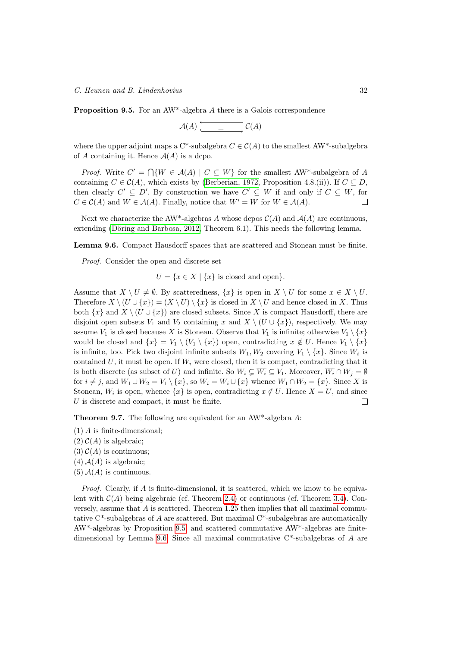Proposition 9.5. For an AW\*-algebra A there is a Galois correspondence

$$
\mathcal{A}(A) \xrightarrow{\qquad \qquad \perp \qquad} \mathcal{C}(A)
$$

where the upper adjoint maps a C\*-subalgebra  $C \in \mathcal{C}(A)$  to the smallest AW\*-subalgebra of A containing it. Hence  $A(A)$  is a dcpo.

*Proof.* Write  $C' = \bigcap \{W \in \mathcal{A}(A) \mid C \subseteq W\}$  for the smallest AW<sup>\*</sup>-subalgebra of A containing  $C \in \mathcal{C}(A)$ , which exists by [\(Berberian, 1972,](#page-39-8) Proposition 4.8.(ii)). If  $C \subseteq D$ , then clearly  $C' \subseteq D'$ . By construction we have  $C' \subseteq W$  if and only if  $C \subseteq W$ , for  $C \in \mathcal{C}(A)$  and  $W \in \mathcal{A}(A)$ . Finally, notice that  $W' = W$  for  $W \in \mathcal{A}(A)$ .  $\Box$ 

Next we characterize the AW<sup>\*</sup>-algebras A whose dcpos  $\mathcal{C}(A)$  and  $\mathcal{A}(A)$  are continuous, extending (Döring and Barbosa, 2012, Theorem 6.1). This needs the following lemma.

<span id="page-31-0"></span>Lemma 9.6. Compact Hausdorff spaces that are scattered and Stonean must be finite.

Proof. Consider the open and discrete set

 $U = \{x \in X \mid \{x\}$  is closed and open $\}.$ 

Assume that  $X \setminus U \neq \emptyset$ . By scatteredness,  $\{x\}$  is open in  $X \setminus U$  for some  $x \in X \setminus U$ . Therefore  $X \setminus (U \cup \{x\}) = (X \setminus U) \setminus \{x\}$  is closed in  $X \setminus U$  and hence closed in X. Thus both  $\{x\}$  and  $X \setminus (U \cup \{x\})$  are closed subsets. Since X is compact Hausdorff, there are disjoint open subsets  $V_1$  and  $V_2$  containing x and  $X \setminus (U \cup \{x\})$ , respectively. We may assume  $V_1$  is closed because X is Stonean. Observe that  $V_1$  is infinite; otherwise  $V_1 \setminus \{x\}$ would be closed and  $\{x\} = V_1 \setminus (V_1 \setminus \{x\})$  open, contradicting  $x \notin U$ . Hence  $V_1 \setminus \{x\}$ is infinite, too. Pick two disjoint infinite subsets  $W_1, W_2$  covering  $V_1 \setminus \{x\}$ . Since  $W_i$  is contained U, it must be open. If  $W_i$  were closed, then it is compact, contradicting that it is both discrete (as subset of U) and infinite. So  $W_i \subsetneq \overline{W_i} \subseteq V_1$ . Moreover,  $\overline{W_i} \cap W_j = \emptyset$ for  $i \neq j$ , and  $W_1 \cup W_2 = V_1 \setminus \{x\}$ , so  $\overline{W_i} = W_i \cup \{x\}$  whence  $\overline{W_1} \cap \overline{W_2} = \{x\}$ . Since X is Stonean,  $W_i$  is open, whence  $\{x\}$  is open, contradicting  $x \notin U$ . Hence  $X = U$ , and since  $U$  is discrete and compact, it must be finite.  $\Box$ 

<span id="page-31-1"></span>Theorem 9.7. The following are equivalent for an AW\*-algebra A:

- (1) A is finite-dimensional;
- $(2)$   $C(A)$  is algebraic;
- $(3)$   $C(A)$  is continuous;
- $(4)$   $\mathcal{A}(A)$  is algebraic;
- $(5)$   $A(A)$  is continuous.

*Proof.* Clearly, if  $\vec{A}$  is finite-dimensional, it is scattered, which we know to be equivalent with  $\mathcal{C}(A)$  being algebraic (cf. Theorem [2.4\)](#page-13-2) or continuous (cf. Theorem [3.4\)](#page-14-2). Conversely, assume that  $A$  is scattered. Theorem [1.25](#page-10-1) then implies that all maximal commutative C\*-subalgebras of A are scattered. But maximal C\*-subalgebras are automatically AW\*-algebras by Proposition [9.5,](#page-30-3) and scattered commutative AW\*-algebras are finitedimensional by Lemma [9.6.](#page-31-0) Since all maximal commutative C\*-subalgebras of A are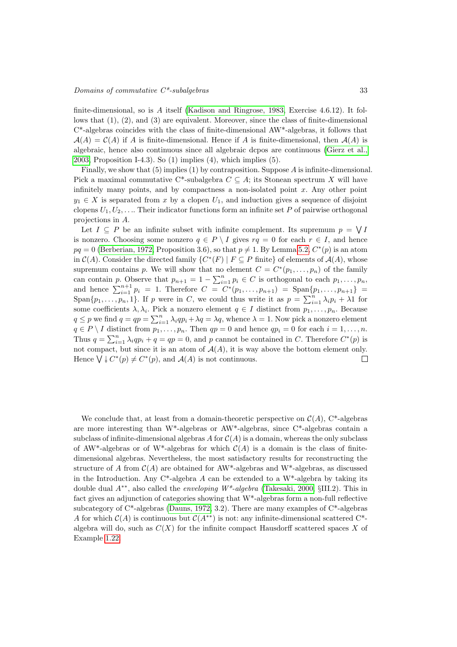#### $\noindent \textit{Domain} \space$  of commutative  $C^*$ -subalgebras  $33$

finite-dimensional, so is A itself [\(Kadison and Ringrose, 1983,](#page-40-6) Exercise 4.6.12). It follows that (1), (2), and (3) are equivalent. Moreover, since the class of finite-dimensional C\*-algebras coincides with the class of finite-dimensional AW\*-algebras, it follows that  $A(A) = C(A)$  if A is finite-dimensional. Hence if A is finite-dimensional, then  $A(A)$  is algebraic, hence also continuous since all algebraic dcpos are continuous [\(Gierz et al.,](#page-40-5) [2003,](#page-40-5) Proposition I-4.3). So (1) implies (4), which implies (5).

Finally, we show that  $(5)$  implies  $(1)$  by contraposition. Suppose A is infinite-dimensional. Pick a maximal commutative C<sup>\*</sup>-subalgebra  $C \subseteq A$ ; its Stonean spectrum X will have infinitely many points, and by compactness a non-isolated point  $x$ . Any other point  $y_1 \in X$  is separated from x by a clopen  $U_1$ , and induction gives a sequence of disjoint clopens  $U_1, U_2, \ldots$  Their indicator functions form an infinite set P of pairwise orthogonal projections in A.

Let  $I \subseteq P$  be an infinite subset with infinite complement. Its supremum  $p = \bigvee I$ is nonzero. Choosing some nonzero  $q \in P \setminus I$  gives  $rq = 0$  for each  $r \in I$ , and hence  $pq = 0$  [\(Berberian, 1972,](#page-39-8) Proposition 3.6), so that  $p \neq 1$ . By Lemma [5.2,](#page-18-2)  $C^*(p)$  is an atom in  $\mathcal{C}(A)$ . Consider the directed family  $\{C^*(F) \mid F \subseteq P \text{ finite}\}\$  of elements of  $\mathcal{A}(A)$ , whose supremum contains p. We will show that no element  $C = C^*(p_1, \ldots, p_n)$  of the family can contain p. Observe that  $p_{n+1} = 1 - \sum_{i=1}^{n} p_i \in C$  is orthogonal to each  $p_1, \ldots, p_n$ , and hence  $\sum_{i=1}^{n+1} p_i = 1$ . Therefore  $C = C^*(p_1, \ldots, p_{n+1}) = \text{Span}\{p_1, \ldots, p_{n+1}\}$ Span $\{p_1, \ldots, p_n, 1\}$ . If p were in C, we could thus write it as  $p = \sum_{i=1}^n \lambda_i p_i + \lambda 1$  for some coefficients  $\lambda, \lambda_i$ . Pick a nonzero element  $q \in I$  distinct from  $p_1, \ldots, p_n$ . Because  $q \leq p$  we find  $q = qp = \sum_{i=1}^{n} \lambda_i qp_i + \lambda q = \lambda q$ , whence  $\lambda = 1$ . Now pick a nonzero element  $q \in P \setminus I$  distinct from  $p_1, \ldots, p_n$ . Then  $qp = 0$  and hence  $qp_i = 0$  for each  $i = 1, \ldots, n$ . Thus  $q = \sum_{i=1}^{n} \lambda_i q p_i + q = qp = 0$ , and p cannot be contained in C. Therefore  $C^*(p)$  is not compact, but since it is an atom of  $A(A)$ , it is way above the bottom element only. Hence  $\bigvee \downarrow C^*(p) \neq C^*(p)$ , and  $\mathcal{A}(A)$  is not continuous.  $\Box$ 

We conclude that, at least from a domain-theoretic perspective on  $\mathcal{C}(A)$ , C<sup>\*</sup>-algebras are more interesting than W\*-algebras or AW\*-algebras, since C\*-algebras contain a subclass of infinite-dimensional algebras A for  $C(A)$  is a domain, whereas the only subclass of AW<sup>\*</sup>-algebras or of W<sup>\*</sup>-algebras for which  $C(A)$  is a domain is the class of finitedimensional algebras. Nevertheless, the most satisfactory results for reconstructing the structure of A from  $\mathcal{C}(A)$  are obtained for AW\*-algebras and W\*-algebras, as discussed in the Introduction. Any C<sup>\*</sup>-algebra A can be extended to a W<sup>\*</sup>-algebra by taking its double dual  $A^{**}$ , also called the *enveloping W<sup>\*</sup>-algebra* [\(Takesaki, 2000,](#page-41-2) §III.2). This in fact gives an adjunction of categories showing that W\*-algebras form a non-full reflective subcategory of C\*-algebras [\(Dauns, 1972,](#page-39-9) 3.2). There are many examples of C\*-algebras A for which  $C(A)$  is continuous but  $C(A^{**})$  is not: any infinite-dimensional scattered C<sup>\*</sup>algebra will do, such as  $C(X)$  for the infinite compact Hausdorff scattered spaces X of Example [1.22.](#page-10-2)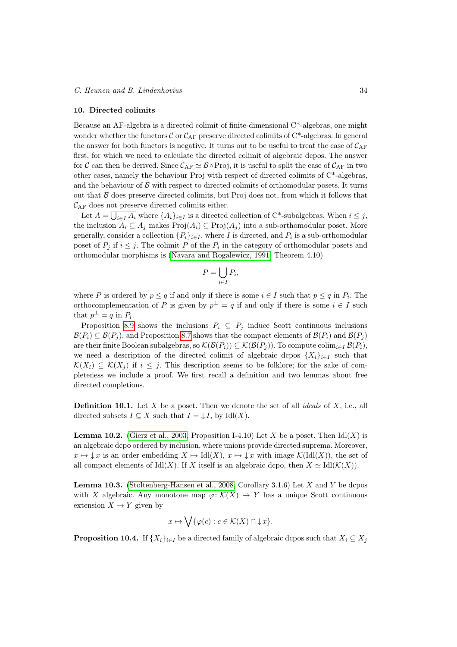#### <span id="page-33-0"></span>10. Directed colimits

Because an AF-algebra is a directed colimit of finite-dimensional C\*-algebras, one might wonder whether the functors C or  $C_{AF}$  preserve directed colimits of C\*-algebras. In general the answer for both functors is negative. It turns out to be useful to treat the case of  $\mathcal{C}_{\mathrm{AF}}$ first, for which we need to calculate the directed colimit of algebraic dcpos. The answer for C can then be derived. Since  $\mathcal{C}_{AF} \simeq \mathcal{B} \circ \text{Proj}$ , it is useful to split the case of  $\mathcal{C}_{AF}$  in two other cases, namely the behaviour Proj with respect of directed colimits of C\*-algebras, and the behaviour of  $\beta$  with respect to directed colimits of orthomodular posets. It turns out that  $\beta$  does preserve directed colimits, but Proj does not, from which it follows that  $\mathcal{C}_{\mathrm{AF}}$  does not preserve directed colimits either.

Let  $A = \bigcup_{i \in I} A_i$  where  $\{A_i\}_{i \in I}$  is a directed collection of C\*-subalgebras. When  $i \leq j$ , the inclusion  $A_i \subseteq A_j$  makes  $\text{Proj}(A_i) \subseteq \text{Proj}(A_j)$  into a sub-orthomodular poset. More generally, consider a collection  $\{P_i\}_{i\in I}$ , where I is directed, and  $P_i$  is a sub-orthomodular poset of  $P_j$  if  $i \leq j$ . The colimit P of the  $P_i$  in the category of orthomodular posets and orthomodular morphisms is [\(Navara and Rogalewicz, 1991,](#page-41-10) Theorem 4.10)

$$
P = \bigcup_{i \in I} P_i,
$$

where P is ordered by  $p \leq q$  if and only if there is some  $i \in I$  such that  $p \leq q$  in  $P_i$ . The orthocomplementation of P is given by  $p^{\perp} = q$  if and only if there is some  $i \in I$  such that  $p^{\perp} = q$  in  $P_i$ .

Proposition [8.9](#page-28-1) shows the inclusions  $P_i \subseteq P_j$  induce Scott continuous inclusions  $\mathcal{B}(P_i) \subseteq \mathcal{B}(P_i)$ , and Proposition [8.7](#page-27-0) shows that the compact elements of  $\mathcal{B}(P_i)$  and  $\mathcal{B}(P_i)$ are their finite Boolean subalgebras, so  $\mathcal{K}(\mathcal{B}(P_i)) \subseteq \mathcal{K}(\mathcal{B}(P_i))$ . To compute colim $_{i\in I} \mathcal{B}(P_i)$ , we need a description of the directed colimit of algebraic dcpos  $\{X_i\}_{i\in I}$  such that  $\mathcal{K}(X_i) \subseteq \mathcal{K}(X_i)$  if  $i \leq j$ . This description seems to be folklore; for the sake of completeness we include a proof. We first recall a definition and two lemmas about free directed completions.

**Definition 10.1.** Let X be a poset. Then we denote the set of all *ideals* of X, i.e., all directed subsets  $I \subseteq X$  such that  $I = \downarrow I$ , by Idl(X).

<span id="page-33-1"></span>**Lemma 10.2.** [\(Gierz et al., 2003,](#page-40-5) Proposition I-4.10) Let X be a poset. Then  $\text{Idl}(X)$  is an algebraic dcpo ordered by inclusion, where unions provide directed suprema. Moreover,  $x \mapsto \downarrow x$  is an order embedding  $X \mapsto \text{Id}(X)$ ,  $x \mapsto \downarrow x$  with image  $\mathcal{K}(\text{Id}(X))$ , the set of all compact elements of Idl(X). If X itself is an algebraic dcpo, then  $X \simeq \text{Id}(\mathcal{K}(X)).$ 

<span id="page-33-2"></span>**Lemma 10.3.** [\(Stoltenberg-Hansen et al., 2008,](#page-41-11) Corollary 3.1.6) Let  $X$  and  $Y$  be dcpos with X algebraic. Any monotone map  $\varphi: \mathcal{K}(X) \to Y$  has a unique Scott continuous extension  $X \to Y$  given by

$$
x \mapsto \bigvee \{ \varphi(c) : c \in \mathcal{K}(X) \cap \downarrow x \}.
$$

<span id="page-33-3"></span>**Proposition 10.4.** If  $\{X_i\}_{i\in I}$  be a directed family of algebraic dcpos such that  $X_i \subseteq X_j$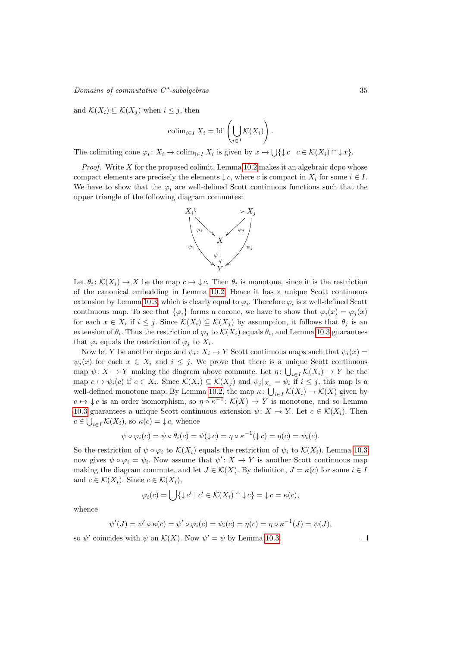# $\noindent \textit{Domain} \space$  of commutative  $C^*$ -subalgebras  $35$

and  $\mathcal{K}(X_i) \subseteq \mathcal{K}(X_j)$  when  $i \leq j$ , then

$$
\operatorname{colim}_{i \in I} X_i = \operatorname{Idl}\left(\bigcup_{i \in I} \mathcal{K}(X_i)\right).
$$

The colimiting cone  $\varphi_i \colon X_i \to \text{colim}_{i \in I} X_i$  is given by  $x \mapsto \bigcup \{ \downarrow c \mid c \in \mathcal{K}(X_i) \cap \downarrow x \}.$ 

*Proof.* Write  $X$  for the proposed colimit. Lemma [10.2](#page-33-1) makes it an algebraic dcpo whose compact elements are precisely the elements  $\downarrow c$ , where c is compact in  $X_i$  for some  $i \in I$ . We have to show that the  $\varphi_i$  are well-defined Scott continuous functions such that the upper triangle of the following diagram commutes:



Let  $\theta_i: \mathcal{K}(X_i) \to X$  be the map  $c \mapsto \downarrow c$ . Then  $\theta_i$  is monotone, since it is the restriction of the canonical embedding in Lemma [10.2.](#page-33-1) Hence it has a unique Scott continuous extension by Lemma [10.3,](#page-33-2) which is clearly equal to  $\varphi_i$ . Therefore  $\varphi_i$  is a well-defined Scott continuous map. To see that  $\{\varphi_i\}$  forms a cocone, we have to show that  $\varphi_i(x) = \varphi_i(x)$ for each  $x \in X_i$  if  $i \leq j$ . Since  $\mathcal{K}(X_i) \subseteq \mathcal{K}(X_j)$  by assumption, it follows that  $\theta_j$  is an extension of  $\theta_i$ . Thus the restriction of  $\varphi_j$  to  $\mathcal{K}(X_i)$  equals  $\theta_i$ , and Lemma [10.3](#page-33-2) guarantees that  $\varphi_i$  equals the restriction of  $\varphi_j$  to  $X_i$ .

Now let Y be another dcpo and  $\psi_i: X_i \to Y$  Scott continuous maps such that  $\psi_i(x) =$  $\psi_i(x)$  for each  $x \in X_i$  and  $i \leq j$ . We prove that there is a unique Scott continuous map  $\psi: X \to Y$  making the diagram above commute. Let  $\eta: \bigcup_{i \in I} \mathcal{K}(X_i) \to Y$  be the map  $c \mapsto \psi_i(c)$  if  $c \in X_i$ . Since  $\mathcal{K}(X_i) \subseteq \mathcal{K}(X_j)$  and  $\psi_j|_{X_i} = \psi_i$  if  $i \leq j$ , this map is a well-defined monotone map. By Lemma [10.2,](#page-33-1) the map  $\kappa: \bigcup_{i \in I} \mathcal{K}(X_i) \to \mathcal{K}(X)$  given by  $c \mapsto \downarrow c$  is an order isomorphism, so  $\eta \circ \kappa^{-1} : \mathcal{K}(X) \to Y$  is monotone, and so Lemma [10.3](#page-33-2) guarantees a unique Scott continuous extension  $\psi: X \to Y$ . Let  $c \in \mathcal{K}(X_i)$ . Then  $c \in \bigcup_{i \in I} \mathcal{K}(X_i)$ , so  $\kappa(c) = \downarrow c$ , whence

$$
\psi \circ \varphi_i(c) = \psi \circ \theta_i(c) = \psi(\downarrow c) = \eta \circ \kappa^{-1}(\downarrow c) = \eta(c) = \psi_i(c).
$$

So the restriction of  $\psi \circ \varphi_i$  to  $\mathcal{K}(X_i)$  equals the restriction of  $\psi_i$  to  $\mathcal{K}(X_i)$ . Lemma [10.3](#page-33-2) now gives  $\psi \circ \varphi_i = \psi_i$ . Now assume that  $\psi' : X \to Y$  is another Scott continuous map making the diagram commute, and let  $J \in \mathcal{K}(X)$ . By definition,  $J = \kappa(c)$  for some  $i \in I$ and  $c \in \mathcal{K}(X_i)$ . Since  $c \in \mathcal{K}(X_i)$ ,

$$
\varphi_i(c) = \bigcup \{ \downarrow c' \mid c' \in \mathcal{K}(X_i) \cap \downarrow c \} = \downarrow c = \kappa(c),
$$

whence

$$
\psi'(J) = \psi' \circ \kappa(c) = \psi' \circ \varphi_i(c) = \psi_i(c) = \eta(c) = \eta \circ \kappa^{-1}(J) = \psi(J),
$$

so  $\psi'$  coincides with  $\psi$  on  $\mathcal{K}(X)$ . Now  $\psi' = \psi$  by Lemma [10.3.](#page-33-2)

 $\Box$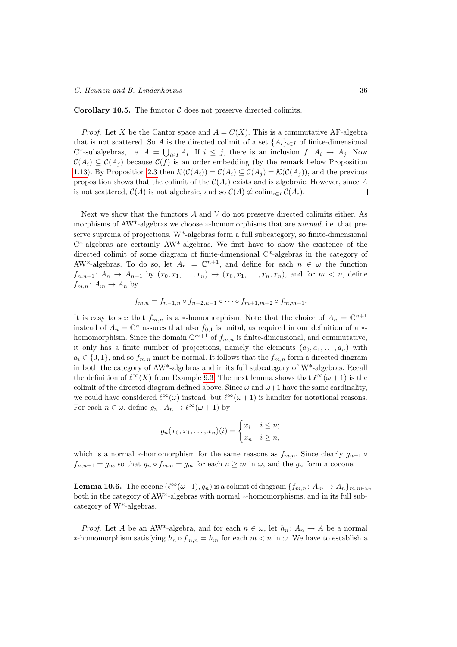**Corollary 10.5.** The functor  $C$  does not preserve directed colimits.

*Proof.* Let X be the Cantor space and  $A = C(X)$ . This is a commutative AF-algebra that is not scattered. So A is the directed colimit of a set  $\{A_i\}_{i\in I}$  of finite-dimensional C<sup>\*</sup>-subalgebras, i.e.  $A = \bigcup_{i \in I} A_i$ . If  $i \leq j$ , there is an inclusion  $f: A_i \to A_j$ . Now  $\mathcal{C}(A_i) \subseteq \mathcal{C}(A_j)$  because  $\mathcal{C}(f)$  is an order embedding (by the remark below Proposition [1.13\)](#page-6-0). By Proposition [2.3](#page-12-0) then  $\mathcal{K}(\mathcal{C}(A_i)) = \mathcal{C}(A_i) \subseteq \mathcal{C}(A_i) = \mathcal{K}(\mathcal{C}(A_i))$ , and the previous proposition shows that the colimit of the  $C(A_i)$  exists and is algebraic. However, since A is not scattered,  $\mathcal{C}(A)$  is not algebraic, and so  $\mathcal{C}(A) \not\simeq \text{colim}_{i \in I} \mathcal{C}(A_i)$ .  $\Box$ 

Next we show that the functors  $\mathcal A$  and  $\mathcal V$  do not preserve directed colimits either. As morphisms of AW<sup>\*</sup>-algebras we choose ∗-homomorphisms that are *normal*, i.e. that preserve suprema of projections. W\*-algebras form a full subcategory, so finite-dimensional  $C^*$ -algebras are certainly  $AW^*$ -algebras. We first have to show the existence of the directed colimit of some diagram of finite-dimensional C\*-algebras in the category of AW<sup>\*</sup>-algebras. To do so, let  $A_n = \mathbb{C}^{n+1}$ , and define for each  $n \in \omega$  the function  $f_{n,n+1}$ :  $A_n \rightarrow A_{n+1}$  by  $(x_0, x_1, \ldots, x_n) \mapsto (x_0, x_1, \ldots, x_n, x_n)$ , and for  $m < n$ , define  $f_{m,n} : A_m \to A_n$  by

$$
f_{m,n} = f_{n-1,n} \circ f_{n-2,n-1} \circ \cdots \circ f_{m+1,m+2} \circ f_{m,m+1}.
$$

It is easy to see that  $f_{m,n}$  is a \*-homomorphism. Note that the choice of  $A_n = \mathbb{C}^{n+1}$ instead of  $A_n = \mathbb{C}^n$  assures that also  $f_{0,1}$  is unital, as required in our definition of a  $*$ homomorphism. Since the domain  $\mathbb{C}^{m+1}$  of  $f_{m,n}$  is finite-dimensional, and commutative, it only has a finite number of projections, namely the elements  $(a_0, a_1, \ldots, a_n)$  with  $a_i \in \{0,1\}$ , and so  $f_{m,n}$  must be normal. It follows that the  $f_{m,n}$  form a directed diagram in both the category of AW\*-algebras and in its full subcategory of W\*-algebras. Recall the definition of  $\ell^{\infty}(X)$  from Example [9.3.](#page-30-4) The next lemma shows that  $\ell^{\infty}(\omega + 1)$  is the colimit of the directed diagram defined above. Since  $\omega$  and  $\omega+1$  have the same cardinality, we could have considered  $\ell^{\infty}(\omega)$  instead, but  $\ell^{\infty}(\omega + 1)$  is handier for notational reasons. For each  $n \in \omega$ , define  $g_n: A_n \to \ell^{\infty}(\omega + 1)$  by

$$
g_n(x_0, x_1, \dots, x_n)(i) = \begin{cases} x_i & i \leq n; \\ x_n & i \geq n, \end{cases}
$$

which is a normal ∗-homomorphism for the same reasons as  $f_{m,n}$ . Since clearly  $g_{n+1}$   $\circ$  $f_{n,n+1} = g_n$ , so that  $g_n \circ f_{m,n} = g_m$  for each  $n \geq m$  in  $\omega$ , and the  $g_n$  form a cocone.

<span id="page-35-0"></span>**Lemma 10.6.** The cocone  $(\ell^{\infty}(\omega+1), g_n)$  is a colimit of diagram  $\{f_{m,n}: A_m \to A_n\}_{m,n \in \omega}$ , both in the category of AW\*-algebras with normal ∗-homomorphisms, and in its full subcategory of W\*-algebras.

*Proof.* Let A be an AW<sup>\*</sup>-algebra, and for each  $n \in \omega$ , let  $h_n: A_n \to A$  be a normal  $∗-homomorphism satisfying h<sub>n</sub> ∘ f<sub>m,n</sub> = h<sub>m</sub> for each m *n* in *ω*. We have to establish a$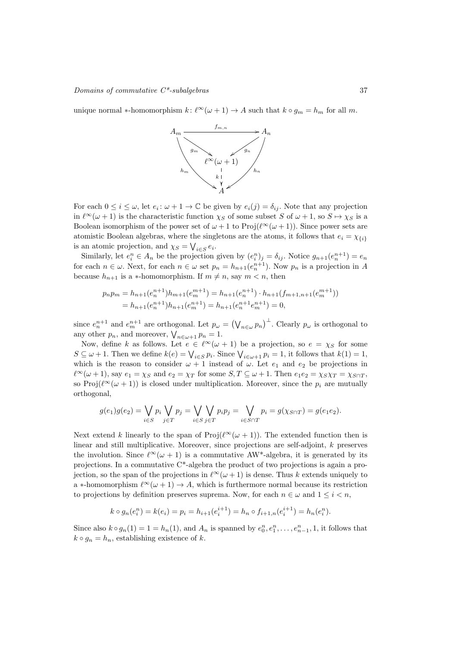unique normal ∗-homomorphism  $k: \ell^{\infty}(\omega + 1) \to A$  such that  $k \circ g_m = h_m$  for all m.



For each  $0 \leq i \leq \omega$ , let  $e_i : \omega + 1 \to \mathbb{C}$  be given by  $e_i(j) = \delta_{ij}$ . Note that any projection in  $\ell^{\infty}(\omega + 1)$  is the characteristic function  $\chi_S$  of some subset S of  $\omega + 1$ , so  $S \mapsto \chi_S$  is a Boolean isomorphism of the power set of  $\omega + 1$  to  $\text{Proj}(\ell^{\infty}(\omega + 1))$ . Since power sets are atomistic Boolean algebras, where the singletons are the atoms, it follows that  $e_i = \chi_{\{i\}}$ is an atomic projection, and  $\chi_S = \bigvee_{i \in S} e_i$ .

Similarly, let  $e_i^n \in A_n$  be the projection given by  $(e_i^n)_j = \delta_{ij}$ . Notice  $g_{n+1}(e_n^{n+1}) = e_n$ for each  $n \in \omega$ . Next, for each  $n \in \omega$  set  $p_n = h_{n+1}(e_n^{n+1})$ . Now  $p_n$  is a projection in A because  $h_{n+1}$  is a ∗-homomorphism. If  $m \neq n$ , say  $m < n$ , then

$$
p_n p_m = h_{n+1}(e_n^{n+1})h_{m+1}(e_m^{m+1}) = h_{n+1}(e_n^{n+1}) \cdot h_{n+1}(f_{m+1,n+1}(e_m^{m+1}))
$$
  
=  $h_{n+1}(e_n^{n+1})h_{n+1}(e_m^{n+1}) = h_{n+1}(e_n^{n+1}e_m^{n+1}) = 0,$ 

since  $e_n^{n+1}$  and  $e_m^{n+1}$  are orthogonal. Let  $p_\omega = (\bigvee_{n \in \omega} p_n)^\perp$ . Clearly  $p_\omega$  is orthogonal to any other  $p_n$ , and moreover,  $\bigvee_{n \in \omega+1} p_n = 1$ .

Now, define k as follows. Let  $e \in \ell^{\infty}(\omega + 1)$  be a projection, so  $e = \chi_S$  for some  $S \subseteq \omega + 1$ . Then we define  $k(e) = \bigvee_{i \in S} p_i$ . Since  $\bigvee_{i \in \omega + 1} p_i = 1$ , it follows that  $k(1) = 1$ , which is the reason to consider  $\omega + 1$  instead of  $\omega$ . Let  $e_1$  and  $e_2$  be projections in  $\ell^{\infty}(\omega + 1)$ , say  $e_1 = \chi_S$  and  $e_2 = \chi_T$  for some  $S, T \subseteq \omega + 1$ . Then  $e_1e_2 = \chi_S\chi_T = \chi_{S \cap T}$ , so Proj $(\ell^{\infty}(\omega + 1))$  is closed under multiplication. Moreover, since the  $p_i$  are mutually orthogonal,

$$
g(e_1)g(e_2) = \bigvee_{i \in S} p_i \bigvee_{j \in T} p_j = \bigvee_{i \in S} \bigvee_{j \in T} p_i p_j = \bigvee_{i \in S \cap T} p_i = g(\chi_{S \cap T}) = g(e_1 e_2).
$$

Next extend k linearly to the span of  $\text{Proj}(\ell^{\infty}(\omega + 1))$ . The extended function then is linear and still multiplicative. Moreover, since projections are self-adjoint, k preserves the involution. Since  $\ell^{\infty}(\omega + 1)$  is a commutative AW\*-algebra, it is generated by its projections. In a commutative C\*-algebra the product of two projections is again a projection, so the span of the projections in  $\ell^{\infty}(\omega + 1)$  is dense. Thus k extends uniquely to a ∗-homomorphism  $\ell^{\infty}(\omega + 1) \to A$ , which is furthermore normal because its restriction to projections by definition preserves suprema. Now, for each  $n \in \omega$  and  $1 \leq i < n$ ,

$$
k \circ g_n(e_i^n) = k(e_i) = p_i = h_{i+1}(e_i^{i+1}) = h_n \circ f_{i+1,n}(e_i^{i+1}) = h_n(e_i^n).
$$

Since also  $k \circ g_n(1) = 1 = h_n(1)$ , and  $A_n$  is spanned by  $e_0^n, e_1^n, \ldots, e_{n-1}^n, 1$ , it follows that  $k \circ g_n = h_n$ , establishing existence of k.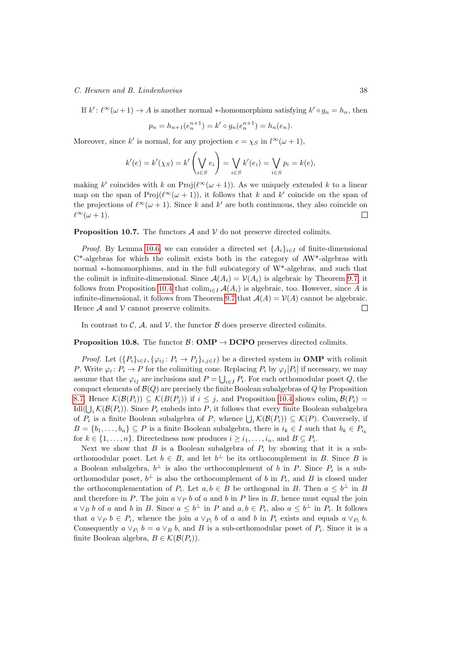#### C. Heunen and B. Lindenhovius 38

If  $k'$ :  $\ell^{\infty}(\omega + 1) \to A$  is another normal \*-homomorphism satisfying  $k' \circ g_n = h_n$ , then

$$
p_n = h_{n+1}(e_n^{n+1}) = k' \circ g_n(e_n^{n+1}) = h_n(e_n).
$$

Moreover, since k' is normal, for any projection  $e = \chi_S$  in  $l^{\infty}(\omega + 1)$ ,

$$
k'(e) = k'(\chi_S) = k' \left(\bigvee_{i \in S} e_i\right) = \bigvee_{i \in S} k'(e_i) = \bigvee_{i \in S} p_i = k(e),
$$

making k' coincides with k on  $\text{Proj}(\ell^{\infty}(\omega + 1))$ . As we uniquely extended k to a linear map on the span of  $\text{Proj}(\ell^{\infty}(\omega + 1)),$  it follows that k and k' coincide on the span of the projections of  $\ell^{\infty}(\omega + 1)$ . Since k and k' are both continuous, they also coincide on  $\ell^{\infty}(\omega + 1).$  $\Box$ 

<span id="page-37-1"></span>**Proposition 10.7.** The functors  $\mathcal A$  and  $\mathcal V$  do not preserve directed colimits.

*Proof.* By Lemma [10.6,](#page-35-0) we can consider a directed set  $\{A_i\}_{i\in I}$  of finite-dimensional  $C^*$ -algebras for which the colimit exists both in the category of  $AW^*$ -algebras with normal ∗-homomorphisms, and in the full subcategory of W\*-algebras, and such that the colimit is infinite-dimensional. Since  $\mathcal{A}(A_i) = \mathcal{V}(A_i)$  is algebraic by Theorem [9.7,](#page-31-1) it follows from Proposition [10.4](#page-33-3) that  $\text{colim}_{i\in I} \mathcal{A}(A_i)$  is algebraic, too. However, since A is infinite-dimensional, it follows from Theorem [9.7](#page-31-1) that  $\mathcal{A}(A) = \mathcal{V}(A)$  cannot be algebraic. Hence  $\mathcal A$  and  $\mathcal V$  cannot preserve colimits.  $\Box$ 

<span id="page-37-0"></span>In contrast to  $\mathcal{C}$ ,  $\mathcal{A}$ , and  $\mathcal{V}$ , the functor  $\mathcal{B}$  does preserve directed colimits.

# **Proposition 10.8.** The functor  $\mathcal{B}: \text{OMP} \to \text{DCPO}$  preserves directed colimits.

*Proof.* Let  $(\{P_i\}_{i\in I}, \{\varphi_{ij}: P_i \to P_j\}_{i,j\in I})$  be a directed system in **OMP** with colimit P. Write  $\varphi_i: P_i \to P$  for the colimiting cone. Replacing  $P_i$  by  $\varphi_j[P_i]$  if necessary, we may assume that the  $\varphi_{ij}$  are inclusions and  $P = \bigcup_{i \in I} P_i$ . For each orthomodular poset Q, the compact elements of  $\mathcal{B}(Q)$  are precisely the finite Boolean subalgebras of Q by Proposition [8.7.](#page-27-0) Hence  $\mathcal{K}(\mathcal{B}(P_i)) \subseteq \mathcal{K}(B(P_i))$  if  $i \leq j$ , and Proposition [10.4](#page-33-3) shows colim<sub>i</sub>  $\mathcal{B}(P_i)$  =  $\text{Idl}(\bigcup_i \mathcal{K}(\mathcal{B}(P_i))$ . Since  $P_i$  embeds into P, it follows that every finite Boolean subalgebra of  $P_i$  is a finite Boolean subalgebra of P, whence  $\bigcup_i \mathcal{K}(\mathcal{B}(P_i)) \subseteq \mathcal{K}(P)$ . Conversely, if  $B = \{b_1, \ldots, b_n\} \subseteq P$  is a finite Boolean subalgebra, there is  $i_k \in I$  such that  $b_k \in P_{i_k}$ for  $k \in \{1, \ldots, n\}$ . Directedness now produces  $i \geq i_1, \ldots, i_n$ , and  $B \subseteq P_i$ .

Next we show that  $B$  is a Boolean subalgebra of  $P_i$  by showing that it is a suborthomodular poset. Let  $b \in B$ , and let  $b^{\perp}$  be its orthocomplement in B. Since B is a Boolean subalgebra,  $b^{\perp}$  is also the orthocomplement of b in P. Since  $P_i$  is a suborthomodular poset,  $b^{\perp}$  is also the orthocomplement of b in  $P_i$ , and B is closed under the orthocomplementation of  $P_i$ . Let  $a, b \in B$  be orthogonal in B. Then  $a \leq b^{\perp}$  in B and therefore in P. The join  $a \vee p b$  of a and b in P lies in B, hence must equal the join  $a \vee_B b$  of a and b in B. Since  $a \leq b^{\perp}$  in P and  $a, b \in P_i$ , also  $a \leq b^{\perp}$  in  $P_i$ . It follows that  $a \vee_{P} b \in P_i$ , whence the join  $a \vee_{P_i} b$  of a and b in  $P_i$  exists and equals  $a \vee_{P_i} b$ . Consequently  $a \vee_{P_i} b = a \vee_B b$ , and B is a sub-orthomodular poset of  $P_i$ . Since it is a finite Boolean algebra,  $B \in \mathcal{K}(\mathcal{B}(P_i)).$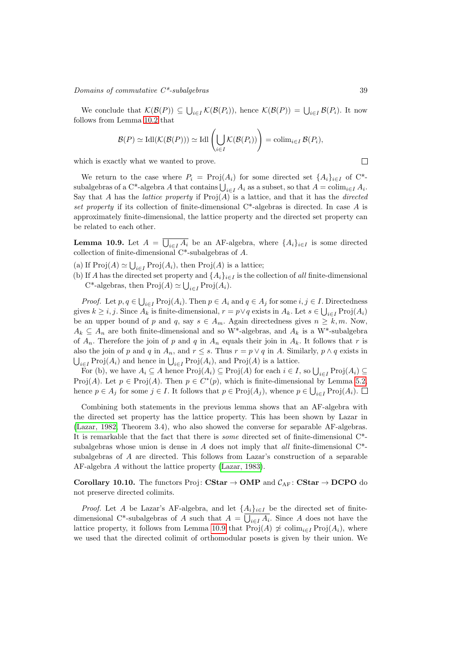#### $\noindent \textit{Domain} \space$  of commutative  $C^*$ -subalgebras  $39$

We conclude that  $\mathcal{K}(\mathcal{B}(P)) \subseteq \bigcup_{i \in I} \mathcal{K}(\mathcal{B}(P_i))$ , hence  $\mathcal{K}(\mathcal{B}(P)) = \bigcup_{i \in I} \mathcal{B}(P_i)$ . It now follows from Lemma [10.2](#page-33-1) that

$$
\mathcal{B}(P) \simeq \mathrm{Idl}(\mathcal{K}(\mathcal{B}(P))) \simeq \mathrm{Idl}\left(\bigcup_{i \in I} \mathcal{K}(\mathcal{B}(P_i))\right) = \mathrm{colim}_{i \in I} \mathcal{B}(P_i),
$$

which is exactly what we wanted to prove.

We return to the case where  $P_i = \text{Proj}(A_i)$  for some directed set  $\{A_i\}_{i\in I}$  of  $C^*$ subalgebras of a C<sup>\*</sup>-algebra A that contains  $\bigcup_{i \in I} A_i$  as a subset, so that  $A = \operatorname{colim}_{i \in I} A_i$ . Say that A has the *lattice property* if  $Proj(A)$  is a lattice, and that it has the *directed* set property if its collection of finite-dimensional  $C^*$ -algebras is directed. In case A is approximately finite-dimensional, the lattice property and the directed set property can be related to each other.

<span id="page-38-0"></span>**Lemma 10.9.** Let  $A = \bigcup_{i \in I} A_i$  be an AF-algebra, where  $\{A_i\}_{i \in I}$  is some directed collection of finite-dimensional C\*-subalgebras of A.

- (a) If  $\text{Proj}(A) \simeq \bigcup_{i \in I} \text{Proj}(A_i)$ , then  $\text{Proj}(A)$  is a lattice;
- (b) If A has the directed set property and  $\{A_i\}_{i\in I}$  is the collection of all finite-dimensional C<sup>\*</sup>-algebras, then  $\text{Proj}(A) \simeq \bigcup_{i \in I} \text{Proj}(A_i)$ .

*Proof.* Let  $p, q \in \bigcup_{i \in I} \text{Proj}(A_i)$ . Then  $p \in A_i$  and  $q \in A_j$  for some  $i, j \in I$ . Directedness gives  $k \ge i, j$ . Since  $A_k$  is finite-dimensional,  $r = p \vee q$  exists in  $A_k$ . Let  $s \in \bigcup_{i \in I} \text{Proj}(A_i)$ be an upper bound of p and q, say  $s \in A_m$ . Again directedness gives  $n \geq k, m$ . Now,  $A_k \subseteq A_n$  are both finite-dimensional and so W<sup>\*</sup>-algebras, and  $A_k$  is a W<sup>\*</sup>-subalgebra of  $A_n$ . Therefore the join of p and q in  $A_n$  equals their join in  $A_k$ . It follows that r is also the join of p and q in  $A_n$ , and  $r \leq s$ . Thus  $r = p \vee q$  in A. Similarly,  $p \wedge q$  exists in  $\bigcup_{i\in I} \mathrm{Proj}(A_i)$  and hence in  $\bigcup_{i\in I} \mathrm{Proj}(A_i)$ , and  $\mathrm{Proj}(A)$  is a lattice.

For (b), we have  $A_i \subseteq A$  hence  $\text{Proj}(A_i) \subseteq \text{Proj}(A)$  for each  $i \in I$ , so  $\bigcup_{i \in I} \text{Proj}(A_i) \subseteq$ Proj(A). Let  $p \in \text{Proj}(A)$ . Then  $p \in C^*(p)$ , which is finite-dimensional by Lemma [5.2,](#page-18-2) hence  $p \in A_j$  for some  $j \in I$ . It follows that  $p \in \text{Proj}(A_j)$ , whence  $p \in \bigcup_{i \in I} \text{Proj}(A_i)$ .

Combining both statements in the previous lemma shows that an AF-algebra with the directed set property has the lattice property. This has been shown by Lazar in [\(Lazar, 1982,](#page-40-20) Theorem 3.4), who also showed the converse for separable AF-algebras. It is remarkable that the fact that there is some directed set of finite-dimensional C\* subalgebras whose union is dense in  $A$  does not imply that *all* finite-dimensional  $C^*$ subalgebras of A are directed. This follows from Lazar's construction of a separable AF-algebra A without the lattice property [\(Lazar, 1983\)](#page-40-24).

Corollary 10.10. The functors Proj: CStar  $\rightarrow$  OMP and  $C_{AF}$ : CStar  $\rightarrow$  DCPO do not preserve directed colimits.

*Proof.* Let A be Lazar's AF-algebra, and let  $\{A_i\}_{i\in I}$  be the directed set of finitedimensional C<sup>\*</sup>-subalgebras of A such that  $A = \bigcup_{i \in I} A_i$ . Since A does not have the lattice property, it follows from Lemma [10.9](#page-38-0) that  $\text{Proj}(A) \not\cong \text{colim}_{i \in I} \text{Proj}(A_i)$ , where we used that the directed colimit of orthomodular posets is given by their union. We

 $\Box$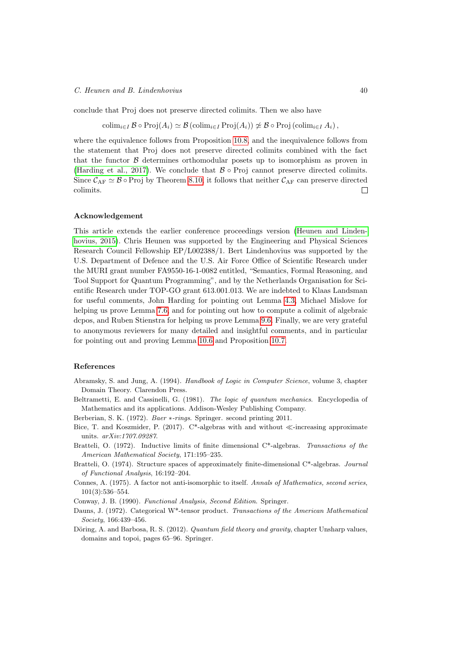#### C. Heunen and B. Lindenhovius 40

conclude that Proj does not preserve directed colimits. Then we also have

 $\operatorname{colim}_{i\in I} \mathcal{B} \circ \operatorname{Proj}(A_i) \simeq \mathcal{B}(\operatorname{colim}_{i\in I} \operatorname{Proj}(A_i)) \not\simeq \mathcal{B} \circ \operatorname{Proj}(\operatorname{colim}_{i\in I} A_i),$ 

where the equivalence follows from Proposition [10.8,](#page-37-0) and the inequivalence follows from the statement that Proj does not preserve directed colimits combined with the fact that the functor  $\beta$  determines orthomodular posets up to isomorphism as proven in [\(Harding et al., 2017\)](#page-40-18). We conclude that  $\beta \circ \text{Proj}$  cannot preserve directed colimits. Since  $\mathcal{C}_{AF} \simeq \mathcal{B} \circ \text{Proj}$  by Theorem [8.10,](#page-28-2) it follows that neither  $\mathcal{C}_{AF}$  can preserve directed colimits.  $\Box$ 

#### Acknowledgement

This article extends the earlier conference proceedings version [\(Heunen and Linden](#page-40-25)[hovius, 2015\)](#page-40-25). Chris Heunen was supported by the Engineering and Physical Sciences Research Council Fellowship EP/L002388/1. Bert Lindenhovius was supported by the U.S. Department of Defence and the U.S. Air Force Office of Scientific Research under the MURI grant number FA9550-16-1-0082 entitled, "Semantics, Formal Reasoning, and Tool Support for Quantum Programming", and by the Netherlands Organisation for Scientific Research under TOP-GO grant 613.001.013. We are indebted to Klaas Landsman for useful comments, John Harding for pointing out Lemma [4.3,](#page-15-0) Michael Mislove for helping us prove Lemma [7.6,](#page-23-1) and for pointing out how to compute a colimit of algebraic dcpos, and Ruben Stienstra for helping us prove Lemma [9.6.](#page-31-0) Finally, we are very grateful to anonymous reviewers for many detailed and insightful comments, and in particular for pointing out and proving Lemma [10.6](#page-35-0) and Proposition [10.7.](#page-37-1)

# References

- <span id="page-39-1"></span>Abramsky, S. and Jung, A. (1994). Handbook of Logic in Computer Science, volume 3, chapter Domain Theory. Clarendon Press.
- <span id="page-39-6"></span>Beltrametti, E. and Cassinelli, G. (1981). The logic of quantum mechanics. Encyclopedia of Mathematics and its applications. Addison-Wesley Publishing Company.
- <span id="page-39-8"></span>Berberian, S. K. (1972). Baer ∗-rings. Springer. second printing 2011.
- <span id="page-39-5"></span>Bice, T. and Koszmider, P. (2017).  $C^*$ -algebras with and without  $\ll$ -increasing approximate units. arXiv:1707.09287.
- <span id="page-39-3"></span>Bratteli, O. (1972). Inductive limits of finite dimensional  $C^*$ -algebras. Transactions of the American Mathematical Society, 171:195–235.
- <span id="page-39-4"></span>Bratteli, O. (1974). Structure spaces of approximately finite-dimensional C\*-algebras. Journal of Functional Analysis, 16:192–204.
- <span id="page-39-0"></span>Connes, A. (1975). A factor not anti-isomorphic to itself. Annals of Mathematics, second series, 101(3):536–554.
- <span id="page-39-2"></span>Conway, J. B. (1990). Functional Analysis, Second Edition. Springer.
- <span id="page-39-9"></span>Dauns, J. (1972). Categorical W\*-tensor product. Transactions of the American Mathematical Society, 166:439–456.
- <span id="page-39-7"></span>Döring, A. and Barbosa, R. S. (2012). Quantum field theory and gravity, chapter Unsharp values, domains and topoi, pages 65–96. Springer.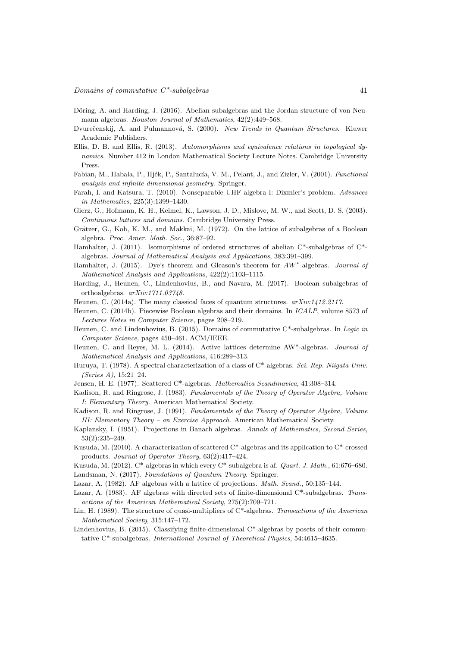- <span id="page-40-2"></span>Döring, A. and Harding, J. (2016). Abelian subalgebras and the Jordan structure of von Neumann algebras. Houston Journal of Mathematics, 42(2):449–568.
- <span id="page-40-19"></span>Dvurečenskij, A. and Pulmannová, S. (2000). New Trends in Quantum Structures. Kluwer Academic Publishers.
- <span id="page-40-15"></span>Ellis, D. B. and Ellis, R. (2013). Automorphisms and equivalence relations in topological dynamics. Number 412 in London Mathematical Society Lecture Notes. Cambridge University Press.
- <span id="page-40-14"></span>Fabian, M., Habala, P., Hjék, P., Santalucía, V. M., Pelant, J., and Zizler, V. (2001). Functional analysis and infinite-dimensional geometry. Springer.
- <span id="page-40-8"></span>Farah, I. and Katsura, T. (2010). Nonseparable UHF algebra I: Dixmier's problem. Advances in Mathematics, 225(3):1399–1430.
- <span id="page-40-5"></span>Gierz, G., Hofmann, K. H., Keimel, K., Lawson, J. D., Mislove, M. W., and Scott, D. S. (2003). Continuous lattices and domains. Cambridge University Press.
- <span id="page-40-21"></span>Grätzer, G., Koh, K. M., and Makkai, M. (1972). On the lattice of subalgebras of a Boolean algebra. Proc. Amer. Math. Soc., 36:87–92.
- <span id="page-40-0"></span>Hamhalter, J. (2011). Isomorphisms of ordered structures of abelian C\*-subalgebras of C\* algebras. Journal of Mathematical Analysis and Applications, 383:391–399.
- <span id="page-40-1"></span>Hamhalter, J. (2015). Dye's theorem and Gleason's theorem for  $AW^*$ -algebras. Journal of Mathematical Analysis and Applications, 422(2):1103–1115.
- <span id="page-40-18"></span>Harding, J., Heunen, C., Lindenhovius, B., and Navara, M. (2017). Boolean subalgebras of orthoalgebras. arXiv:1711.03748.
- <span id="page-40-4"></span>Heunen, C. (2014a). The many classical faces of quantum structures.  $arXiv:1412.2117$ .
- <span id="page-40-22"></span>Heunen, C. (2014b). Piecewise Boolean algebras and their domains. In ICALP, volume 8573 of Lectures Notes in Computer Science, pages 208–219.
- <span id="page-40-25"></span>Heunen, C. and Lindenhovius, B. (2015). Domains of commutative C\*-subalgebras. In Logic in Computer Science, pages 450–461. ACM/IEEE.
- <span id="page-40-3"></span>Heunen, C. and Reyes, M. L. (2014). Active lattices determine AW\*-algebras. Journal of Mathematical Analysis and Applications, 416:289–313.
- <span id="page-40-11"></span>Huruya, T. (1978). A spectral characterization of a class of C\*-algebras. Sci. Rep. Niigata Univ. (Series A), 15:21–24.
- <span id="page-40-9"></span>Jensen, H. E. (1977). Scattered C\*-algebras. Mathematica Scandinavica, 41:308–314.

<span id="page-40-6"></span>Kadison, R. and Ringrose, J. (1983). Fundamentals of the Theory of Operator Algebra, Volume I: Elementary Theory. American Mathematical Society.

- <span id="page-40-17"></span>Kadison, R. and Ringrose, J. (1991). Fundamentals of the Theory of Operator Algebra, Volume III: Elementary Theory – an Exercise Approach. American Mathematical Society.
- <span id="page-40-23"></span>Kaplansky, I. (1951). Projections in Banach algebras. Annals of Mathematics, Second Series, 53(2):235–249.
- <span id="page-40-12"></span>Kusuda, M. (2010). A characterization of scattered C\*-algebras and its application to C\*-crossed products. Journal of Operator Theory, 63(2):417–424.
- <span id="page-40-13"></span><span id="page-40-7"></span>Kusuda, M. (2012). C\*-algebras in which every C\*-subalgebra is af. Quart. J. Math., 61:676–680. Landsman, N. (2017). Foundations of Quantum Theory. Springer.
- <span id="page-40-20"></span>Lazar, A. (1982). AF algebras with a lattice of projections. *Math. Scand.*, 50:135–144.
- <span id="page-40-24"></span>Lazar, A. (1983). AF algebras with directed sets of finite-dimensional C\*-subalgebras. Transactions of the American Mathematical Society, 275(2):709–721.
- <span id="page-40-10"></span>Lin, H. (1989). The structure of quasi-multipliers of C<sup>\*</sup>-algebras. Transactions of the American Mathematical Society, 315:147–172.
- <span id="page-40-16"></span>Lindenhovius, B. (2015). Classifying finite-dimensional C<sup>\*</sup>-algebras by posets of their commutative C\*-subalgebras. International Journal of Theoretical Physics, 54:4615–4635.